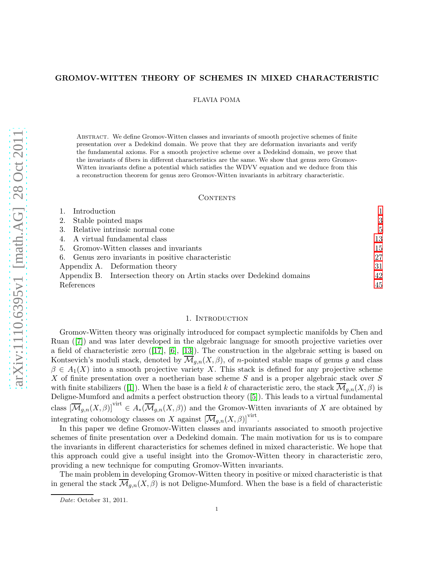# GROMOV-WITTEN THEORY OF SCHEMES IN MIXED CHARACTERISTIC

FLAVIA POMA

Abstract. We define Gromov-Witten classes and invariants of smooth projective schemes of finite presentation over a Dedekind domain. We prove that they are deformation invariants and verify the fundamental axioms. For a smooth projective scheme over a Dedekind domain, we prove that the invariants of fibers in different characteristics are the same. We show that genus zero Gromov-Witten invariants define a potential which satisfies the WDVV equation and we deduce from this a reconstruction theorem for genus zero Gromov-Witten invariants in arbitrary characteristic.

### **CONTENTS**

| Introduction                                        |                                                                       |    |
|-----------------------------------------------------|-----------------------------------------------------------------------|----|
| 2.                                                  | Stable pointed maps                                                   |    |
| 3.                                                  | Relative intrinsic normal cone                                        |    |
| 4. A virtual fundamental class                      |                                                                       | 13 |
| 5. Gromov-Witten classes and invariants             |                                                                       | 15 |
| 6. Genus zero invariants in positive characteristic |                                                                       | 27 |
|                                                     | Appendix A. Deformation theory                                        | 31 |
|                                                     | Appendix B. Intersection theory on Artin stacks over Dedekind domains | 42 |
| References                                          |                                                                       | 45 |
|                                                     |                                                                       |    |

### 1. INTRODUCTION

<span id="page-0-0"></span>Gromov-Witten theory was originally introduced for compact symplectic manifolds by Chen and Ruan([\[7\]](#page-44-1)) and was later developed in the algebraic language for smooth projective varieties over a field of characteristic zero([\[17\]](#page-44-2), [\[6\]](#page-44-3), [\[13\]](#page-44-4)). The construction in the algebraic setting is based on Kontsevich's moduli stack, denoted by  $\overline{\mathcal{M}}_{q,n}(X,\beta)$ , of *n*-pointed stable maps of genus g and class  $\beta \in A_1(X)$  into a smooth projective variety X. This stack is defined for any projective scheme X of finite presentation over a noetherian base scheme S and is a proper algebraic stack over S withfinite stabilizers ([\[1\]](#page-44-5)). When the base is a field k of characteristic zero, the stack  $\overline{\mathcal{M}}_{g,n}(X,\beta)$  is Deligne-Mumford and admits a perfect obstruction theory([\[5\]](#page-44-6)). This leads to a virtual fundamental class  $[\overline{\mathcal{M}}_{g,n}(X,\beta)]^{\text{virt}} \in A_*(\overline{\mathcal{M}}_{g,n}(X,\beta))$  and the Gromov-Witten invariants of X are obtained by integrating cohomology classes on X against  $[\overline{\mathcal{M}}_{g,n}(X,\beta)]^{\text{virt}}$ .

In this paper we define Gromov-Witten classes and invariants associated to smooth projective schemes of finite presentation over a Dedekind domain. The main motivation for us is to compare the invariants in different characteristics for schemes defined in mixed characteristic. We hope that this approach could give a useful insight into the Gromov-Witten theory in characteristic zero, providing a new technique for computing Gromov-Witten invariants.

The main problem in developing Gromov-Witten theory in positive or mixed characteristic is that in general the stack  $\overline{\mathcal{M}}_{q,n}(X,\beta)$  is not Deligne-Mumford. When the base is a field of characteristic

Date: October 31, 2011.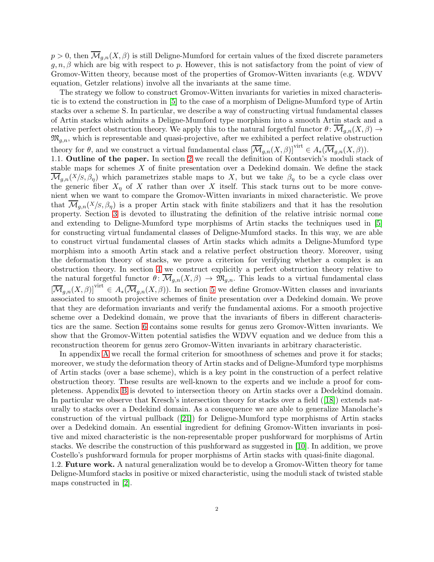$p > 0$ , then  $\overline{\mathcal{M}}_{g,n}(X,\beta)$  is still Deligne-Mumford for certain values of the fixed discrete parameters  $g, n, \beta$  which are big with respect to p. However, this is not satisfactory from the point of view of Gromov-Witten theory, because most of the properties of Gromov-Witten invariants (e.g. WDVV equation, Getzler relations) involve all the invariants at the same time.

The strategy we follow to construct Gromov-Witten invariants for varieties in mixed characteristic is to extend the construction in [\[5\]](#page-44-6) to the case of a morphism of Deligne-Mumford type of Artin stacks over a scheme S. In particular, we describe a way of constructing virtual fundamental classes of Artin stacks which admits a Deligne-Mumford type morphism into a smooth Artin stack and a relative perfect obstruction theory. We apply this to the natural forgetful functor  $\theta \colon \mathcal{M}_{q,n}(X,\beta) \to$  $\mathfrak{M}_{g,n}$ , which is representable and quasi-projective, after we exhibited a perfect relative obstruction theory for  $\theta$ , and we construct a virtual fundamental class  $[\overline{\mathcal{M}}_{g,n}(X,\beta)]^{\text{virt}} \in A_*(\overline{\mathcal{M}}_{g,n}(X,\beta)).$ 1.1. Outline of the paper. In section [2](#page-2-0) we recall the definition of Kontsevich's moduli stack of stable maps for schemes  $X$  of finite presentation over a Dedekind domain. We define the stack  $\mathcal{M}_{g,n}(X/S,\beta_\eta)$  which parametrizes stable maps to X, but we take  $\beta_\eta$  to be a cycle class over the generic fiber  $X_{\eta}$  of X rather than over X itself. This stack turns out to be more convenient when we want to compare the Gromov-Witten invariants in mixed characteristic. We prove that  $\mathcal{M}_{q,n}(X|S,\beta_n)$  is a proper Artin stack with finite stabilizers and that it has the resolution property. Section [3](#page-4-0) is devoted to illustrating the definition of the relative intrisic normal cone and extending to Deligne-Mumford type morphisms of Artin stacks the techniques used in [\[5\]](#page-44-6) for constructing virtual fundamental classes of Deligne-Mumford stacks. In this way, we are able to construct virtual fundamental classes of Artin stacks which admits a Deligne-Mumford type morphism into a smooth Artin stack and a relative perfect obstruction theory. Moreover, using the deformation theory of stacks, we prove a criterion for verifying whether a complex is an obstruction theory. In section [4](#page-12-0) we construct explicitly a perfect obstruction theory relative to the natural forgetful functor  $\theta \colon \overline{\mathcal{M}}_{g,n}(X,\beta) \to \mathfrak{M}_{g,n}$ . This leads to a virtual fundamental class  $[\overline{\mathcal{M}}_{g,n}(X,\beta)]^{\text{virt}} \in A_*(\overline{\mathcal{M}}_{g,n}(X,\beta)).$  In section [5](#page-14-0) we define Gromov-Witten classes and invariants associated to smooth projective schemes of finite presentation over a Dedekind domain. We prove that they are deformation invariants and verify the fundamental axioms. For a smooth projective scheme over a Dedekind domain, we prove that the invariants of fibers in different characteristics are the same. Section [6](#page-26-0) contains some results for genus zero Gromov-Witten invariants. We show that the Gromov-Witten potential satisfies the WDVV equation and we deduce from this a reconstruction theorem for genus zero Gromov-Witten invariants in arbitrary characteristic.

In appendix [A](#page-30-0) we recall the formal criterion for smoothness of schemes and prove it for stacks; moreover, we study the deformation theory of Artin stacks and of Deligne-Mumford type morphisms of Artin stacks (over a base scheme), which is a key point in the construction of a perfect relative obstruction theory. These results are well-known to the experts and we include a proof for completeness. Appendix [B](#page-41-0) is devoted to intersection theory on Artin stacks over a Dedekind domain. In particular we observe that Kresch's intersection theory for stacks over a field([\[18\]](#page-44-7)) extends naturally to stacks over a Dedekind domain. As a consequence we are able to generalize Manolache's construction of the virtual pullback([\[21\]](#page-44-8)) for Deligne-Mumford type morphisms of Artin stacks over a Dedekind domain. An essential ingredient for defining Gromov-Witten invariants in positive and mixed characteristic is the non-representable proper pushforward for morphisms of Artin stacks. We describe the construction of this pushforward as suggested in [\[10\]](#page-44-9). In addition, we prove Costello's pushforward formula for proper morphisms of Artin stacks with quasi-finite diagonal.

1.2. Future work. A natural generalization would be to develop a Gromov-Witten theory for tame Deligne-Mumford stacks in positive or mixed characteristic, using the moduli stack of twisted stable maps constructed in [\[2\]](#page-44-10).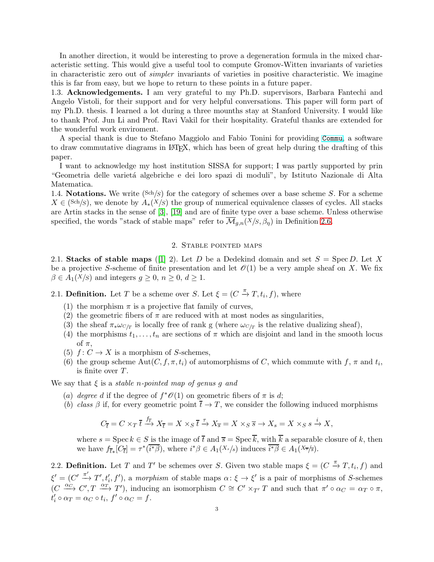In another direction, it would be interesting to prove a degeneration formula in the mixed characteristic setting. This would give a useful tool to compute Gromov-Witten invariants of varieties in characteristic zero out of simpler invariants of varieties in positive characteristic. We imagine this is far from easy, but we hope to return to these points in a future paper.

1.3. Acknowledgements. I am very grateful to my Ph.D. supervisors, Barbara Fantechi and Angelo Vistoli, for their support and for very helpful conversations. This paper will form part of my Ph.D. thesis. I learned a lot during a three mounths stay at Stanford University. I would like to thank Prof. Jun Li and Prof. Ravi Vakil for their hospitality. Grateful thanks are extended for the wonderful work enviroment.

A special thank is due to Stefano Maggiolo and Fabio Tonini for providing [Commu](http://people.sissa.it/~maggiolo/software/commu.php), a software to draw commutative diagrams in LATEX, which has been of great help during the drafting of this paper.

I want to acknowledge my host institution SISSA for support; I was partly supported by prin "Geometria delle varietà algebriche e dei loro spazi di moduli", by Istituto Nazionale di Alta Matematica.

1.4. **Notations.** We write  $(Sch/S)$  for the category of schemes over a base scheme S. For a scheme  $X \in (\text{Sch}/s)$ , we denote by  $A_*(X/s)$  the group of numerical equivalence classes of cycles. All stacks are Artin stacks in the sense of [\[3\]](#page-44-11), [\[19\]](#page-44-12) and are of finite type over a base scheme. Unless otherwise specified, the words "stack of stable maps" refer to  $\mathcal{M}_{q,n}(X/S,\beta_n)$  in Definition [2.6.](#page-3-0)

### 2. Stable pointed maps

<span id="page-2-0"></span>2.1. Stacks of stable maps ([\[1\]](#page-44-5) 2). Let D be a Dedekind domain and set  $S = \text{Spec } D$ . Let X be a projective S-scheme of finite presentation and let  $\mathcal{O}(1)$  be a very ample sheaf on X. We fix  $\beta \in A_1(X/s)$  and integers  $g \geq 0$ ,  $n \geq 0$ ,  $d \geq 1$ .

<span id="page-2-1"></span>2.1. **Definition.** Let T be a scheme over S. Let  $\xi = (C \stackrel{\pi}{\to} T, t_i, f)$ , where

- (1) the morphism  $\pi$  is a projective flat family of curves,
- (2) the geometric fibers of  $\pi$  are reduced with at most nodes as singularities,
- (3) the sheaf  $\pi_* \omega_{C/T}$  is locally free of rank g (where  $\omega_{C/T}$  is the relative dualizing sheaf),
- (4) the morphisms  $t_1, \ldots, t_n$  are sections of  $\pi$  which are disjoint and land in the smooth locus of  $\pi$ ,
- (5)  $f: C \to X$  is a morphism of S-schemes,
- (6) the group scheme  $Aut(C, f, \pi, t_i)$  of automorphisms of C, which commute with  $f, \pi$  and  $t_i$ , is finite over T.

We say that  $\xi$  is a *stable n-pointed map of genus q and* 

- (a) degree d if the degree of  $f^*\mathscr{O}(1)$  on geometric fibers of  $\pi$  is d;
- (b) class  $\beta$  if, for every geometric point  $\overline{t} \to T$ , we consider the following induced morphisms

$$
C_{\overline{t}} = C \times_T \overline{t} \xrightarrow{f_{\overline{t}}} X_{\overline{t}} = X \times_S \overline{t} \xrightarrow{\tau} X_{\overline{s}} = X \times_S \overline{s} \to X_s = X \times_S s \xrightarrow{i} X,
$$

where  $s = \text{Spec } k \in S$  is the image of  $\bar{t}$  and  $\bar{s} = \text{Spec } \bar{k}$ , with  $\bar{k}$  a separable closure of k, then we have  $f_{\overline{t}*}[C_{\overline{t}}] = \tau^*(\overline{i^*\beta})$ , where  $i^*\beta \in A_1(X_s/s)$  induces  $\overline{i^*\beta} \in A_1(X_{\overline{s}}/s)$ .

2.2. **Definition.** Let T and T' be schemes over S. Given two stable maps  $\xi = (C \stackrel{\pi}{\rightarrow} T, t_i, f)$  and  $\xi' = (C' \xrightarrow{\pi'} T', t'_i, f')$ , a morphism of stable maps  $\alpha: \xi \to \xi'$  is a pair of morphisms of S-schemes  $(C \stackrel{\alpha_C}{\longrightarrow} C', T \stackrel{\alpha_T}{\longrightarrow} T')$ , inducing an isomorphism  $C \cong C' \times_{T'} T$  and such that  $\pi' \circ \alpha_C = \alpha_T \circ \pi$ ,  $t_i' \circ \alpha_T = \alpha_C \circ t_i, f' \circ \alpha_C = f.$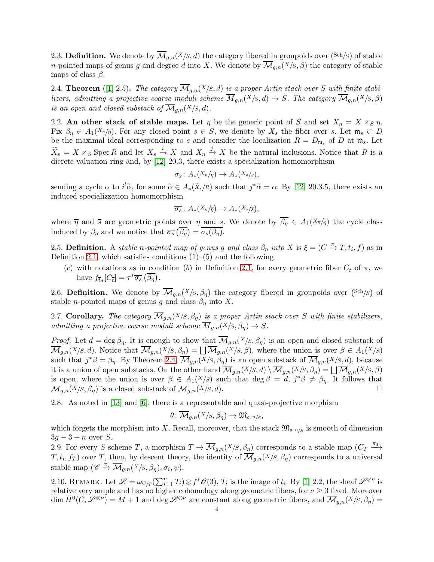2.3. Definition. We denote by  $\overline{\mathcal{M}}_{g,n}(X/S, d)$  the category fibered in groupoids over  $(\text{Sch}/S)$  of stable *n*-pointed maps of genus g and degree d into X. We denote by  $\overline{\mathcal{M}}_{q,n}(X/S,\beta)$  the category of stable maps of class  $\beta$ .

<span id="page-3-1"></span>2.4. **Theorem** ([\[1\]](#page-44-5) 2.5). The category  $\overline{\mathcal{M}}_{q,n}(X/S, d)$  is a proper Artin stack over S with finite stabilizers, admitting a projective coarse moduli scheme  $\overline{M}_{q,n}(X|S,d) \to S$ . The category  $\overline{M}_{q,n}(X|S,\beta)$ is an open and closed substack of  $\overline{\mathcal{M}}_{q,n}(X/S, d)$ .

2.2. An other stack of stable maps. Let  $\eta$  be the generic point of S and set  $X_{\eta} = X \times_S \eta$ . Fix  $\beta_{\eta} \in A_1(X_{\eta}/\eta)$ . For any closed point  $s \in S$ , we denote by  $X_s$  the fiber over s. Let  $\mathfrak{m}_s \subset D$ be the maximal ideal corresponding to s and consider the localization  $R = D_{\mathfrak{m}_s}$  of D at  $\mathfrak{m}_s$ . Let  $\widetilde{X}_s = X \times_S \operatorname{Spec} R$  and let  $X_s \stackrel{i}{\to} X$  and  $X_\eta \stackrel{j}{\to} X$  be the natural inclusions. Notice that R is a dicrete valuation ring and, by [\[12\]](#page-44-13) 20.3, there exists a specialization homomorphism

$$
\sigma_s\colon A_*(X_\eta/\eta)\to A_*(X_s/s),
$$

sending a cycle  $\alpha$  to  $i^{\dagger} \tilde{\alpha}$ , for some  $\tilde{\alpha} \in A_*(\tilde{X}_s/R)$  such that  $j^* \tilde{\alpha} = \alpha$ . By [\[12\]](#page-44-13) 20.3.5, there exists an induced specializzation homomorphism

$$
\overline{\sigma_s} \colon A_*(X_{\overline{\eta}}/\overline{\eta}) \to A_*(X_{\overline{s}}/\overline{s}),
$$

where  $\overline{\eta}$  and  $\overline{s}$  are geometric points over  $\eta$  and s. We denote by  $\overline{\beta_{\eta}} \in A_1(X_{\overline{\eta}}/\overline{\eta})$  the cycle class induced by  $\beta_{\eta}$  and we notice that  $\overline{\sigma_s}(\overline{\beta_{\eta}}) = \overline{\sigma_s(\beta_{\eta})}$ .

2.5. Definition. A stable n-pointed map of genus g and class  $\beta_{\eta}$  into X is  $\xi = (C \stackrel{\pi}{\to} T, t_i, f)$  as in Definition [2.1,](#page-2-1) which satisfies conditions  $(1)$ – $(5)$  and the following

(c) with notations as in condition (b) in Definition [2.1,](#page-2-1) for every geometric fiber  $C_{\bar{t}}$  of  $\pi$ , we have  $f_{\overline{t}*}[C_{\overline{t}}] = \tau^* \overline{\sigma_s} (\overline{\beta_{\eta}}).$ 

<span id="page-3-0"></span>2.6. Definition. We denote by  $\overline{\mathcal{M}}_{g,n}(X/S,\beta_n)$  the category fibered in groupoids over (Sch/S) of stable *n*-pointed maps of genus g and class  $\beta_{\eta}$  into X.

2.7. Corollary. The category  $\overline{\mathcal{M}}_{q,n}(X/S,\beta_n)$  is a proper Artin stack over S with finite stabilizers, admitting a projective coarse moduli scheme  $\overline{M}_{q,n}(X/S,\beta_n) \to S$ .

*Proof.* Let  $d = \deg \beta_{\eta}$ . It is enough to show that  $\overline{\mathcal{M}}_{g,n}(X/S, \beta_{\eta})$  is an open and closed substack of  $\overline{\mathcal{M}}_{g,n}(X/S,d)$ . Notice that  $\overline{\mathcal{M}}_{g,n}(X/S,\beta_\eta) = \bigsqcup \overline{\mathcal{M}}_{g,n}(X/S,\beta)$ , where the union is over  $\beta \in A_1(X/S)$ such that  $j^*\beta = \beta_\eta$ . By Theorem [2.4,](#page-3-1)  $\overline{\mathcal{M}}_{g,n}(X/S,\beta_\eta)$  is an open substack of  $\overline{\mathcal{M}}_{g,n}(X/S,d)$ , because it is a union of open substacks. On the other hand  $\overline{\mathcal{M}}_{g,n}(X/S,d) \setminus \overline{\mathcal{M}}_{g,n}(X/S,\beta_{\eta}) = \bigsqcup \overline{\mathcal{M}}_{g,n}(X/S,\beta)$ is open, where the union is over  $\beta \in A_1(X/S)$  such that  $\deg \beta = d, j^* \beta \neq \beta_{\eta}$ . It follows that  $\mathcal{M}_{g,n}(X/S,\beta_n)$  is a closed substack of  $\mathcal{M}_{g,n}(X/S,d)$ .

2.8. As noted in [\[13\]](#page-44-4) and [\[6\]](#page-44-3), there is a representable and quasi-projective morphism

$$
\theta\colon \overline{\mathcal{M}}_{g,n}(X/S,\beta_\eta)\to \mathfrak{M}_{g,\,n/S},
$$

which forgets the morphism into X. Recall, moreover, that the stack  $\mathfrak{M}_{g,n/S}$  is smooth of dimension  $3g-3+n$  over S.

2.9. For every S-scheme T, a morphism  $T \to \overline{\mathcal{M}}_{g,n}(X/S, \beta_\eta)$  corresponds to a stable map  $(C_T \xrightarrow{\pi_T}$  $T, t_i, f_T$ ) over T, then, by descent theory, the identity of  $\mathcal{M}_{g,n}(X/S, \beta_\eta)$  corresponds to a universal stable map  $(\mathscr{C} \stackrel{\pi}{\to} \overline{\mathcal{M}}_{g,n}(X/S,\beta_{\eta}), \sigma_i, \psi)$ .

<span id="page-3-2"></span>2.10. REMARK. Let  $\mathscr{L} = \omega_{C/T}(\sum_{i=1}^n T_i) \otimes f^* \mathscr{O}(3), T_i$  is the image of  $t_i$ . By [\[1\]](#page-44-5) 2.2, the sheaf  $\mathscr{L}^{\otimes \nu}$  is relative very ample and has no higher cohomology along geometric fibers, for  $\nu \geq 3$  fixed. Moreover  $\dim H^0(C, \mathscr{L}^{\otimes \nu}) = M + 1$  and  $\deg \mathscr{L}^{\otimes \nu}$  are constant along geometric fibers, and  $\overline{\mathcal{M}}_{g,n}(X/S, \beta_\eta) =$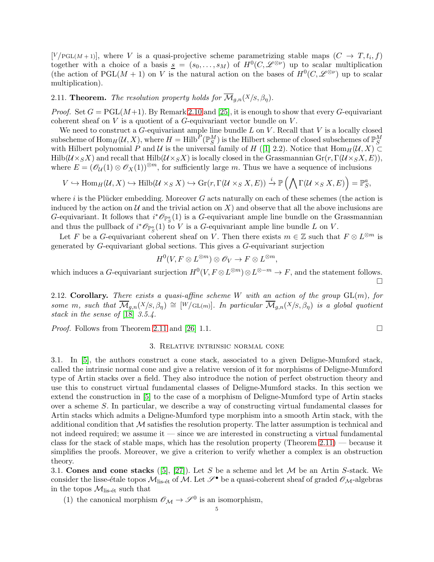$[V/\text{PGL}(M+1)],$  where V is a quasi-projective scheme parametrizing stable maps  $(C \rightarrow T, t_i, f)$ together with a choice of a basis  $\underline{s} = (s_0, \ldots, s_M)$  of  $H^0(C, \mathscr{L}^{\otimes \nu})$  up to scalar multiplication (the action of PGL $(M + 1)$  on V is the natural action on the bases of  $H^0(C, \mathcal{L}^{\otimes \nu})$  up to scalar multiplication).

<span id="page-4-1"></span>2.11. **Theorem.** The resolution property holds for  $\overline{\mathcal{M}}_{g,n}(X/S, \beta_n)$ .

*Proof.* Set  $G = \text{PGL}(M+1)$ . By Remark [2.10](#page-3-2) and [\[25\]](#page-44-14), it is enough to show that every G-equivariant coherent sheaf on  $V$  is a quotient of a  $G$ -equivariant vector bundle on  $V$ .

We need to construct a  $G$ -equivariant ample line bundle  $L$  on  $V$ . Recall that  $V$  is a locally closed subscheme of  $\mathrm{Hom}_H(\mathcal{U},X)$ , where  $H=\mathrm{Hilb}^P(\mathbb{P}^M_S)$  is the Hilbert scheme of closed subschemes of  $\mathbb{P}^M_S$ with Hilbert polynomial P and U is the universal family of H ([\[1\]](#page-44-5) 2.2). Notice that  $\text{Hom}_{H}(U, X) \subset$  $Hilb(\mathcal{U}\times_S X)$  and recall that  $Hilb(\mathcal{U}\times_S X)$  is locally closed in the Grassmannian  $Gr(r, \Gamma(\mathcal{U}\times_S X, E))$ , where  $E = (\mathcal{O}_U(1) \otimes \mathcal{O}_X(1))^{\otimes m}$ , for sufficiently large m. Thus we have a sequence of inclusions

$$
V \hookrightarrow \text{Hom}_{H}(U, X) \hookrightarrow \text{Hilb}(U \times_{S} X) \hookrightarrow \text{Gr}(r, \Gamma(U \times_{S} X, E)) \xrightarrow{i} \mathbb{P}\left(\bigwedge \Gamma(U \times_{S} X, E)\right) = \mathbb{P}_{S}^{a},
$$

where  $i$  is the Plücker embedding. Moreover  $G$  acts naturally on each of these schemes (the action is induced by the action on  $\mathcal U$  and the trivial action on X) and observe that all the above inclusions are G-equivariant. It follows that  $i^*{\mathcal O}_{{\mathbb P}^a_S}(1)$  is a G-equivariant ample line bundle on the Grassmannian and thus the pullback of  $i^*\mathcal{O}_{\mathbb{P}^a_S}(1)$  to V is a G-equivariant ample line bundle L on V.

Let F be a G-equivariant coherent sheaf on V. Then there exists  $m \in \mathbb{Z}$  such that  $F \otimes L^{\otimes m}$  is generated by G-equivariant global sections. This gives a G-equivariant surjection

$$
H^0(V, F \otimes L^{\otimes m}) \otimes \mathscr{O}_V \to F \otimes L^{\otimes m},
$$

which induces a G-equivariant surjection  $H^0(V, F \otimes L^{\otimes m}) \otimes L^{\otimes -m} \to F$ , and the statement follows.  $\Box$ 

2.12. Corollary. There exists a quasi-affine scheme W with an action of the group  $GL(m)$ , for some m, such that  $\overline{\mathcal{M}}_{q,n}(X/S,\beta_n) \cong [W/\mathrm{GL}(m)]$ . In particular  $\overline{\mathcal{M}}_{q,n}(X/S,\beta_n)$  is a global quotient stack in the sense of [\[18\]](#page-44-7) 3.5.4.

<span id="page-4-0"></span>*Proof.* Follows from Theorem [2.11](#page-4-1) and [\[26\]](#page-44-15) 1.1.

### 3. Relative intrinsic normal cone

3.1. In [\[5\]](#page-44-6), the authors construct a cone stack, associated to a given Deligne-Mumford stack, called the intrinsic normal cone and give a relative version of it for morphisms of Deligne-Mumford type of Artin stacks over a field. They also introduce the notion of perfect obstruction theory and use this to construct virtual fundamental classes of Deligne-Mumford stacks. In this section we extend the construction in [\[5\]](#page-44-6) to the case of a morphism of Deligne-Mumford type of Artin stacks over a scheme S. In particular, we describe a way of constructing virtual fundamental classes for Artin stacks which admits a Deligne-Mumford type morphism into a smooth Artin stack, with the additional condition that  $\mathcal M$  satisfies the resolution property. The latter assumption is technical and not indeed required; we assume it — since we are interested in constructing a virtual fundamental class for the stack of stable maps, which has the resolution property (Theorem [2.11\)](#page-4-1) — because it simplifies the proofs. Moreover, we give a criterion to verify whether a complex is an obstruction theory.

3.1. Cones and cone stacks ([\[5\]](#page-44-6), [\[27\]](#page-44-16)). Let S be a scheme and let M be an Artin S-stack. We consider the lisse-étale topos  $M_{\text{lis-\'et}}$  of M. Let  $\mathscr{S}^{\bullet}$  be a quasi-coherent sheaf of graded  $\mathscr{O}_{\mathcal{M}}$ -algebras in the topos  $\mathcal{M}_{\text{lis-\'et}}$  such that

(1) the canonical morphism  $\mathscr{O}_\mathcal{M} \to \mathscr{S}^0$  is an isomorphism,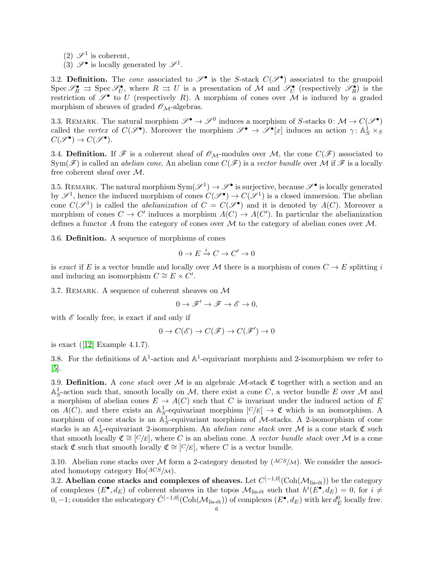- (2)  $\mathscr{S}^1$  is coherent,
- (3)  $\mathscr{S}^{\bullet}$  is locally generated by  $\mathscr{S}^{1}$ .

3.2. Definition. The cone associated to  $\mathscr{S}^{\bullet}$  is the S-stack  $C(\mathscr{S}^{\bullet})$  associated to the groupoid  $Spec \mathscr{S}_R^{\bullet} \rightrightarrows Spec \mathscr{S}_U^{\bullet}$ , where  $R \rightrightarrows U$  is a presentation of M and  $\mathscr{S}_U^{\bullet}$  (respectively  $\mathscr{S}_R^{\bullet}$ ) is the restriction of  $\mathscr{S}^{\bullet}$  to U (respectively R). A morphism of cones over  $\mathscr M$  is induced by a graded morphism of sheaves of graded  $\mathcal{O}_{\mathcal{M}}$ -algebras.

3.3. REMARK. The natural morphism  $\mathscr{S}^{\bullet} \to \mathscr{S}^0$  induces a morphism of S-stacks  $0: \mathcal{M} \to C(\mathscr{S}^{\bullet})$ called the vertex of  $C(\mathscr{S}^{\bullet})$ . Moreover the morphism  $\mathscr{S}^{\bullet} \to \mathscr{S}^{\bullet}[x]$  induces an action  $\gamma: \mathbb{A}^1_S \times_S \mathbb{A}^2$  $C(\mathscr{S}^{\bullet}) \to C(\mathscr{S}^{\bullet}).$ 

3.4. Definition. If  $\mathscr F$  is a coherent sheaf of  $\mathscr O_M$ -modules over M, the cone  $C(\mathscr F)$  associated to  $Sym(\mathscr{F})$  is called an *abelian cone*. An abelian cone  $C(\mathscr{F})$  is a vector bundle over M if  $\mathscr{F}$  is a locally free coherent sheaf over M.

3.5. REMARK. The natural morphism  $Sym(\mathscr{S}^1) \to \mathscr{S}^{\bullet}$  is surjective, because  $\mathscr{S}^{\bullet}$  is locally generated by  $\mathscr{S}^1$ , hence the induced morphism of cones  $C(\mathscr{S}^{\bullet}) \to C(\mathscr{S}^1)$  is a closed immersion. The abelian cone  $C(\mathscr{S}^1)$  is called the *abelianization* of  $C = C(\mathscr{S}^{\bullet})$  and it is denoted by  $A(C)$ . Moreover a morphism of cones  $C \to C'$  induces a morphism  $A(C) \to A(C')$ . In particular the abelianization defines a functor A from the category of cones over  $\mathcal M$  to the category of abelian cones over  $\mathcal M$ .

3.6. Definition. A sequence of morphisms of cones

$$
0 \to E \xrightarrow{i} C \to C' \to 0
$$

is exact if E is a vector bundle and locally over M there is a morphism of cones  $C \to E$  splitting i and inducing an isomorphism  $C \cong E \times C'$ .

3.7. REMARK. A sequence of coherent sheaves on  $\mathcal M$ 

$$
0 \to \mathscr{F}' \to \mathscr{F} \to \mathscr{E} \to 0,
$$

with  $\mathscr E$  locally free, is exact if and only if

$$
0 \to C(\mathscr{E}) \to C(\mathscr{F}) \to C(\mathscr{F}') \to 0
$$

isexact  $([12]$  $([12]$  Example 4.1.7).

3.8. For the definitions of  $\mathbb{A}^1$ -action and  $\mathbb{A}^1$ -equivariant morphism and 2-isomorphism we refer to [\[5\]](#page-44-6).

3.9. Definition. A cone stack over M is an algebraic M-stack  $\mathfrak C$  together with a section and an  $\mathbb{A}^1_S$ -action such that, smooth locally on M, there exist a cone C, a vector bundle E over M and a morphism of abelian cones  $E \to A(C)$  such that C is invariant under the induced action of E on  $A(C)$ , and there exists an  $\mathbb{A}^1_{S}$ -equivariant morphism  $[C/E] \to \mathfrak{C}$  which is an isomorphism. A morphism of cone stacks is an  $\mathbb{A}^1_S$ -equivariant morphism of M-stacks. A 2-isomorphism of cone stacks is an  $\mathbb{A}^1_S$ -equivariant 2-isomorphism. An *abelian cone stack* over M is a cone stack  $\mathfrak C$  such that smooth locally  $\mathfrak{C} \cong [C/E]$ , where C is an abelian cone. A vector bundle stack over M is a cone stack  $\mathfrak C$  such that smooth locally  $\mathfrak C \cong [C/E]$ , where C is a vector bundle.

3.10. Abelian cone stacks over M form a 2-category denoted by  $(ACS/M)$ . We consider the associated homotopy category  $Ho(ACS/M)$ .

3.2. Abelian cone stacks and complexes of sheaves. Let  $C^{[-1,0]}(\text{Coh}(\mathcal{M}_{\text{lis-\'et}}))$  be the category of complexes  $(E^{\bullet}, d_E)$  of coherent sheaves in the topos  $\mathcal{M}_{\text{lis-\'et}}$  such that  $h^i(E^{\bullet}, d_E) = 0$ , for  $i \neq$ 0, -1; consider the subcategory  $\hat{C}^{[-1,0]}(\text{Coh}(\mathcal{M}_{\text{lis-\'et}}))$  of complexes  $(E^{\bullet}, d_E)$  with ker  $d_E^0$  locally free.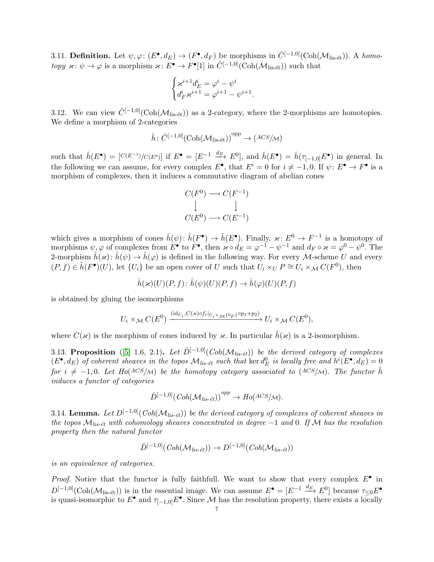3.11. **Definition.** Let  $\psi, \varphi: (E^{\bullet}, d_E) \to (F^{\bullet}, d_F)$  be morphisms in  $\hat{C}^{[-1,0]}(\text{Coh}(\mathcal{M}_{\text{lis-\'et}})).$  A homotopy  $\varkappa: \psi \to \varphi$  is a morphism  $\varkappa: E^{\bullet} \to F^{\bullet}[1]$  in  $\hat{C}^{[-1,0]}(\text{Coh}(\mathcal{M}_{\text{lis-\'et}}))$  such that

$$
\begin{cases} \varkappa^{i+1}d_E^i=\varphi^i-\psi^i\\ d_F^i\varkappa^{i+1}=\varphi^{i+1}-\psi^{i+1}. \end{cases}
$$

3.12. We can view  $\hat{C}^{[-1,0]}(\text{Coh}(\mathcal{M}_{\text{lis-\'et}}))$  as a 2-category, where the 2-morphisms are homotopies. We define a morphism of 2-categories

$$
\hat{h} \colon \hat{C}^{[-1,0]}(\text{Coh}(\mathcal{M}_{\text{lis-\'et}}))^{\text{opp}} \to ( \text{ACS}/\text{M} )
$$

such that  $\hat{h}(E^{\bullet}) = [C(E^{-1})/C(E^0)]$  if  $E^{\bullet} = [E^{-1} \xrightarrow{d_E} E^0]$ , and  $\hat{h}(E^{\bullet}) = \hat{h}(\tau_{[-1,0]}E^{\bullet})$  in general. In the following we can assume, for every complex  $E^{\bullet}$ , that  $E^i = 0$  for  $i \neq -1, 0$ . If  $\psi: E^{\bullet} \to F^{\bullet}$  is a morphism of complexes, then it induces a commutative diagram of abelian cones

$$
C(F^0) \longrightarrow C(F^{-1})
$$
  
\n
$$
\downarrow \qquad \qquad \downarrow
$$
  
\n
$$
C(E^0) \longrightarrow C(E^{-1})
$$

which gives a morphism of cones  $\hat{h}(\psi)$ :  $\hat{h}(F^{\bullet}) \to \hat{h}(E^{\bullet})$ . Finally,  $\varkappa: E^0 \to F^{-1}$  is a homotopy of morphisms  $\psi, \varphi$  of complexes from  $E^{\bullet}$  to  $F^{\bullet}$ , then  $\varkappa \circ d_E = \varphi^{-1} - \psi^{-1}$  and  $d_F \circ \varkappa = \varphi^0 - \psi^0$ . The 2-morphism  $\hat{h}(\kappa): \hat{h}(\psi) \to \hat{h}(\varphi)$  is defined in the following way. For every M-scheme U and every  $(P, f) \in \hat{h}(F^{\bullet})(U)$ , let  $\{U_i\}$  be an open cover of U such that  $U_i \times_U P \cong U_i \times_{\mathcal{M}} C(F^0)$ , then

$$
\hat{h}(\varkappa)(U)(P, f) \colon \hat{h}(\psi)(U)(P, f) \to \hat{h}(\varphi)(U)(P, f)
$$

is obtained by gluing the isomorphisms

$$
U_i \times_{\mathcal{M}} C(E^0) \xrightarrow{\left(\mathrm{id}_{U_i}, C(\varkappa) \circ f_i\right|_{U_i \times_{\mathcal{M}} \{0_F\}} \circ p_1 + p_2)} U_i \times_{\mathcal{M}} C(E^0),
$$

where  $C(\kappa)$  is the morphism of cones induced by  $\kappa$ . In particular  $\hat{h}(\kappa)$  is a 2-isomorphism.

3.13. Proposition ([\[5\]](#page-44-6) 1.6, 2.1). Let  $\hat{D}^{[-1,0]}(Coh(\mathcal{M}_{lis-\acute{e}t}))$  be the derived category of complexes  $(E^{\bullet}, d_E)$  of coherent sheaves in the topos  $\mathcal{M}_{lis-\'et}$  such that ker  $d_E^0$  is locally free and  $h^i(E^{\bullet}, d_E) = 0$ for  $i \neq -1, 0$ . Let  $Ho(ACS/M)$  be the homotopy category associated to  $(ACS/M)$ . The functor  $\hat{h}$ induces a functor of categories

$$
\hat{D}^{[-1,0]}(Coh(\mathcal{M}_{lis-\acute{e}t}))^{opp} \to Ho(ACS/\mathcal{M}).
$$

3.14. Lemma. Let  $D^{[-1,0]}(Coh(\mathcal{M}_{lis-\'{e}t}))$  be the derived category of complexes of coherent sheaves in the topos  $\mathcal{M}_{lis-\'et}$  with cohomology sheaves concentrated in degree  $-1$  and 0. If M has the resolution property then the natural functor

$$
\hat{D}^{[-1,0]}(Coh(\mathcal{M}_{lis-\acute{e}t})) \to D^{[-1,0]}(Coh(\mathcal{M}_{lis-\acute{e}t}))
$$

is an equivalence of categories.

*Proof.* Notice that the functor is fully faithfull. We want to show that every complex  $E^{\bullet}$  in  $D^{[-1,0]}(\text{Coh}(\mathcal{M}_{\text{lis-\'et}}))$  is in the essential image. We can assume  $E^{\bullet} = [E^{-1} \xrightarrow{d_E} E^0]$  because  $\tau_{\leq 0} E^{\bullet}$ is quasi-isomorphic to  $E^{\bullet}$  and  $\tau_{[-1,0]}E^{\bullet}$ . Since M has the resolution property, there exists a locally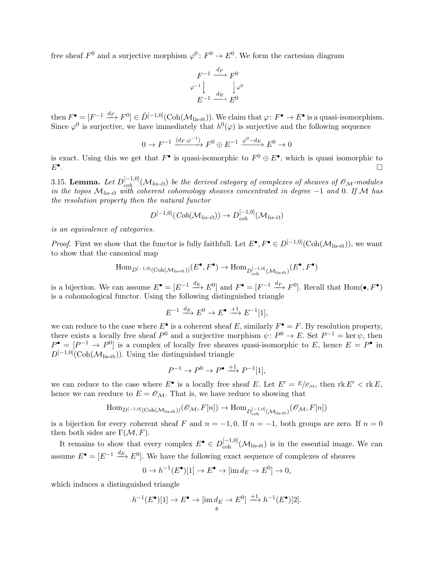free sheaf  $F^0$  and a surjective morphism  $\varphi^0 \colon F^0 \to E^0$ . We form the cartesian diagram

$$
F^{-1} \xrightarrow{d_F} F^0
$$
  

$$
\varphi^{-1} \downarrow \qquad \qquad \downarrow \varphi^0
$$
  

$$
E^{-1} \xrightarrow{d_E} E^0
$$

then  $F^{\bullet} = [F^{-1} \xrightarrow{d_F} F^0] \in \hat{D}^{[-1,0]}(\text{Coh}(\mathcal{M}_{\text{lis-\'et}})).$  We claim that  $\varphi \colon F^{\bullet} \to E^{\bullet}$  is a quasi-isomorphism. Since  $\varphi^0$  is surjective, we have immediately that  $h^0(\varphi)$  is surjective and the following sequence

$$
0 \to F^{-1} \xrightarrow{(d_F, \varphi^{-1})} F^0 \oplus E^{-1} \xrightarrow{\varphi^0 - d_E} E^0 \to 0
$$

is exact. Using this we get that  $F^{\bullet}$  is quasi-isomorphic to  $F^0 \oplus E^{\bullet}$ , which is quasi isomorphic to  $E^{\bullet}$ . .

3.15. Lemma. Let  $D_{coh}^{[-1,0]}(\mathcal{M}_{lis\text{-}\'{e}t})$  be the derived category of complexes of sheaves of  $\mathscr{O}_\mathcal{M}$ -modules in the topos  $\mathcal{M}_{lis-\'et}$  with coherent cohomology sheaves concentrated in degree  $-1$  and 0. If M has the resolution property then the natural functor

$$
D^{[-1,0]}(Coh(\mathcal{M}_{lis-\acute{e}t})) \to D^{[-1,0]}_{coh}(\mathcal{M}_{lis-\acute{e}t})
$$

is an equivalence of categories.

*Proof.* First we show that the functor is fully faithfull. Let  $E^{\bullet}, F^{\bullet} \in D^{[-1,0]}(\text{Coh}(\mathcal{M}_{\text{lis-\'et}})),$  we want to show that the canonical map

$$
\mathrm{Hom}_{D^{[-1,0]}(\mathrm{Coh}(\mathcal{M}_{\mathrm{lis\text{-}\acute{e}t}}))}(E^{\bullet}, F^{\bullet}) \to \mathrm{Hom}_{D^{[-1,0]}_{\mathrm{coh}}(\mathcal{M}_{\mathrm{lis\text{-}\acute{e}t}})}(E^{\bullet}, F^{\bullet})
$$

is a bijection. We can assume  $E^{\bullet} = [E^{-1} \xrightarrow{d_E} E^0]$  and  $F^{\bullet} = [F^{-1} \xrightarrow{d_F} F^0]$ . Recall that  $Hom(\bullet, F^{\bullet})$ is a cohomological functor. Using the following distinguished triangle

$$
E^{-1} \xrightarrow{d_E} E^0 \to E^{\bullet} \xrightarrow{+1} E^{-1}[1],
$$

we can reduce to the case where  $E^{\bullet}$  is a coherent sheaf E, similarly  $F^{\bullet} = F$ . By resolution property, there exists a locally free sheaf  $P^0$  and a surjective morphism  $\psi: P^0 \to E$ . Set  $P^{-1} = \ker \psi$ , then  $P^{\bullet} = [P^{-1} \to P^{0}]$  is a complex of locally free sheaves quasi-isomorphic to E, hence  $E = P^{\bullet}$  in  $D^{[-1,0]}(\text{Coh}(\mathcal{M}_{\text{lis-\'et}}))$ . Using the distinguished triangle

$$
P^{-1} \to P^0 \to P^{\bullet} \xrightarrow{+1} P^{-1}[1],
$$

we can reduce to the case where  $E^{\bullet}$  is a locally free sheaf E. Let  $E' = E/\mathscr{O}_{\mathcal{M}}$ , then  $\text{rk } E' < \text{rk } E$ , hence we can reeduce to  $E = \mathcal{O}_M$ . That is, we have reduce to showing that

$$
\mathrm{Hom}_{D^{[-1,0]}(\mathrm{Coh}(\mathcal{M}_{\mathrm{lis-\'et}}))}(\mathscr{O}_{\mathcal{M}}, F[n]) \rightarrow \mathrm{Hom}_{D^{[-1,0]}_{\mathrm{coh}}(\mathcal{M}_{\mathrm{lis-\'et}})}(\mathscr{O}_{\mathcal{M}}, F[n])
$$

is a bijection for every coherent sheaf F and  $n = -1, 0$ . If  $n = -1$ , both groups are zero. If  $n = 0$ then both sides are  $\Gamma(\mathcal{M}, F)$ .

It remains to show that every complex  $E^{\bullet} \in D_{\text{coh}}^{[-1,0]}(\mathcal{M}_{\text{lis-\'et}})$  is in the essential image. We can assume  $E^{\bullet} = [E^{-1} \stackrel{d_{E}}{\longrightarrow} E^{0}]$ . We have the following exact sequence of complexes of sheaves

$$
0 \to h^{-1}(E^{\bullet})[1] \to E^{\bullet} \to [\text{im } d_E \to E^0] \to 0,
$$

which induces a distinguished triangle

$$
h^{-1}(E^{\bullet})[1] \to E^{\bullet} \to [\text{im}\,d_E \to E^0] \xrightarrow{+1} h^{-1}(E^{\bullet})[2].
$$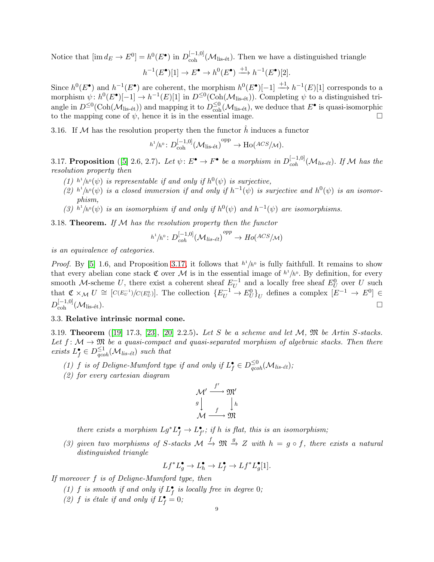Notice that  $[\text{im } d_E \to E^0] = h^0(E^{\bullet})$  in  $D_{\text{coh}}^{[-1,0]}(\mathcal{M}_{\text{lis-\'et}})$ . Then we have a distinguished triangle

$$
h^{-1}(E^{\bullet})[1] \to E^{\bullet} \to h^0(E^{\bullet}) \xrightarrow{+1} h^{-1}(E^{\bullet})[2].
$$

Since  $h^0(E^{\bullet})$  and  $h^{-1}(E^{\bullet})$  are coherent, the morphism  $h^0(E^{\bullet})[-1] \longrightarrow h^{-1}(E)[1]$  corresponds to a morphism  $\psi: h^0(E^{\bullet})[-1] \to h^{-1}(E)[1]$  in  $D^{\leq 0}(\text{Coh}(\mathcal{M}_{\text{lis-\'et}}))$ . Completing  $\psi$  to a distinguished triangle in  $D^{\leq 0}(\text{Coh}(\mathcal{M}_{\text{lis-\'et}}))$  and mapping it to  $D^{\leq 0}_{\text{coh}}(\mathcal{M}_{\text{lis-\'et}})$ , we deduce that  $E^{\bullet}$  is quasi-isomorphic to the mapping cone of  $\psi$ , hence it is in the essential image.

3.16. If  $M$  has the resolution property then the functor h induces a functor

$$
h^1/h^0\colon D^{[-1,0]}_{\operatorname{coh}}(\mathcal{M}_{\operatorname{lis-\'et}})^{\operatorname{opp}}\to \operatorname{Ho}({\mathit{ACS}}/\mathcal{M}).
$$

<span id="page-8-0"></span>3.17. Proposition ([\[5\]](#page-44-6) 2.6, 2.7). Let  $\psi: E^{\bullet} \to F^{\bullet}$  be a morphism in  $D_{coh}^{[-1,0]}(\mathcal{M}_{lis-\'et})$ . If M has the resolution property then

- (1)  $h^1/h^0(\psi)$  is representable if and only if  $h^0(\psi)$  is surjective,
- (2)  $h^1/h^0(\psi)$  is a closed immersion if and only if  $h^{-1}(\psi)$  is surjective and  $h^0(\psi)$  is an isomorphism,
- (3)  $h^1/h^0(\psi)$  is an isomorphism if and only if  $h^0(\psi)$  and  $h^{-1}(\psi)$  are isomorphisms.

<span id="page-8-2"></span>3.18. **Theorem.** If  $M$  has the resolution property then the functor

$$
h^1/h^0\colon D^{[-1,0]}_{coh}(\mathcal{M}_{lis\text{-}\acute{e}t})^{opp}\to Ho(A^{CS}/\mathcal{M})
$$

is an equivalence of categories.

*Proof.* By [\[5\]](#page-44-6) 1.6, and Proposition [3.17,](#page-8-0) it follows that  $h^1/h^0$  is fully faithfull. It remains to show that every abelian cone stack  $\mathfrak C$  over M is in the essential image of  $h^1/h^0$ . By definition, for every smooth M-scheme U, there exist a coherent sheaf  $E_{II}^{-1}$  $U^{-1}$  and a locally free sheaf  $E_U^0$  over U such that  $\mathfrak{C} \times_{\mathcal{M}} U \cong [C(E_U^{-1})/C(E_U^0)]$ . The collection  $\{E_U^{-1} \to E_U^0\}_U$  defines a complex  $[E^{-1} \to E^0] \in$  $D_{\rm coh}^{[-1,0]}(\mathcal{M}_{\rm lis\text{-\'et}}).$ 

### 3.3. Relative intrinsic normal cone.

<span id="page-8-1"></span>3.19. Theorem ([\[19\]](#page-44-12) 17.3, [\[23\]](#page-44-17), [\[20\]](#page-44-18) 2.2.5). Let S be a scheme and let  $M$ ,  $\mathfrak{M}$  be Artin S-stacks. Let  $f: \mathcal{M} \to \mathfrak{M}$  be a quasi-compact and quasi-separated morphism of algebraic stacks. Then there exists  $L_f^{\bullet} \in D_{qcoh}^{\leq 1}(\mathcal{M}_{lis\text{-\'et}})$  such that

- (1) f is of Deligne-Mumford type if and only if  $L_f^{\bullet} \in D_{qcoh}^{\leq 0}(\mathcal{M}_{lis\text{-}\acute{e}t});$
- (2) for every cartesian diagram

$$
\begin{array}{c}\nM' \xrightarrow{f'} \mathfrak{M}' \\
g \downarrow \\
M \xrightarrow{f} \mathfrak{M}\n\end{array}
$$

there exists a morphism  $Lg^*L_f^{\bullet} \to L_{f'}^{\bullet}$ ; if h is flat, this is an isomorphism;

(3) given two morphisms of S-stacks  $\mathcal{M} \xrightarrow{f} \mathfrak{M} \xrightarrow{g} Z$  with  $h = g \circ f$ , there exists a natural distinguished triangle

$$
Lf^*L_g^{\bullet} \to L_h^{\bullet} \to L_f^{\bullet} \to Lf^*L_g^{\bullet}[1].
$$

If moreover f is of Deligne-Mumford type, then

- (1) f is smooth if and only if  $L_f^{\bullet}$  is locally free in degree 0;
- (2) f is étale if and only if  $L_f^{\bullet} = 0$ ;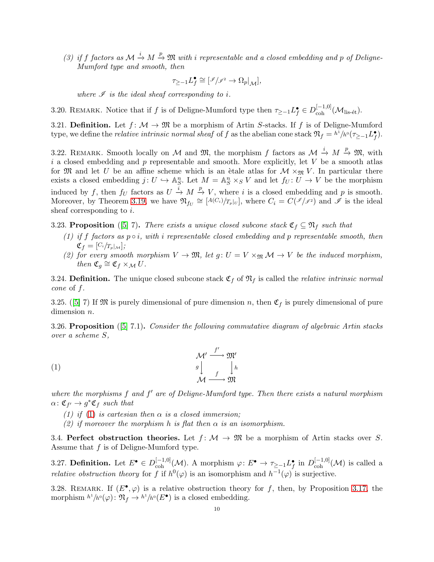(3) if f factors as  $\mathcal{M} \stackrel{i}{\to} M \stackrel{p}{\to} \mathfrak{M}$  with i representable and a closed embedding and p of Deligne-Mumford type and smooth, then

$$
\tau_{\geq -1} L_f^{\bullet} \cong [\mathscr{I}/\mathscr{I}^{\scriptscriptstyle 2} \to \Omega_p|_{\mathcal M}],
$$

where  $\mathscr I$  is the ideal sheaf corresponding to i.

3.20. REMARK. Notice that if f is of Deligne-Mumford type then  $\tau_{\geq -1} L_f^{\bullet} \in D_{\text{coh}}^{[-1,0]}(\mathcal{M}_{\text{lis-\'et}})$ .

3.21. Definition. Let  $f: \mathcal{M} \to \mathfrak{M}$  be a morphism of Artin S-stacks. If f is of Deligne-Mumford type, we define the *relative intrinsic normal sheaf* of f as the abelian cone stack  $\mathfrak{N}_f = h^1/h^0(\tau_{\geq -1}L_f^{\bullet}).$ 

3.22. REMARK. Smooth locally on M and M, the morphism f factors as  $\mathcal{M} \stackrel{i}{\to} M \stackrel{p}{\to} \mathfrak{M}$ , with i a closed embedding and  $p$  representable and smooth. More explicitly, let  $V$  be a smooth atlas for M and let U be an affine scheme which is an ètale atlas for  $\mathcal{M} \times_{\mathfrak{M}} V$ . In particular there exists a closed embedding  $j: U \hookrightarrow \mathbb{A}_{S}^{n}$ . Let  $M = \mathbb{A}_{S}^{n} \times_{S} V$  and let  $f_{U}: U \to V$  be the morphism induced by f, then  $f_U$  factors as  $U \stackrel{i}{\to} M \stackrel{p}{\to} V$ , where i is a closed embedding and p is smooth. Moreover, by Theorem [3.19,](#page-8-1) we have  $\mathfrak{N}_{f_U} \cong [A(C_i)/T_p]_{U}$ , where  $C_i = C(\mathscr{I}/\mathscr{I})$  and  $\tilde{\mathscr{I}}$  is the ideal sheaf corresponding to  $i$ .

3.23. Proposition ([\[5\]](#page-44-6) 7). There exists a unique closed subcone stack  $\mathfrak{C}_f \subseteq \mathfrak{N}_f$  such that

- (1) if f factors as  $p \circ i$ , with i representable closed embedding and p representable smooth, then  $\mathfrak{C}_f = [C_i / T_p |_{\mathcal{M}}];$
- (2) for every smooth morphism  $V \to \mathfrak{M}$ , let  $g: U = V \times_{\mathfrak{M}} M \to V$  be the induced morphism, then  $\mathfrak{C}_g \cong \mathfrak{C}_f \times_{\mathcal{M}} U$ .

3.24. Definition. The unique closed subcone stack  $\mathfrak{C}_f$  of  $\mathfrak{N}_f$  is called the *relative intrinsic normal* cone of f.

3.25.([\[5\]](#page-44-6) 7) If  $\mathfrak{M}$  is purely dimensional of pure dimension n, then  $\mathfrak{C}_f$  is purely dimensional of pure dimension *n*.

3.26. Proposition ([\[5\]](#page-44-6) 7.1). Consider the following commutative diagram of algebraic Artin stacks over a scheme S,

(1) 
$$
\begin{array}{c}\n{\mathcal{M}'} \xrightarrow{f'} {\mathfrak{M}'}\\
g \downarrow \\
{\mathcal{M} \xrightarrow{f} \mathfrak{M}}\\
{\mathcal{M} \xrightarrow{f}}\n\end{array}
$$

where the morphisms  $f$  and  $f'$  are of Deligne-Mumford type. Then there exists a natural morphism  $\alpha \colon \mathfrak{C}_{f'} \to g^*\mathfrak{C}_f$  such that

- <span id="page-9-0"></span>[\(1\)](#page-9-0) if (1) is cartesian then  $\alpha$  is a closed immersion;
- (2) if moreover the morphism h is flat then  $\alpha$  is an isomorphism.

3.4. Perfect obstruction theories. Let  $f: \mathcal{M} \to \mathfrak{M}$  be a morphism of Artin stacks over S. Assume that f is of Deligne-Mumford type.

3.27. **Definition.** Let  $E^{\bullet} \in D_{\text{coh}}^{[-1,0]}(\mathcal{M})$ . A morphism  $\varphi: E^{\bullet} \to \tau_{\geq -1} L_f^{\bullet}$  in  $D_{\text{coh}}^{[-1,0]}(\mathcal{M})$  is called a *relative obstruction theory* for f if  $h^0(\varphi)$  is an isomorphism and  $h^{-1}(\varphi)$  is surjective.

<span id="page-9-1"></span>3.28. REMARK. If  $(E^{\bullet}, \varphi)$  is a relative obstruction theory for f, then, by Proposition [3.17,](#page-8-0) the morphism  $h^1/h^0(\varphi)$ :  $\mathfrak{N}_f \to h^1/h^0(E^{\bullet})$  is a closed embedding.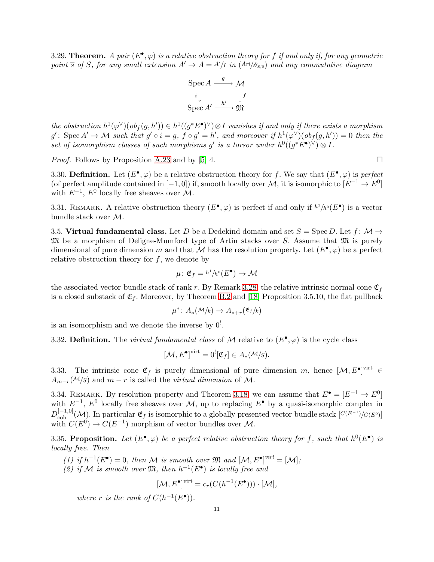<span id="page-10-2"></span>3.29. Theorem. A pair  $(E^{\bullet}, \varphi)$  is a relative obstruction theory for f if and only if, for any geometric point  $\overline{s}$  of S, for any small extension  $A' \to A = A'/I$  in  $(Art/\hat{\sigma}_{s,\overline{s}})$  and any commutative diagram

$$
\operatorname{Spec} A \xrightarrow{g} \mathcal{M}
$$
\n
$$
i \downarrow \qquad \qquad \downarrow f
$$
\n
$$
\operatorname{Spec} A' \xrightarrow{h'} \mathfrak{M}
$$

the obstruction  $h^1(\varphi^{\vee})(ob_f(g, h')) \in h^1((g^*E^{\bullet})^{\vee}) \otimes I$  vanishes if and only if there exists a morphism  $g'$ : Spec  $A' \to M$  such that  $g' \circ i = g$ ,  $f \circ g' = h'$ , and moreover if  $h^1(\varphi^{\vee})(ob_f(g, h')) = 0$  then the set of isomorphism classes of such morphisms g' is a torsor under  $h^0((g^*E^{\bullet})^{\vee}) \otimes I$ .

*Proof.* Follows by Proposition [A.23](#page-38-0) and by [\[5\]](#page-44-6) 4.  $\Box$ 

3.30. Definition. Let  $(E^{\bullet}, \varphi)$  be a relative obstruction theory for f. We say that  $(E^{\bullet}, \varphi)$  is perfect (of perfect amplitude contained in  $[-1,0]$ ) if, smooth locally over M, it is isomorphic to  $[E^{-1} \to E^{0}]$ with  $E^{-1}$ ,  $E^0$  locally free sheaves over  $\mathcal{M}$ .

<span id="page-10-1"></span>3.31. REMARK. A relative obstruction theory  $(E^{\bullet}, \varphi)$  is perfect if and only if  $h^1/h^0(E^{\bullet})$  is a vector bundle stack over M.

3.5. Virtual fundamental class. Let D be a Dedekind domain and set  $S = \text{Spec } D$ . Let  $f \colon \mathcal{M} \to$  $\mathfrak{M}$  be a morphism of Deligne-Mumford type of Artin stacks over S. Assume that  $\mathfrak{M}$  is purely dimensional of pure dimension m and that M has the resolution property. Let  $(E^{\bullet}, \varphi)$  be a perfect relative obstruction theory for  $f$ , we denote by

$$
\mu\colon \mathfrak{E}_f = h^1/h^0(E^{\bullet}) \to \mathcal{M}
$$

the associated vector bundle stack of rank r. By Remark [3.28,](#page-9-1) the relative intrinsic normal cone  $\mathfrak{C}_f$ is a closed substack of  $\mathfrak{E}_f$ . Moreover, by Theorem [B.2](#page-41-1) and [\[18\]](#page-44-7) Proposition 3.5.10, the flat pullback

$$
\mu^* \colon A_*(\mathcal{M}/k) \to A_{*+r}(\mathfrak{E}_f/k)
$$

is an isomorphism and we denote the inverse by  $0^!$ .

3.32. Definition. The *virtual fundamental class* of M relative to  $(E^{\bullet}, \varphi)$  is the cycle class

$$
[\mathcal{M}, E^{\bullet}]^{\text{virt}} = 0^![\mathfrak{C}_f] \in A_*(\mathcal{M}/S).
$$

3.33. The intrinsic cone  $\mathfrak{C}_f$  is purely dimensional of pure dimension m, hence  $[\mathcal{M}, E^{\bullet}]^{\text{virt}} \in$  $A_{m-r}(\mathcal{M}/s)$  and  $m-r$  is called the *virtual dimension* of M.

<span id="page-10-0"></span>3.34. REMARK. By resolution property and Theorem [3.18,](#page-8-2) we can assume that  $E^{\bullet} = [E^{-1} \to E^{0}]$ with  $E^{-1}$ ,  $E^0$  locally free sheaves over M, up to replacing  $E^{\bullet}$  by a quasi-isomorphic complex in  $D_{\rm coh}^{[-1,0]}(\mathcal{M})$ . In particular  $\mathfrak{E}_f$  is isomorphic to a globally presented vector bundle stack  $[C(E^{-1})/C(E^0)]$ with  $C(E^0) \to C(E^{-1})$  morphism of vector bundles over M.

<span id="page-10-3"></span>3.35. Proposition. Let  $(E^{\bullet}, \varphi)$  be a perfect relative obstruction theory for f, such that  $h^0(E^{\bullet})$  is locally free. Then

(1) if  $h^{-1}(E^{\bullet}) = 0$ , then M is smooth over  $\mathfrak{M}$  and  $[\mathcal{M}, E^{\bullet}]^{virt} = [\mathcal{M}]$ ;

(2) if M is smooth over  $\mathfrak{M}$ , then  $h^{-1}(E^{\bullet})$  is locally free and

$$
[\mathcal{M}, E^{\bullet}]^{virt} = c_r(C(h^{-1}(E^{\bullet}))) \cdot [\mathcal{M}],
$$

where r is the rank of  $C(h^{-1}(E^{\bullet}))$ .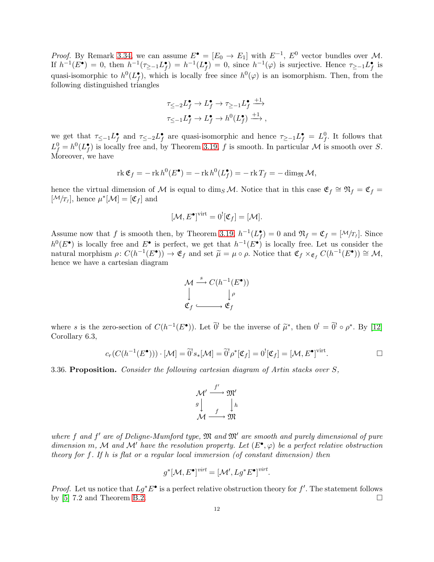*Proof.* By Remark [3.34,](#page-10-0) we can assume  $E^{\bullet} = [E_0 \to E_1]$  with  $E^{-1}$ ,  $E^0$  vector bundles over M. If  $h^{-1}(E^{\bullet}) = 0$ , then  $h^{-1}(\tau_{\geq -1}L_f^{\bullet}) = h^{-1}(L_f^{\bullet}) = 0$ , since  $h^{-1}(\varphi)$  is surjective. Hence  $\tau_{\geq -1}L_f^{\bullet}$  is quasi-isomorphic to  $h^0(L_f^{\bullet})$ , which is locally free since  $h^0(\varphi)$  is an isomorphism. Then, from the following distinguished triangles

$$
\tau_{\leq -2}L_f^{\bullet} \to L_f^{\bullet} \to \tau_{\geq -1}L_f^{\bullet} \xrightarrow{+1}
$$
  

$$
\tau_{\leq -1}L_f^{\bullet} \to L_f^{\bullet} \to h^0(L_f^{\bullet}) \xrightarrow{+1},
$$

we get that  $\tau_{\le-1}L_f^{\bullet}$  and  $\tau_{\le-2}L_f^{\bullet}$  are quasi-isomorphic and hence  $\tau_{\ge-1}L_f^{\bullet}=L_f^0$ . It follows that  $L_f^0 = h^0(L_f^{\bullet})$  is locally free and, by Theorem [3.19,](#page-8-1) f is smooth. In particular M is smooth over S. Moreover, we have

$$
\operatorname{rk} \mathfrak{E}_f = -\operatorname{rk} h^0(E^{\bullet}) = -\operatorname{rk} h^0(L_f^{\bullet}) = -\operatorname{rk} T_f = -\dim_{\mathfrak{M}} \mathcal{M},
$$

hence the virtual dimension of M is equal to dim<sub>S</sub> M. Notice that in this case  $\mathfrak{E}_f \cong \mathfrak{N}_f = \mathfrak{C}_f =$  $[\mathcal{M}/T_f]$ , hence  $\mu^*[\mathcal{M}] = [\mathfrak{C}_f]$  and

$$
[\mathcal{M}, E^{\bullet}]^{\text{virt}} = 0^![\mathfrak{C}_f] = [\mathcal{M}].
$$

Assume now that f is smooth then, by Theorem [3.19,](#page-8-1)  $h^{-1}(L_f^{\bullet}) = 0$  and  $\mathfrak{N}_f = \mathfrak{C}_f = [\mathcal{M}/T_f]$ . Since  $h^0(E^{\bullet})$  is locally free and  $E^{\bullet}$  is perfect, we get that  $h^{-1}(E^{\bullet})$  is locally free. Let us consider the natural morphism  $\rho: C(h^{-1}(E^{\bullet})) \to \mathfrak{E}_f$  and set  $\tilde{\mu} = \mu \circ \rho$ . Notice that  $\mathfrak{C}_f \times_{\mathfrak{E}_f} C(h^{-1}(E^{\bullet})) \cong \mathcal{M}$ , hence we have a cartesian diagram



where s is the zero-section of  $C(h^{-1}(E^{\bullet}))$ . Let  $\widetilde{0}^!$  be the inverse of  $\widetilde{\mu}^*$ , then  $0^! = \widetilde{0}^! \circ \rho^*$ . By [\[12\]](#page-44-13) Corollary 6.3,

$$
c_r(C(h^{-1}(E^{\bullet}))) \cdot [\mathcal{M}] = \widetilde{0}^! s_*[\mathcal{M}] = \widetilde{0}^! \rho^* [\mathfrak{C}_f] = 0^! [\mathfrak{C}_f] = [\mathcal{M}, E^{\bullet}]^{\text{virt}}.
$$

<span id="page-11-0"></span>3.36. Proposition. Consider the following cartesian diagram of Artin stacks over S,

$$
\begin{array}{c}\n{\cal M}' \xrightarrow{f'} {\frak M}' \\
g \downarrow \\
{\cal M} \xrightarrow{f} {\frak M}\n\end{array}
$$

where  $f$  and  $f'$  are of Deligne-Mumford type,  $\mathfrak M$  and  $\mathfrak M'$  are smooth and purely dimensional of pure dimension m, M and M' have the resolution property. Let  $(E^{\bullet}, \varphi)$  be a perfect relative obstruction theory for f. If h is flat or a regular local immersion (of constant dimension) then

$$
g^*[{\cal M},E^{\bullet}]^{virt}=[{\cal M}',Lg^*E^{\bullet}]^{virt}.
$$

*Proof.* Let us notice that  $Lg^*E^{\bullet}$  is a perfect relative obstruction theory for  $f'$ . The statement follows by  $[5]$  7.2 and Theorem [B.2.](#page-41-1)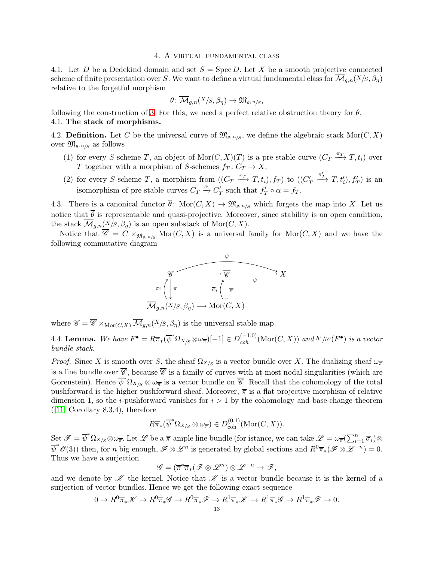#### 4. A virtual fundamental class

<span id="page-12-0"></span>4.1. Let D be a Dedekind domain and set  $S = \operatorname{Spec} D$ . Let X be a smooth projective connected scheme of finite presentation over S. We want to define a virtual fundamental class for  $\overline{\mathcal{M}}_{g,n}(X/S, \beta_{\eta})$ relative to the forgetful morphism

$$
\theta\colon \overline{\mathcal{M}}_{g,n}(X/S,\beta_\eta)\to \mathfrak{M}_{g,\,n/S},
$$

following the construction of [3.](#page-10-1) For this, we need a perfect relative obstruction theory for  $\theta$ . 4.1. The stack of morphisms.

4.2. **Definition.** Let C be the universal curve of  $\mathfrak{M}_{g,n/s}$ , we define the algebraic stack  $\text{Mor}(C, X)$ over  $\mathfrak{M}_{g,n/g}$  as follows

- (1) for every S-scheme T, an object of  $\text{Mor}(C, X)(T)$  is a pre-stable curve  $(C_T \xrightarrow{\pi_T} T, t_i)$  over T together with a morphism of S-schemes  $f_T : C_T \to X$ ;
- (2) for every S-scheme T, a morphism from  $((C_T \xrightarrow{\pi_T} T, t_i), f_T)$  to  $((C_T$  $x_T^{\prime}$   $T, t'_i$ ,  $f'_T$ ) is an isomorphism of pre-stable curves  $C_T \xrightarrow{\alpha} C'_T$  such that  $f'_T \circ \alpha = f_T$ .

4.3. There is a canonical functor  $\bar{\theta}$ : Mor $(C, X) \to \mathfrak{M}_{g,n/g}$  which forgets the map into X. Let us notice that  $\bar{\theta}$  is representable and quasi-projective. Moreover, since stability is an open condition, the stack  $\overline{\mathcal{M}}_{g,n}(X/S,\beta_\eta)$  is an open substack of Mor $(C, X)$ .

Notice that  $\overline{\mathscr{C}} = C \times_{\mathfrak{M}_{g,n/S}} \text{Mor}(C, X)$  is a universal family for  $\text{Mor}(C, X)$  and we have the following commutative diagram



where  $\mathscr{C} = \overline{\mathscr{C}} \times_{\text{Mor}(C,X)} \overline{\mathcal{M}}_{q,n}(X/S, \beta_n)$  is the universal stable map.

<span id="page-12-1"></span>4.4. Lemma. We have  $F^{\bullet} = R\overline{\pi}_{*}(\overline{\psi}^{*}\Omega_{X/S} \otimes \omega_{\overline{\pi}})[-1] \in D_{coh}^{(-1,0)}(\text{Mor}(C, X))$  and  $h^{1}/h^{0}(F^{\bullet})$  is a vector bundle stack.

*Proof.* Since X is smooth over S, the sheaf  $\Omega_{X/S}$  is a vector bundle over X. The dualizing sheaf  $\omega_{\overline{x}}$ is a line bundle over  $\overline{\mathscr{C}}$ , because  $\overline{\mathscr{C}}$  is a family of curves with at most nodal singularities (which are Gorenstein). Hence  $\overline{\psi}^* \Omega_{X/S} \otimes \omega_{\overline{\pi}}$  is a vector bundle on  $\overline{\mathscr{C}}$ . Recall that the cohomology of the total pushforward is the higher pushforward sheaf. Moreover,  $\bar{\pi}$  is a flat projective morphism of relative dimension 1, so the *i*-pushforward vanishes for  $i > 1$  by the cohomology and base-change theorem  $([11]$  $([11]$  Corollary 8.3.4), therefore

$$
R\overline{\pi}_{*}(\overline{\psi}^{*}\Omega_{X/S} \otimes \omega_{\overline{\pi}}) \in D_{\mathrm{coh}}^{(0,1)}(\mathrm{Mor}(C, X)).
$$

Set  $\mathscr{F} = \overline{\psi}^* \Omega_{X/S} \otimes \omega_{\overline{\pi}}$ . Let  $\mathscr{L}$  be a  $\overline{\pi}$ -ample line bundle (for istance, we can take  $\mathscr{L} = \omega_{\overline{\pi}}(\sum_{i=1}^n \overline{\sigma}_i) \otimes$  $\overline{\psi}^* \mathscr{O}(3)$  then, for n big enough,  $\mathscr{F} \otimes \mathscr{L}^n$  is generated by global sections and  $R^0 \overline{\pi}_* (\mathscr{F} \otimes \mathscr{L}^{-n}) = 0$ . Thus we have a surjection

$$
\mathscr{G} = (\overline{\pi}^*\overline{\pi}_*(\mathscr{F} \otimes \mathscr{L}^n) \otimes \mathscr{L}^{-n} \to \mathscr{F},
$$

and we denote by  $\mathscr K$  the kernel. Notice that  $\mathscr K$  is a vector bundle because it is the kernel of a surjection of vector bundles. Hence we get the following exact sequence

$$
0 \to R^0 \overline{\pi}_* \mathscr{K} \to R^0 \overline{\pi}_* \mathscr{G} \to R^0 \overline{\pi}_* \mathscr{F} \to R^1 \overline{\pi}_* \mathscr{K} \to R^1 \overline{\pi}_* \mathscr{G} \to R^1 \overline{\pi}_* \mathscr{F} \to 0.
$$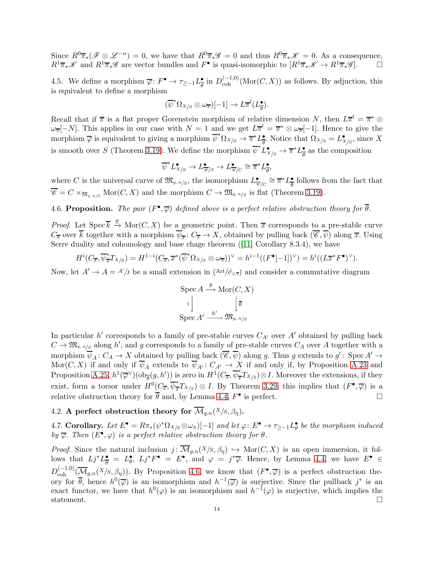Since  $R^0\overline{\pi}_*(\mathscr{F}\otimes\mathscr{L}^{-n})=0$ , we have that  $R^0\overline{\pi}_*\mathscr{G}=0$  and thus  $R^0\overline{\pi}_*\mathscr{K}=0$ . As a consequence,  $R^1\overline{\pi}_*\mathscr{K}$  and  $R^1\overline{\pi}_*\mathscr{G}$  are vector bundles and  $F^{\bullet}$  is quasi-isomorphic to  $[R^1\overline{\pi}_*\mathscr{K}\to R^1\overline{\pi}_*\mathscr{G}]$ .

4.5. We define a morphism  $\overline{\varphi} : F^{\bullet} \to \tau_{\geq -1} L^{\bullet}_{\overline{\theta}}$  $\frac{\bullet}{\theta}$  in  $D_{\text{coh}}^{(-1,0)}(\text{Mor}(C,X))$  as follows. By adjuction, this is equivalent to define a morphism

$$
(\overline{\psi}^*\Omega_{X/S}\otimes\omega_{\overline{\pi}})[-1]\to L\overline{\pi}^!(L_{\overline{\theta}}^{\bullet}).
$$

Recall that if  $\bar{\pi}$  is a flat proper Gorenstein morphism of relative dimension N, then  $L\bar{\pi}^! = \bar{\pi}^* \otimes$  $\omega_{\overline{\pi}}[-N]$ . This applies in our case with  $N=1$  and we get  $L\overline{\pi}^!=\overline{\pi}^*\otimes\omega_{\overline{\pi}}[-1]$ . Hence to give the morphism  $\overline{\varphi}$  is equivalent to giving a morphism  $\overline{\psi}^* \Omega_{X/S} \to \overline{\pi}^* L^{\bullet}_{\overline{\theta}}$ •. Notice that  $\Omega_{X/S} = L^{\bullet}_{X/S}$ , since X is smooth over S (Theorem [3.19\)](#page-8-1). We define the morphism  $\overline{\psi}^* L^{\bullet}_{X/S} \to \overline{\pi}^* L^{\bullet}_{\overline{\theta}}$  $\frac{\bullet}{\theta}$  as the composition

$$
\overline{\psi}^* L_{X/S}^{\bullet} \to L_{\overline{\mathscr{C}}/S}^{\bullet} \to L_{\overline{\mathscr{C}}/C}^{\bullet} \cong \overline{\pi}^* L_{\overline{\theta}}^{\bullet},
$$

where C is the universal curve of  $\mathfrak{M}_{g,n/s}$ , the isomorphism  $L_{\overline{\mathscr{C}}/C}^{\bullet} \cong \overline{\pi}^* L_{\overline{\theta}}^{\bullet}$  $\frac{\bullet}{\theta}$  follows from the fact that  $\overline{\mathscr{C}} = C \times_{\mathfrak{M}_{g,n/S}} \mathrm{Mor}(C, X)$  and the morphism  $C \to \mathfrak{M}_{g,n/S}$  is flat (Theorem [3.19\)](#page-8-1).

<span id="page-13-0"></span>4.6. Proposition. The pair  $(F^{\bullet}, \overline{\varphi})$  defined above is a perfect relative obstruction theory for  $\overline{\theta}$ .

*Proof.* Let  $Spec \overline{k} \stackrel{\overline{x}}{\rightarrow} Mor(C, X)$  be a geometric point. Then  $\overline{x}$  corresponds to a pre-stable curve  $C_{\overline{x}}$  over  $\overline{k}$  together with a morphism  $\overline{\psi}_{\overline{x}}\colon C_{\overline{x}}\to X$ , obtained by pulling back  $(\overline{\mathscr{C}}, \overline{\psi})$  along  $\overline{x}$ . Using Serre duality and cohomology and base chage theorem([\[11\]](#page-44-19) Corollary 8.3.4), we have

$$
H^i(C_{\overline{x}}, \overline{\psi_{\overline{x}}}^* T_{X/S}) = H^{1-i}(C_{\overline{x}}, \overline{x}^* (\overline{\psi}^* \Omega_{X/S} \otimes \omega_{\overline{x}}))^{\vee} = h^{i-1}((F^{\bullet}[-1])^{\vee}) = h^i((L\overline{x}^* F^{\bullet})^{\vee}).
$$

Now, let  $A' \to A = A'/I$  be a small extension in  $(Art/\hat{\sigma}_{s,\bar{s}})$  and consider a commutative diagram

$$
\operatorname{Spec} A \stackrel{g}{\longrightarrow} \operatorname{Mor}(C, X)
$$

$$
i \downarrow \qquad \qquad \downarrow \overline{\theta}
$$

$$
\operatorname{Spec} A' \stackrel{h'}{\longrightarrow} \mathfrak{M}_{g, n/s}
$$

In particular  $h'$  corresponds to a family of pre-stable curves  $C_{A'}$  over  $A'$  obtained by pulling back  $C \to \mathfrak{M}_{g,n/s}$  along h', and g corresponds to a family of pre-stable curves  $C_A$  over A together with a morphism  $\overline{\psi}_A: C_A \to X$  obtained by pulling back  $(\overline{\mathscr{C}}, \overline{\psi})$  along g. Thus g extends to  $g' \colon \text{Spec } A' \to X$ Mor $(C, X)$  if and only if  $\overline{\psi}_A$  extends to  $\overline{\psi}_{A'} : C_{A'} \to X$  if and only if, by Proposition [A.23](#page-38-0) and Proposition [A.25,](#page-39-0)  $h^1(\overline{\varphi}^{\vee})(\overline{{\rm ob}}_{\overline{\theta}}(g,h'))$  is zero in  $H^1(C_{\overline{x}},\overline{\psi}_{\overline{x}}^*T_{X/S})\otimes I$ . Moreover the extensions, if they exist, form a torsor under  $H^0(C_{\overline{x}}, \overline{\psi}_{\overline{x}}^*T_{X/S}) \otimes I$ . By Theorem [3.29,](#page-10-2) this implies that  $(F^{\bullet}, \overline{\varphi})$  is a relative obstruction theory for  $\overline{\theta}$  and, by Lemma [4.4,](#page-12-1)  $F^{\bullet}$  is perfect.

4.2. A perfect obstruction theory for  $\overline{\mathcal{M}}_{q,n}(X/S,\beta_n)$ .

4.7. Corollary. Let  $E^{\bullet} = R\pi_*(\psi^*\Omega_{X/S} \otimes \omega_{\pi})[-1]$  and let  $\varphi: E^{\bullet} \to \tau_{\geq -1}L^{\bullet}_{\theta}$  be the morphism induced by  $\overline{\varphi}$ . Then  $(E^{\bullet}, \varphi)$  is a perfect relative obstruction theory for  $\theta$ .

*Proof.* Since the natural inclusion  $j: \overline{\mathcal{M}}_{g,n}(X/S, \beta_n) \hookrightarrow \text{Mor}(C, X)$  is an open immersion, it follows that  $Lj^*L^{\bullet}_{\overline{a}}$  $\frac{\bullet}{\theta} = L_{\theta}^{\bullet}, Lj^*F^{\bullet} = E^{\bullet}, \text{ and } \varphi = j^*\overline{\varphi}. \text{ Hence, by Lemma 4.4, we have } E^{\bullet} \in$  $\frac{\bullet}{\theta} = L_{\theta}^{\bullet}, Lj^*F^{\bullet} = E^{\bullet}, \text{ and } \varphi = j^*\overline{\varphi}. \text{ Hence, by Lemma 4.4, we have } E^{\bullet} \in$  $\frac{\bullet}{\theta} = L_{\theta}^{\bullet}, Lj^*F^{\bullet} = E^{\bullet}, \text{ and } \varphi = j^*\overline{\varphi}. \text{ Hence, by Lemma 4.4, we have } E^{\bullet} \in$  $D_{\text{coh}}^{(-1,0)}(\overline{\mathcal{M}}_{g,n}(X/S,\beta_\eta)).$  By Proposition [4.6,](#page-13-0) we know that  $(F^{\bullet},\overline{\varphi})$  is a perfect obstruction theory for  $\overline{\theta}$ , hence  $h^0(\overline{\varphi})$  is an isomorphism and  $h^{-1}(\overline{\varphi})$  is surjective. Since the pullback  $j^*$  is an exact functor, we have that  $h^0(\varphi)$  is an isomorphism and  $h^{-1}(\varphi)$  is surjective, which implies the statement.  $\Box$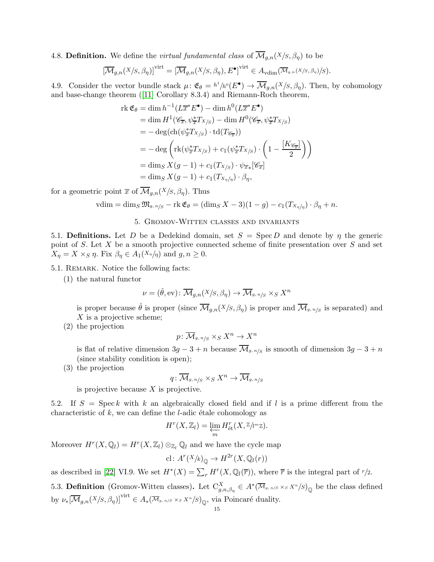4.8. **Definition.** We define the *virtual fundamental class* of  $\overline{\mathcal{M}}_{q,n}(X/S,\beta_n)$  to be

$$
\left[\overline{\mathcal{M}}_{g,n}(X/S,\beta_{\eta})\right]^{\text{virt}} = \left[\overline{\mathcal{M}}_{g,n}(X/S,\beta_{\eta}),E^{\bullet}\right]^{\text{virt}} \in A_{\text{vdim}}(\overline{\mathcal{M}}_{g,n}(X/S,\beta_{\eta})/S).
$$

4.9. Consider the vector bundle stack  $\mu: \mathfrak{E}_{\theta} = h^1/h^0(E^{\bullet}) \to \overline{\mathcal{M}}_{g,n}(X/S, \beta_{\eta}).$  Then, by cohomology and base-change theorem([\[11\]](#page-44-19) Corollary 8.3.4) and Riemann-Roch theorem,

$$
\begin{split}\n\operatorname{rk}\mathfrak{E}_{\theta} &= \dim h^{-1}(L\overline{x}^*E^{\bullet}) - \dim h^0(L\overline{x}^*E^{\bullet}) \\
&= \dim H^1(\mathscr{C}_{\overline{x}}, \psi^*_{\overline{x}}T_{X/S}) - \dim H^0(\mathscr{C}_{\overline{x}}, \psi^*_{\overline{x}}T_{X/S}) \\
&= -\deg(\operatorname{ch}(\psi^*_{\overline{x}}T_{X/S}) \cdot \operatorname{td}(T_{\mathscr{C}_{\overline{x}}})) \\
&= -\deg\left(\operatorname{rk}(\psi^*_{\overline{x}}T_{X/S}) + c_1(\psi^*_{\overline{x}}T_{X/S}) \cdot \left(1 - \frac{[K_{\mathscr{C}_{\overline{x}}}]}{2}\right)\right) \\
&= \dim_S X(g-1) + c_1(T_{X/S}) \cdot \psi_{\overline{x}*}[\mathscr{C}_{\overline{x}}] \\
&= \dim_S X(g-1) + c_1(T_{X_{\eta/\eta}}) \cdot \beta_\eta,\n\end{split}
$$

for a geometric point  $\overline{x}$  of  $\overline{\mathcal{M}}_{q,n}(X/S,\beta_n)$ . Thus

$$
\text{vdim} = \dim_S \mathfrak{M}_{g, n/S} - \text{rk } \mathfrak{E}_{\theta} = (\dim_S X - 3)(1 - g) - c_1(T_{X_n/n}) \cdot \beta_{\eta} + n.
$$

### 5. Gromov-Witten classes and invariants

<span id="page-14-0"></span>5.1. Definitions. Let D be a Dedekind domain, set  $S = \text{Spec } D$  and denote by  $\eta$  the generic point of S. Let X be a smooth projective connected scheme of finite presentation over S and set  $X_{\eta} = X \times_S \eta$ . Fix  $\beta_{\eta} \in A_1(X_{\eta}/\eta)$  and  $g, n \geq 0$ .

- 5.1. REMARK. Notice the following facts:
	- (1) the natural functor

$$
\nu = (\hat{\theta}, \text{ev}) \colon \overline{\mathcal{M}}_{g,n}(X/S, \beta_{\eta}) \to \overline{\mathcal{M}}_{g,n/S} \times_S X^n
$$

is proper because  $\hat{\theta}$  is proper (since  $\overline{\mathcal{M}}_{q,n}(X/S,\beta_n)$  is proper and  $\overline{\mathcal{M}}_{g,n/S}$  is separated) and  $X$  is a projective scheme;

(2) the projection

$$
p\colon \overline{\mathcal{M}}_{g,\,n\!/\!S}\times_S X^n\to X^n
$$

is flat of relative dimension  $3g - 3 + n$  because  $\mathcal{M}_{g,n/s}$  is smooth of dimension  $3g - 3 + n$ (since stability condition is open);

(3) the projection

$$
q\colon \overline{\mathcal M}_{g,\,n\!/\!S} \times_S X^n \to \overline{\mathcal M}_{g,\,n\!/\!S}
$$

is projective because  $X$  is projective.

5.2. If  $S = \text{Spec } k$  with k an algebraically closed field and if l is a prime different from the characteristic of  $k$ , we can define the *l*-adic étale cohomology as

$$
H^{r}(X,\mathbb{Z}_{l})=\varprojlim_{m} H^{r}_{\mathrm{\acute{e}t}}(X,\mathbb{Z}/l^{m}\mathbb{Z}).
$$

Moreover  $H^r(X, \mathbb{Q}_l) = H^r(X, \mathbb{Z}_l) \otimes_{\mathbb{Z}_l} \mathbb{Q}_l$  and we have the cycle map

cl: 
$$
A^r(X/k)_{\mathbb{Q}} \to H^{2r}(X, \mathbb{Q}_l(r))
$$

as described in [\[22\]](#page-44-20) VI.9. We set  $H^*(X) = \sum_r H^r(X, \mathbb{Q}_l(\overline{r}))$ , where  $\overline{r}$  is the integral part of  $r/2$ .

5.3. **Definition** (Gromov-Witten classes). Let  $C_{g,n,\beta_{\eta}}^X \in A^*(\overline{\mathcal{M}}_{g,n/S} \times_S X^n/S)_{\mathbb{Q}}$  be the class defined by  $\nu_*[\overline{\mathcal{M}}_{g,n}(X/S,\beta_\eta)]^{\text{virt}} \in A_*(\overline{\mathcal{M}}_{g,n/S} \times_S X^n/S)_{\mathbb{Q}}$ , via Poincaré duality.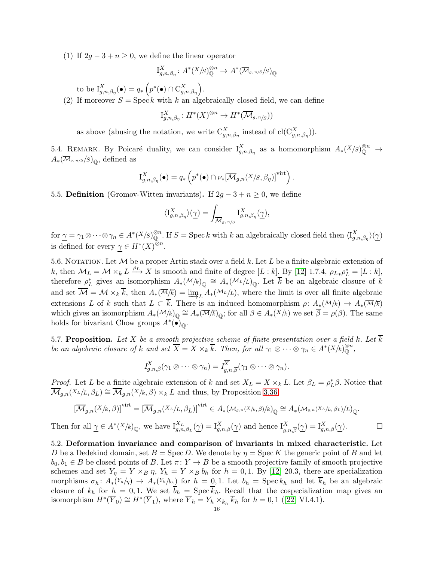(1) If  $2q - 3 + n \geq 0$ , we define the linear operator

$$
I_{g,n,\beta_{\eta}}^X \colon A^*(X/S)_{\mathbb{Q}}^{\otimes n} \to A^*(\overline{\mathcal{M}}_{g,n/S}/S)_{\mathbb{Q}}
$$

to be  $I_{g,n,\beta_{\eta}}^X(\bullet) = q_* \left( p^*(\bullet) \cap C_{g,n,\beta_{\eta}}^X \right)$ .

Then

(2) If moreover  $S = \text{Spec } k$  with k an algebraically closed field, we can define

$$
I_{g,n,\beta_\eta}^X\colon H^*(X)^{\otimes n}\to H^*(\overline{\mathcal{M}}_{g,n/S}))
$$

as above (abusing the notation, we write  $C_{g,n,\beta_{\eta}}^X$  instead of  $\text{cl}(C_{g,n,\beta_{\eta}}^X)$ ).

5.4. REMARK. By Poicaré duality, we can consider  $I_{g,n,\beta_{\eta}}^X$  as a homomorphism  $A_*(X/S)_{\mathbb{Q}}^{\otimes n} \to$  $A_*(\overline{\mathcal M}_{g,\,n/S}/S)_{\overline{\mathbb{Q}}},$  defined as

$$
I_{g,n,\beta_{\eta}}^{X}(\bullet) = q_{*}\left(p^{*}(\bullet) \cap \nu_{*}[\overline{\mathcal{M}}_{g,n}(X/S,\beta_{\eta})]^{\text{virt}}\right).
$$

5.5. Definition (Gromov-Witten invariants). If  $2g - 3 + n \geq 0$ , we define

$$
\langle \mathcal{I}_{g,n,\beta_{\eta}}^{X}\rangle(\underline{\gamma})=\int_{\overline{\mathcal{M}}_{g,n/S}}\mathcal{I}_{g,n,\beta_{\eta}}^{X}(\underline{\gamma}),
$$

 $\text{for } \underline{\gamma} = \gamma_1 \otimes \cdots \otimes \gamma_n \in A^*(X/S)_{\mathbb{Q}}^{\otimes n}$ . If  $S = \text{Spec } k$  with  $k$  an algebraically closed field then  $\langle I_{g,n,\beta_\eta}^X \rangle(\underline{\gamma})$ is defined for every  $\gamma \in H^*(X)^{\otimes n}$ .

5.6. NOTATION. Let  $M$  be a proper Artin stack over a field  $k$ . Let  $L$  be a finite algebraic extension of k, then  $\mathcal{M}_L = \mathcal{M} \times_k L \xrightarrow{\rho_L} X$  is smooth and finite of degree  $[L : k]$ . By [\[12\]](#page-44-13) 1.7.4,  $\rho_{L*} \rho_L^* = [L : k]$ , therefore  $\rho_L^*$  gives an isomorphism  $A_*(\mathcal{M}/k)_{\mathbb{Q}} \cong A_*(\mathcal{M}_L/k)_{\mathbb{Q}}$ . Let  $\overline{k}$  be an algebraic closure of k and set  $\mathcal{M} = \mathcal{M} \times_k k$ , then  $A_*(\overline{\mathcal{M}}_k) = \underline{\lim}_L A_*(\mathcal{M}_L/L)$ , where the limit is over all finite algebraic extensions L of k such that  $L \subset \overline{k}$ . There is an induced homomorphism  $\rho: A_*(\mathcal{M}/k) \to A_*(\overline{\mathcal{M}}/k)$ which gives an isomorphism  $A_*(\mathcal{M}/k)_{\mathbb{Q}} \cong A_*(\overline{\mathcal{M}}/\overline{k})_{\mathbb{Q}}$ ; for all  $\beta \in A_*(X/k)$  we set  $\overline{\beta} = \rho(\beta)$ . The same holds for bivariant Chow groups  $A^*(\bullet)_{\mathbb{Q}}$ .

5.7. Proposition. Let X be a smooth projective scheme of finite presentation over a field k. Let  $\overline{k}$ be an algebraic closure of k and set  $\overline{X} = X \times_k \overline{k}$ . Then, for all  $\gamma_1 \otimes \cdots \otimes \gamma_n \in A^*(X/k)_{\mathbb{Q}}^{\otimes n}$ ,

$$
I_{g,n,\beta}^X(\gamma_1\otimes\cdots\otimes\gamma_n)=I_{g,n,\overline{\beta}}^{\overline{X}}(\gamma_1\otimes\cdots\otimes\gamma_n).
$$

*Proof.* Let L be a finite algebraic extension of k and set  $X_L = X \times_k L$ . Let  $\beta_L = \rho_L^* \beta$ . Notice that  $\overline{\mathcal{M}}_{q,n}(X_L/L, \beta_L) \cong \overline{\mathcal{M}}_{q,n}(X/k, \beta) \times_k L$  and thus, by Proposition [3.36,](#page-11-0)

$$
\left[\overline{\mathcal{M}}_{g,n}(X/k,\beta)\right]^{\text{virt}} = \left[\overline{\mathcal{M}}_{g,n}(X_L/L,\beta_L)\right]^{\text{virt}} \in A_*(\overline{\mathcal{M}}_{g,n}(X/k,\beta)/k)_{\mathbb{Q}} \cong A_*(\overline{\mathcal{M}}_{g,n}(X_L/L,\beta_L)/L)_{\mathbb{Q}}.
$$
  
for all  $\underline{\gamma} \in A^*(X/k)_{\mathbb{Q}}$ , we have  $I_{g,n,\beta_L}^{X_L}(\underline{\gamma}) = I_{g,n,\beta}^{X}(\underline{\gamma})$  and hence  $I_{g,n,\overline{\beta}}^{\overline{X}}(\underline{\gamma}) = I_{g,n,\beta}^{X}(\underline{\gamma})$ .

5.2. Deformation invariance and comparison of invariants in mixed characteristic. Let D be a Dedekind domain, set  $B = \text{Spec } D$ . We denote by  $\eta = \text{Spec } K$  the generic point of B and let  $b_0, b_1 \in B$  be closed points of B. Let  $\pi: Y \to B$  be a smooth projective family of smooth projective schemes and set  $Y_{\eta} = Y \times_B \eta$ ,  $Y_h = Y \times_B b_h$  for  $h = 0, 1$ . By [\[12\]](#page-44-13) 20.3, there are specialization morphisms  $\sigma_h: A_*(Y_n/\eta) \to A_*(Y_n/\eta)$  for  $h = 0, 1$ . Let  $b_h = \text{Spec } k_h$  and let  $k_h$  be an algebraic closure of  $k_h$  for  $h = 0, 1$ . We set  $\overline{b}_h = \text{Spec } \overline{k}_h$ . Recall that the cospecialization map gives an isomorphism $H^*(\overline{Y}_0) \cong H^*(\overline{Y}_1)$ , where  $\overline{Y}_h = Y_h \times_{k_h} \overline{k}_h$  for  $h = 0, 1$  ([\[22\]](#page-44-20) VI.4.1).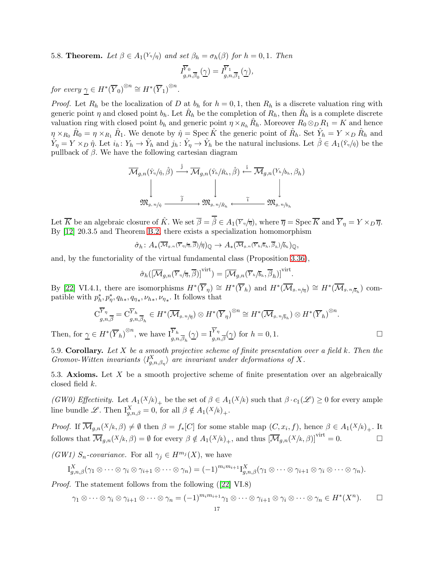5.8. **Theorem.** Let  $\beta \in A_1(Y_n/\eta)$  and set  $\beta_h = \sigma_h(\beta)$  for  $h = 0, 1$ . Then

$$
\bar{I}^{\overline{Y}_0}_{g,n,\overline{\beta}_0}(\underline{\gamma})=\bar{I}^{\overline{Y}_1}_{g,n,\overline{\beta}_1}(\underline{\gamma}),
$$

for every  $\gamma \in H^*(\overline{Y}_0)^{\otimes n} \cong H^*(\overline{Y}_1)^{\otimes n}$ .

*Proof.* Let  $R_h$  be the localization of D at  $b_h$  for  $h = 0, 1$ , then  $R_h$  is a discrete valuation ring with generic point  $\eta$  and closed point  $b_h$ . Let  $\hat{R}_h$  be the completion of  $R_h$ , then  $\hat{R}_h$  is a complete discrete valuation ring with closed point  $b_h$  and generic point  $\eta \times_{R_h} \hat{R}_h$ . Moreover  $R_0 \otimes_R R_1 = K$  and hence  $\eta \times_{R_0} \hat{R}_0 = \eta \times_{R_1} \hat{R}_1$ . We denote by  $\hat{\eta} = \text{Spec } \hat{K}$  the generic point of  $\hat{R}_h$ . Set  $\hat{Y}_h = Y \times_D \hat{R}_h$  and  $\hat{Y}_\eta = Y \times_D \hat{\eta}$ . Let  $i_h: Y_h \to \hat{Y}_h$  and  $j_h: \hat{Y}_\eta \to \hat{Y}_h$  be the natural inclusions. Let  $\hat{\beta} \in A_1(\hat{Y}_\eta/\hat{\eta})$  be the pullback of  $\beta$ . We have the following cartesian diagram

$$
\overline{\mathcal{M}}_{g,n}(\hat{Y}_\eta/\hat{\eta}, \hat{\beta}) \stackrel{\hat{j}}{\longrightarrow} \overline{\mathcal{M}}_{g,n}(\hat{Y}_h/\hat{R}_h, \hat{\beta}) \stackrel{\hat{i}}{\longleftarrow} \overline{\mathcal{M}}_{g,n}(Y_h/b_h, \beta_h)
$$
\n
$$
\downarrow \qquad \qquad \downarrow \qquad \qquad \downarrow
$$
\n
$$
\mathfrak{M}_{g,n/\hat{\eta}} \stackrel{\tilde{j}}{\longrightarrow} \mathfrak{M}_{g,n/\hat{R}_h} \stackrel{\tilde{i}}{\longleftarrow} \mathfrak{M}_{g,n/b_h}
$$

Let  $\overline{K}$  be an algebraic closure of  $\hat{K}$ . We set  $\overline{\beta} = \overline{\hat{\beta}} \in A_1(\overline{Y}_n/\overline{n})$ , where  $\overline{\eta} = \text{Spec } \overline{K}$  and  $\overline{Y}_n = Y \times_D \overline{\eta}$ . By [\[12\]](#page-44-13) 20.3.5 and Theorem [B.2,](#page-41-1) there exists a specialization homomorphism

$$
\hat{\sigma}_h \colon A_* (\overline{\mathcal{M}}_{g,n}(\overline{Y}_\eta/\overline{n}, \overline{\beta})/\overline{\eta})_{\mathbb{Q}} \to A_* (\overline{\mathcal{M}}_{g,n}(\overline{Y}_h/\overline{b}_h, \overline{\beta}_h)/\overline{b}_h)_{\mathbb{Q}},
$$

and, by the functoriality of the virtual fundamental class (Proposition [3.36\)](#page-11-0),

$$
\hat{\sigma}_h([\overline{\mathcal{M}}_{g,n}(\overline{Y}_{\eta}/\overline{\eta}, \overline{\beta})]^{\text{virt}}) = [\overline{\mathcal{M}}_{g,n}(\overline{Y}_{\eta}/\overline{b}_h, \overline{\beta}_h)]^{\text{virt}}.
$$

By [\[22\]](#page-44-20) VI.4.1, there are isomorphisms  $H^*(\overline{Y}_\eta) \cong H^*(\overline{Y}_h)$  and  $H^*(\overline{\mathcal{M}}_{g,n/\overline{\eta}}) \cong H^*(\overline{\mathcal{M}}_{g,n/\overline{\rho}_h})$  compatible with  $p_h^*, p_\eta^*, q_{h*}, q_{\eta_*}, \nu_{h*}, \nu_{\eta_*}$ . It follows that

$$
C_{g,n,\overline{\beta}}^{\overline{Y}_{\eta}} = C_{g,n,\overline{\beta}_h}^{\overline{Y}_h} \in H^*(\overline{\mathcal{M}}_{g,n/\overline{\eta}}) \otimes H^*(\overline{Y}_{\eta})^{\otimes n} \cong H^*(\overline{\mathcal{M}}_{g,n/\overline{b}_h}) \otimes H^*(\overline{Y}_h)^{\otimes n}.
$$
  

$$
\subset H^*(\overline{Y}_h)^{\otimes n} \text{ we have } \overline{Y}_h \quad (\alpha) = \overline{Y}_{\eta} \quad (\alpha) \text{ for } h = 0, 1
$$

Then, for  $\underline{\gamma} \in H^*(\overline{Y}_h)^{\otimes n}$ , we have  $I_{g,n,\overline{\beta}_h}^{\overline{Y}_h}(\underline{\gamma}) = I_{g,n,\overline{\beta}}^{\overline{Y}_\eta}(\underline{\gamma})$  for  $h = 0, 1$ .

5.9. Corollary. Let  $X$  be a smooth projective scheme of finite presentation over a field  $k$ . Then the Gromov-Witten invariants  $\langle I_{g,n,\beta\eta}^X \rangle$  are invariant under deformations of X.

5.3. Axioms. Let  $X$  be a smooth projective scheme of finite presentation over an algebraically closed field k.

(GW0) Effectivity. Let  $A_1(X/k)_+$  be the set of  $\beta \in A_1(X/k)$  such that  $\beta \cdot c_1(\mathscr{L}) \geq 0$  for every ample line bundle L. Then  $I_{g,n,\beta}^X = 0$ , for all  $\beta \notin A_1(X/k)_+$ .

*Proof.* If  $\mathcal{M}_{g,n}(X/k, \beta) \neq \emptyset$  then  $\beta = f_*[C]$  for some stable map  $(C, x_i, f)$ , hence  $\beta \in A_1(X/k)_+$ . It follows that  $\overline{\mathcal{M}}_{g,n}(X/k, \beta) = \emptyset$  for every  $\beta \notin A_1(X/k)_{+}$ , and thus  $[\overline{\mathcal{M}}_{g,n}(X/k, \beta)]^{\text{virt}} = 0.$ 

(GW1)  $S_n$ -covariance. For all  $\gamma_j \in H^{m_j}(X)$ , we have

$$
I_{g,n,\beta}^X(\gamma_1 \otimes \cdots \otimes \gamma_i \otimes \gamma_{i+1} \otimes \cdots \otimes \gamma_n) = (-1)^{m_i m_{i+1}} I_{g,n,\beta}^X(\gamma_1 \otimes \cdots \otimes \gamma_{i+1} \otimes \gamma_i \otimes \cdots \otimes \gamma_n).
$$

Proof. The statement follows from the following([\[22\]](#page-44-20) VI.8)

$$
\gamma_1 \otimes \cdots \otimes \gamma_i \otimes \gamma_{i+1} \otimes \cdots \otimes \gamma_n = (-1)^{m_i m_{i+1}} \gamma_1 \otimes \cdots \otimes \gamma_{i+1} \otimes \gamma_i \otimes \cdots \otimes \gamma_n \in H^*(X^n). \square
$$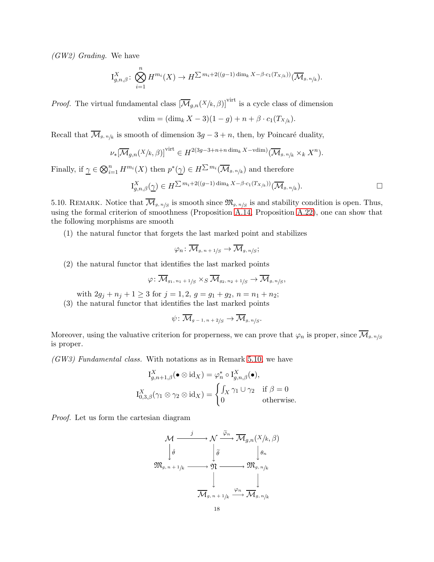(GW2) Grading. We have

$$
I_{g,n,\beta}^X \colon \bigotimes_{i=1}^n H^{m_i}(X) \to H^{\sum m_i + 2((g-1)\dim_k X - \beta \cdot c_1(T_{X/k}))}(\overline{\mathcal{M}}_{g,n/k}).
$$

*Proof.* The virtual fundamental class  $[\overline{\mathcal{M}}_{g,n}(X/k, \beta)]$ <sup>virt</sup> is a cycle class of dimension

$$
vdim = (\dim_k X - 3)(1 - g) + n + \beta \cdot c_1(T_{X/k}).
$$

Recall that  $\mathcal{M}_{g,n/k}$  is smooth of dimension  $3g-3+n$ , then, by Poincaré duality,

$$
\nu_*[\overline{\mathcal{M}}_{g,n}(X/k,\beta)]^{\text{virt}} \in H^{2(3g-3+n+n\dim_k X - \text{vdim})}(\overline{\mathcal{M}}_{g,n/k} \times_k X^n).
$$

Finally, if  $\underline{\gamma} \in \bigotimes_{i=1}^n H^{m_i}(X)$  then  $p^*(\underline{\gamma}) \in H^{\sum m_i}(\overline{\mathcal{M}}_{g,n/k})$  and therefore

$$
I_{g,n,\beta}^X(\underline{\gamma}) \in H^{\sum m_i + 2((g-1)\dim_k X - \beta \cdot c_1(T_{X/k}))}(\overline{\mathcal{M}}_{g,n/k}).
$$

<span id="page-17-0"></span>5.10. REMARK. Notice that  $\overline{\mathcal{M}}_{g,n/g}$  is smooth since  $\mathfrak{M}_{g,n/g}$  is and stability condition is open. Thus, using the formal criterion of smoothness (Proposition [A.14,](#page-33-0) Proposition [A.22\)](#page-36-0), one can show that the following morphisms are smooth

(1) the natural functor that forgets the last marked point and stabilizes

$$
\varphi_n\colon \overline{\mathcal M}_{g,\,n\,+\,1/S} \to \overline{\mathcal M}_{g,\,n/S};
$$

(2) the natural functor that identifies the last marked points

$$
\varphi\colon \overline{\mathcal{M}}_{g_1,\,n_1\,+\,1/S} \times_S \overline{\mathcal{M}}_{g_2,\,n_2\,+\,1/S} \rightarrow \overline{\mathcal{M}}_{g,\,n/S},
$$

with  $2g_j + n_j + 1 \ge 3$  for  $j = 1, 2, g = g_1 + g_2, n = n_1 + n_2;$ 

(3) the natural functor that identifies the last marked points

$$
\psi \colon \overline{\mathcal{M}}_{g-1, n+2/S} \to \overline{\mathcal{M}}_{g, n/S}.
$$

Moreover, using the valuative criterion for properness, we can prove that  $\varphi_n$  is proper, since  $\overline{\mathcal{M}}_{g,n/g}$ is proper.

(GW3) Fundamental class. With notations as in Remark [5.10,](#page-17-0) we have

$$
I_{g,n+1,\beta}^X(\bullet \otimes id_X) = \varphi_n^* \circ I_{g,n,\beta}^X(\bullet),
$$
  

$$
I_{0,3,\beta}^X(\gamma_1 \otimes \gamma_2 \otimes id_X) = \begin{cases} \int_X \gamma_1 \cup \gamma_2 & \text{if } \beta = 0\\ 0 & \text{otherwise.} \end{cases}
$$

Proof. Let us form the cartesian diagram

$$
\mathcal{M} \xrightarrow{j} \mathcal{N} \xrightarrow{\widetilde{\varphi}_n} \overline{\mathcal{M}}_{g,n}(X/k, \beta)
$$
\n
$$
\downarrow \widehat{\theta} \qquad \qquad \downarrow \widehat{\theta} \qquad \qquad \downarrow \theta_n
$$
\n
$$
\mathfrak{M}_{g,n+1/k} \xrightarrow{\mathcal{M}} \mathfrak{M} \xrightarrow{\varphi_n} \mathfrak{M}_{g,n/k}
$$
\n
$$
\overline{\mathcal{M}}_{g,n+1/k} \xrightarrow{\varphi_n} \overline{\mathcal{M}}_{g,n/k}
$$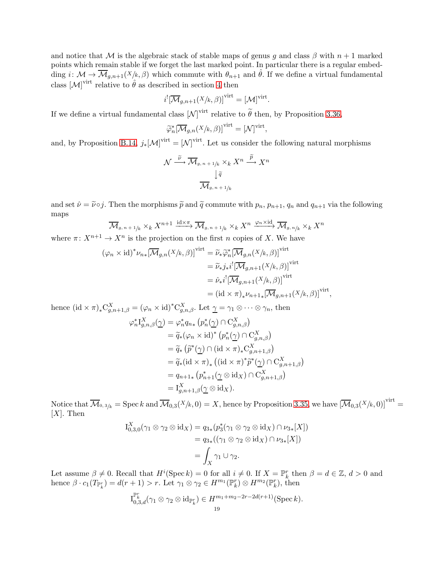and notice that M is the algebraic stack of stable maps of genus q and class  $\beta$  with  $n+1$  marked points which remain stable if we forget the last marked point. In particular there is a regular embedding  $i: \mathcal{M} \to \overline{\mathcal{M}}_{g,n+1}(X/k,\beta)$  which commute with  $\theta_{n+1}$  and  $\hat{\theta}$ . If we define a virtual fundamental class  $[\mathcal{M}]^{\text{virt}}$  relative to  $\hat{\theta}$  as described in section [4](#page-13-0) then

$$
i^![\overline{\mathcal{M}}_{g,n+1}(X/k,\beta)]^{\text{virt}} = [\mathcal{M}]^{\text{virt}}.
$$

If we define a virtual fundamental class  $[\mathcal{N}]$ <sup>virt</sup> relative to  $\widetilde{\theta}$  then, by Proposition [3.36,](#page-11-0)

$$
\widetilde{\varphi}_n^*[\overline{\mathcal{M}}_{g,n}(X/k,\beta)]^{\text{virt}} = [\mathcal{N}]^{\text{virt}},
$$

and, by Proposition [B.14,](#page-43-0)  $j_*[M]^\text{virt} = [N]^\text{virt}$ . Let us consider the following natural morphisms

$$
\mathcal{N} \xrightarrow{\widetilde{\nu}} \overline{\mathcal{M}}_{g,n+1/k} \times_k X^n \xrightarrow{\widetilde{p}} X^n
$$

$$
\downarrow \widetilde{q}
$$

$$
\overline{\mathcal{M}}_{g,n+1/k}
$$

and set  $\hat{\nu} = \tilde{\nu} \circ j$ . Then the morphisms  $\tilde{p}$  and  $\tilde{q}$  commute with  $p_n$ ,  $p_{n+1}$ ,  $q_n$  and  $q_{n+1}$  via the following maps

$$
\overline{\mathcal{M}}_{g,n+1/k} \times_k X^{n+1} \xrightarrow{\mathrm{id} \times \pi} \overline{\mathcal{M}}_{g,n+1/k} \times_k X^n \xrightarrow{\varphi_n \times \mathrm{id}} \overline{\mathcal{M}}_{g,n/k} \times_k X^n
$$

where  $\pi: X^{n+1} \to X^n$  is the projection on the first n copies of X. We have

$$
(\varphi_n \times id)^* \nu_{n*} [\overline{\mathcal{M}}_{g,n}(X/k, \beta)]^{\text{virt}} = \widetilde{\nu}_* \widetilde{\varphi}_n^* [\overline{\mathcal{M}}_{g,n}(X/k, \beta)]^{\text{virt}}
$$
  
\n
$$
= \widetilde{\nu}_* j_* i^! [\overline{\mathcal{M}}_{g,n+1}(X/k, \beta)]^{\text{virt}}
$$
  
\n
$$
= \widehat{\nu}_* i^! [\overline{\mathcal{M}}_{g,n+1}(X/k, \beta)]^{\text{virt}}
$$
  
\n
$$
= (id \times \pi)_* \nu_{n+1*} [\overline{\mathcal{M}}_{g,n+1}(X/k, \beta)]^{\text{virt}},
$$

hence  $(\mathrm{id} \times \pi)_* C^X_{g,n+1,\beta} = (\varphi_n \times \mathrm{id})^* C^X_{g,n,\beta}$ . Let  $\underline{\gamma} = \gamma_1 \otimes \cdots \otimes \gamma_n$ , then

$$
\varphi_n^* I_{g,n,\beta}^X(\underline{\gamma}) = \varphi_n^* q_{n*} (p_n^*(\underline{\gamma}) \cap C_{g,n,\beta}^X)
$$
  
\n
$$
= \widetilde{q}_*(\varphi_n \times \mathrm{id})^* (p_n^*(\underline{\gamma}) \cap C_{g,n,\beta}^X)
$$
  
\n
$$
= \widetilde{q}_*(\widetilde{p}^*(\underline{\gamma}) \cap (\mathrm{id} \times \pi)_* C_{g,n+1,\beta}^X)
$$
  
\n
$$
= \widetilde{q}_*(\mathrm{id} \times \pi)_* ((\mathrm{id} \times \pi)^* \widetilde{p}^*(\underline{\gamma}) \cap C_{g,n+1,\beta}^X)
$$
  
\n
$$
= q_{n+1*} (p_{n+1}^*(\underline{\gamma} \otimes \mathrm{id}_X) \cap C_{g,n+1,\beta}^X)
$$
  
\n
$$
= I_{g,n+1,\beta}^X(\underline{\gamma} \otimes \mathrm{id}_X).
$$

Notice that  $\overline{\mathcal{M}}_{0,3/k} = \mathrm{Spec} k$  and  $\overline{\mathcal{M}}_{0,3}(X/k,0) = X$ , hence by Proposition [3.35,](#page-10-3) we have  $[\overline{\mathcal{M}}_{0,3}(X/k,0)]^{\text{virt}} =$  $[X]$ . Then

$$
I_{0,3,0}^X(\gamma_1 \otimes \gamma_2 \otimes id_X) = q_{3*}(p_3^*(\gamma_1 \otimes \gamma_2 \otimes id_X) \cap \nu_{3*}[X])
$$
  
=  $q_{3*}((\gamma_1 \otimes \gamma_2 \otimes id_X) \cap \nu_{3*}[X])$   
=  $\int_X \gamma_1 \cup \gamma_2$ .

Let assume  $\beta \neq 0$ . Recall that  $H^i(\text{Spec } k) = 0$  for all  $i \neq 0$ . If  $X = \mathbb{P}_k^r$  then  $\beta = d \in \mathbb{Z}$ ,  $d > 0$  and hence  $\beta \cdot c_1(T_{\mathbb{P}_k^r}) = d(r+1) > r$ . Let  $\gamma_1 \otimes \gamma_2 \in H^{m_1}(\mathbb{P}_k^r) \otimes H^{m_2}(\mathbb{P}_k^r)$ , then

$$
\mathrm{I}_{0,3,d}^{\mathbb{P}^r_{k}}(\gamma_1 \otimes \gamma_2 \otimes \mathrm{id}_{\mathbb{P}^r_{k}}) \in H^{m_1+m_2-2r-2d(r+1)}(\mathrm{Spec}\, k).
$$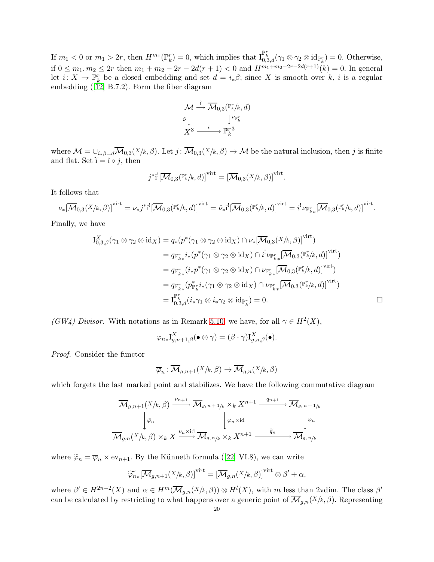If  $m_1 < 0$  or  $m_1 > 2r$ , then  $H^{m_1}(\mathbb{P}_k^r) = 0$ , which implies that  $I_{0,3,d}^{\mathbb{P}_k^r}(\gamma_1 \otimes \gamma_2 \otimes id_{\mathbb{P}_k^r}) = 0$ . Otherwise, if  $0 \leq m_1, m_2 \leq 2r$  then  $m_1 + m_2 - 2r - 2d(r+1) < 0$  and  $H^{m_1+m_2-2r-2d(r+1)}(k) = 0$ . In general let  $i: X \to \mathbb{P}_k^r$  be a closed embedding and set  $d = i_*\beta$ ; since X is smooth over k, i is a regular embedding([\[12\]](#page-44-13) B.7.2). Form the fiber diagram

$$
\begin{array}{ccc}\n{\cal M} \stackrel{\hat{1}}{\longrightarrow} & \overline{\cal M}_{0,3}({\mathbb P}^r_k/k,d) \\
\downarrow \nu_{{\mathbb P}^r_k} \\
X^3 \stackrel{i}{\longrightarrow} & {\mathbb P}^{r\,3}_k\n\end{array}
$$

where  $\mathcal{M} = \bigcup_{i_*\beta=d} \overline{\mathcal{M}}_{0,3}(X/k,\beta)$ . Let  $j: \overline{\mathcal{M}}_{0,3}(X/k,\beta) \to \mathcal{M}$  be the natural inclusion, then j is finite and flat. Set  $\tilde{i} = \hat{i} \circ j$ , then

$$
j^*\hat{\mathbf{1}}^![\overline{\mathcal{M}}_{0,3}(\mathbb{P}_k^r/k,d)]^{\text{virt}} = [\overline{\mathcal{M}}_{0,3}(X/k,\beta)]^{\text{virt}}.
$$

It follows that

$$
\nu_*[\overline{\mathcal{M}}_{0,3}(X/k,\beta)]^{\text{virt}} = \nu_*j^*\hat{\mathbf{I}}^![\overline{\mathcal{M}}_{0,3}(\mathbb{P}^r_k/k,d)]^{\text{virt}} = \hat{\nu}_*\hat{\mathbf{I}}^![\overline{\mathcal{M}}_{0,3}(\mathbb{P}^r_k/k,d)]^{\text{virt}} = i^!\nu_{\mathbb{P}^r_{k*}}[\overline{\mathcal{M}}_{0,3}(\mathbb{P}^r_k/k,d)]^{\text{virt}}.
$$

Finally, we have

$$
I_{0,3,\beta}^{X}(\gamma_{1} \otimes \gamma_{2} \otimes id_{X}) = q_{*}(p^{*}(\gamma_{1} \otimes \gamma_{2} \otimes id_{X}) \cap \nu_{*}[\overline{\mathcal{M}}_{0,3}(X/k,\beta)]^{\text{virt}})
$$
  
\n
$$
= q_{\mathbb{P}_{k}^{r}} i_{*}(p^{*}(\gamma_{1} \otimes \gamma_{2} \otimes id_{X}) \cap i^{!} \nu_{\mathbb{P}_{k}^{r}} [\overline{\mathcal{M}}_{0,3}(\mathbb{P}_{k}^{r}/k,d)]^{\text{virt}})
$$
  
\n
$$
= q_{\mathbb{P}_{k}^{r}} (i_{*}p^{*}(\gamma_{1} \otimes \gamma_{2} \otimes id_{X}) \cap \nu_{\mathbb{P}_{k}^{r}} [\overline{\mathcal{M}}_{0,3}(\mathbb{P}_{k}^{r}/k,d)]^{\text{virt}})
$$
  
\n
$$
= q_{\mathbb{P}_{k}^{r}} (p_{\mathbb{P}_{k}^{r}}^{*} i_{*}(\gamma_{1} \otimes \gamma_{2} \otimes id_{X}) \cap \nu_{\mathbb{P}_{k}^{r}} [\overline{\mathcal{M}}_{0,3}(\mathbb{P}_{k}^{r}/k,d)]^{\text{virt}}
$$
  
\n
$$
= I_{0,3,d}^{\mathbb{P}_{k}^{r}} (i_{*}\gamma_{1} \otimes i_{*}\gamma_{2} \otimes id_{\mathbb{P}_{k}^{r}}) = 0.
$$

(GW4) Divisor. With notations as in Remark [5.10,](#page-17-0) we have, for all  $\gamma \in H^2(X)$ ,

$$
\varphi_{n*}I_{g,n+1,\beta}^X(\bullet\otimes\gamma)=(\beta\cdot\gamma)I_{g,n,\beta}^X(\bullet).
$$

Proof. Consider the functor

$$
\overline{\varphi}_n \colon \overline{\mathcal{M}}_{g,n+1}(X/k,\beta) \to \overline{\mathcal{M}}_{g,n}(X/k,\beta)
$$

which forgets the last marked point and stabilizes. We have the following commutative diagram

$$
\overline{\mathcal{M}}_{g,n+1}(X/k,\beta) \xrightarrow{\nu_{n+1}} \overline{\mathcal{M}}_{g,n+1/k} \times_k X^{n+1} \xrightarrow{q_{n+1}} \overline{\mathcal{M}}_{g,n+1/k}
$$
\n
$$
\downarrow \widetilde{\varphi}_n \qquad \qquad \downarrow \varphi_n \times id \qquad \qquad \downarrow \varphi_n
$$
\n
$$
\overline{\mathcal{M}}_{g,n}(X/k,\beta) \times_k X \xrightarrow{\nu_n \times id} \overline{\mathcal{M}}_{g,n/k} \times_k X^{n+1} \xrightarrow{\widetilde{q}_n} \overline{\mathcal{M}}_{g,n/k}
$$

where $\tilde{\varphi}_n = \overline{\varphi}_n \times \text{ev}_{n+1}$ . By the Künneth formula ([\[22\]](#page-44-20) VI.8), we can write

$$
\widetilde{\varphi_{n}}_{*}[\overline{\mathcal{M}}_{g,n+1}(X/k,\beta)]^{\text{virt}} = [\overline{\mathcal{M}}_{g,n}(X/k,\beta)]^{\text{virt}} \otimes \beta' + \alpha,
$$

where  $\beta' \in H^{2n-2}(X)$  and  $\alpha \in H^m(\overline{\mathcal{M}}_{g,n}(X/k,\beta)) \otimes H^l(X)$ , with m less than 2vdim. The class  $\beta'$ can be calculated by restricting to what happens over a generic point of  $\overline{\mathcal{M}}_{g,n}(X/k,\beta)$ . Representing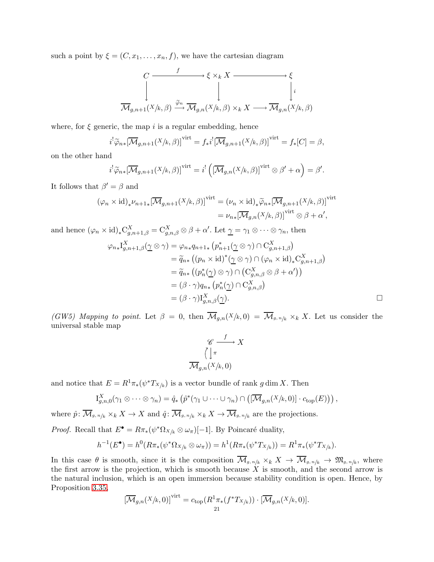such a point by  $\xi = (C, x_1, \ldots, x_n, f)$ , we have the cartesian diagram

$$
\begin{array}{ccc}\nC & \xrightarrow{f} & \xi \times_k X & \xrightarrow{\xrightarrow{\phi} & \xi} \\
\downarrow & & \downarrow & & \downarrow i \\
\hline\n\overline{\mathcal{M}}_{g,n+1}(X/k,\beta) & \xrightarrow{\tilde{\varphi}_n} & \overline{\mathcal{M}}_{g,n}(X/k,\beta) \times_k X & \xrightarrow{\xrightarrow{\phi} & \overline{\mathcal{M}}_{g,n}(X/k,\beta)\n\end{array}
$$

where, for  $\xi$  generic, the map i is a regular embedding, hence

$$
i^{!}\widetilde{\varphi}_{n*}[\overline{\mathcal{M}}_{g,n+1}(X/k,\beta)]^{\text{virt}} = f_*i^{!}[\overline{\mathcal{M}}_{g,n+1}(X/k,\beta)]^{\text{virt}} = f_*[C] = \beta,
$$

on the other hand

$$
i^{!}\widetilde{\varphi}_{n*}[\overline{\mathcal{M}}_{g,n+1}(X/k,\beta)]^{\text{virt}} = i^{!}\left([\overline{\mathcal{M}}_{g,n}(X/k,\beta)]^{\text{virt}}\otimes\beta' + \alpha\right) = \beta'.
$$

It follows that  $\beta' = \beta$  and

$$
(\varphi_n \times id)_* \nu_{n+1*} [\overline{\mathcal{M}}_{g,n+1}(X/k, \beta)]^{\text{virt}} = (\nu_n \times id)_* \widetilde{\varphi}_{n*} [\overline{\mathcal{M}}_{g,n+1}(X/k, \beta)]^{\text{virt}}
$$
  

$$
= \nu_{n*} [\overline{\mathcal{M}}_{g,n}(X/k, \beta)]^{\text{virt}} \otimes \beta + \alpha',
$$

and hence  $(\varphi_n \times id)_* C^X_{g,n+1,\beta} = C^X_{g,n,\beta} \otimes \beta + \alpha'.$  Let  $\underline{\gamma} = \gamma_1 \otimes \cdots \otimes \gamma_n$ , then

$$
\varphi_{n*} \mathbf{I}^{X}_{g,n+1,\beta}(\underline{\gamma} \otimes \gamma) = \varphi_{n*} q_{n+1*} (p_{n+1}^{*}(\underline{\gamma} \otimes \gamma) \cap \mathbf{C}^{X}_{g,n+1,\beta})
$$
  
\n
$$
= \widetilde{q}_{n*} ((p_n \times \mathrm{id})^{*}(\underline{\gamma} \otimes \gamma) \cap (\varphi_n \times \mathrm{id})_{*} \mathbf{C}^{X}_{g,n+1,\beta})
$$
  
\n
$$
= \widetilde{q}_{n*} ((p_n^{*}(\underline{\gamma}) \otimes \gamma) \cap (\mathbf{C}^{X}_{g,n,\beta} \otimes \beta + \alpha'))
$$
  
\n
$$
= (\beta \cdot \gamma) q_{n*} (p_n^{*}(\underline{\gamma}) \cap \mathbf{C}^{X}_{g,n,\beta})
$$
  
\n
$$
= (\beta \cdot \gamma) \mathbf{I}^{X}_{g,n,\beta}(\underline{\gamma}).
$$

(GW5) Mapping to point. Let  $\beta = 0$ , then  $\overline{\mathcal{M}}_{g,n}(X/k,0) = \overline{\mathcal{M}}_{g,n/k} \times_k X$ . Let us consider the universal stable map

$$
\begin{array}{c}\n\mathscr{C} \xrightarrow{f} X \\
\bigcap_{g,n} \left( \frac{1}{\lambda} \pi \right) \\
\overline{M}_{g,n}(X/k,0)\n\end{array}
$$

and notice that  $E = R^1 \pi_*(\psi^* T_{X/k})$  is a vector bundle of rank g dim X. Then

$$
I_{g,n,0}^X(\gamma_1 \otimes \cdots \otimes \gamma_n) = \hat{q}_*\left(\hat{p}^*(\gamma_1 \cup \cdots \cup \gamma_n) \cap \left([\overline{\mathcal{M}}_{g,n}(X/k,0)] \cdot c_{\text{top}}(E)\right)\right),
$$

where  $\hat{p}: \overline{\mathcal{M}}_{g,n/k} \times_k X \to X$  and  $\hat{q}: \overline{\mathcal{M}}_{g,n/k} \times_k X \to \overline{\mathcal{M}}_{g,n/k}$  are the projections.

*Proof.* Recall that  $E^{\bullet} = R\pi_*(\psi^*\Omega_{X/k} \otimes \omega_{\pi})[-1]$ . By Poincaré duality,

$$
h^{-1}(E^{\bullet}) = h^{0}(R\pi_{*}(\psi^{*}\Omega_{X/k} \otimes \omega_{\pi})) = h^{1}(R\pi_{*}(\psi^{*}T_{X/k})) = R^{1}\pi_{*}(\psi^{*}T_{X/k}).
$$

In this case  $\theta$  is smooth, since it is the composition  $\mathcal{M}_{g,n/k} \times_k X \to \mathcal{M}_{g,n/k} \to \mathfrak{M}_{g,n/k}$ , where the first arrow is the projection, which is smooth because  $\tilde{X}$  is smooth, and the second arrow is the natural inclusion, which is an open immersion because stability condition is open. Hence, by Proposition [3.35,](#page-10-3)

$$
\left[\overline{\mathcal{M}}_{g,n}(X/k,0)\right]^{\text{virt}} = c_{\text{top}}(R^1\pi_*(f^*T_{X/k})) \cdot \left[\overline{\mathcal{M}}_{g,n}(X/k,0)\right].
$$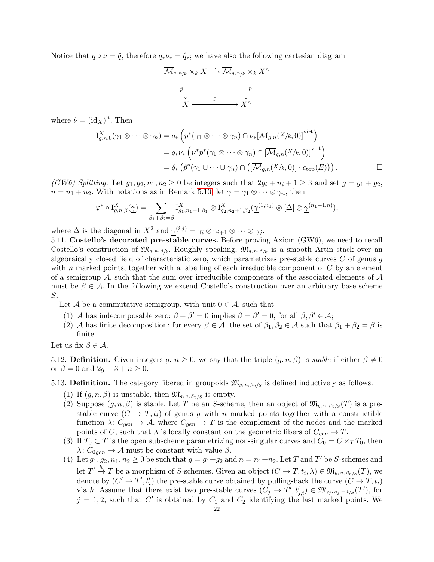Notice that  $q \circ \nu = \hat{q}$ , therefore  $q_* \nu_* = \hat{q}_*$ ; we have also the following cartesian diagram



where  $\hat{\nu} = (\text{id}_X)^n$ . Then

$$
I_{g,n,0}^X(\gamma_1 \otimes \cdots \otimes \gamma_n) = q_* \left( p^*(\gamma_1 \otimes \cdots \otimes \gamma_n) \cap \nu_*[\overline{\mathcal{M}}_{g,n}(X/k,0)]^{\text{virt}} \right)
$$
  
=  $q_* \nu_* \left( \nu^* p^*(\gamma_1 \otimes \cdots \otimes \gamma_n) \cap [\overline{\mathcal{M}}_{g,n}(X/k,0)]^{\text{virt}} \right)$   
=  $\hat{q}_* \left( \hat{p}^*(\gamma_1 \cup \cdots \cup \gamma_n) \cap ([\overline{\mathcal{M}}_{g,n}(X/k,0)] \cdot c_{\text{top}}(E)) \right).$ 

(GW6) Splitting. Let  $g_1, g_2, n_1, n_2 \ge 0$  be integers such that  $2g_i + n_i + 1 \ge 3$  and set  $g = g_1 + g_2$ ,  $n = n_1 + n_2$ . With notations as in Remark [5.10,](#page-17-0) let  $\gamma = \gamma_1 \otimes \cdots \otimes \gamma_n$ , then

$$
\varphi^* \circ \mathcal{I}_{g,n,\beta}^X(\underline{\gamma}) = \sum_{\beta_1 + \beta_2 = \beta} \mathcal{I}_{g_1,n_1+1,\beta_1}^X \otimes \mathcal{I}_{g_2,n_2+1,\beta_2}^X(\underline{\gamma}^{(1,n_1)} \otimes [\Delta] \otimes \underline{\gamma}^{(n_1+1,n)}),
$$

where  $\Delta$  is the diagonal in  $X^2$  and  $\underline{\gamma}^{(i,j)} = \gamma_i \otimes \gamma_{i+1} \otimes \cdots \otimes \gamma_j$ .

5.11. Costello's decorated pre-stable curves. Before proving Axiom (GW6), we need to recall Costello's construction of  $\mathfrak{M}_{g,n,\beta/k}$ . Roughly speaking,  $\mathfrak{M}_{g,n,\beta/k}$  is a smooth Artin stack over an algebraically closed field of characteristic zero, which parametrizes pre-stable curves  $C$  of genus  $g$ with n marked points, together with a labelling of each irreducible component of  $C$  by an element of a semigroup A, such that the sum over irreducible components of the associated elements of  $\mathcal A$ must be  $\beta \in \mathcal{A}$ . In the following we extend Costello's construction over an arbitrary base scheme S.

Let A be a commutative semigroup, with unit  $0 \in \mathcal{A}$ , such that

- (1) A has indecomposable zero:  $\beta + \beta' = 0$  implies  $\beta = \beta' = 0$ , for all  $\beta, \beta' \in \mathcal{A}$ ;
- (2) A has finite decomposition: for every  $\beta \in \mathcal{A}$ , the set of  $\beta_1, \beta_2 \in \mathcal{A}$  such that  $\beta_1 + \beta_2 = \beta$  is finite.

Let us fix  $\beta \in \mathcal{A}$ .

5.12. Definition. Given integers  $q, n \geq 0$ , we say that the triple  $(q, n, \beta)$  is stable if either  $\beta \neq 0$ or  $\beta = 0$  and  $2g - 3 + n \geq 0$ .

# 5.13. **Definition.** The category fibered in groupoids  $\mathfrak{M}_{g,n,\beta,\eta/S}$  is defined inductively as follows.

- (1) If  $(g, n, \beta)$  is unstable, then  $\mathfrak{M}_{g,n,\beta\eta/S}$  is empty.
- (2) Suppose  $(g, n, \beta)$  is stable. Let T be an S-scheme, then an object of  $\mathfrak{M}_{g,n,\beta,\gamma}(T)$  is a prestable curve  $(C \to T, t_i)$  of genus g with n marked points together with a constructible function  $\lambda: C_{gen} \to \mathcal{A}$ , where  $C_{gen} \to T$  is the complement of the nodes and the marked points of C, such that  $\lambda$  is locally constant on the geometric fibers of  $C_{gen} \to T$ .
- (3) If  $T_0 \subset T$  is the open subscheme parametrizing non-singular curves and  $C_0 = C \times_T T_0$ , then  $\lambda: C_{0gen} \to \mathcal{A}$  must be constant with value  $\beta$ .
- (4) Let  $g_1, g_2, n_1, n_2 \ge 0$  be such that  $g = g_1 + g_2$  and  $n = n_1 + n_2$ . Let T and T' be S-schemes and let  $T' \stackrel{h}{\to} T$  be a morphism of S-schemes. Given an object  $(C \to T, t_i, \lambda) \in \mathfrak{M}_{g,n,\beta\eta/S}(T)$ , we denote by  $(C' \to T', t'_i)$  the pre-stable curve obtained by pulling-back the curve  $(C \to T, t_i)$ via h. Assume that there exist two pre-stable curves  $(C_j \to T', t'_{j,i}) \in \mathfrak{M}_{g_j, n_j+1/S}(T')$ , for  $j = 1, 2$ , such that C' is obtained by  $C_1$  and  $C_2$  identifying the last marked points. We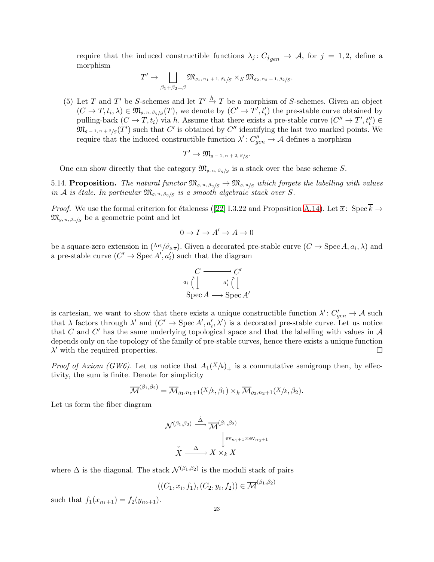require that the induced constructible functions  $\lambda_j : C_{j_{gen}} \to A$ , for  $j = 1, 2$ , define a morphism

$$
T' \to \bigsqcup_{\beta_1 + \beta_2 = \beta} \mathfrak{M}_{g_1, n_1 + 1, \beta_1/S} \times_S \mathfrak{M}_{g_2, n_2 + 1, \beta_2/S}.
$$

(5) Let T and T' be S-schemes and let  $T' \stackrel{h}{\to} T$  be a morphism of S-schemes. Given an object  $(C \to T, t_i, \lambda) \in \mathfrak{M}_{g,n,\beta,\eta/S}(T)$ , we denote by  $(C' \to T', t'_i)$  the pre-stable curve obtained by pulling-back  $(C \to T, t_i)$  via h. Assume that there exists a pre-stable curve  $(C'' \to T', t''_i) \in$  $\mathfrak{M}_{g-1,n+2/S}(T')$  such that  $C'$  is obtained by  $C''$  identifying the last two marked points. We require that the induced constructible function  $\lambda' : C''_{gen} \to \mathcal{A}$  defines a morphism

$$
T' \to \mathfrak{M}_{g-1,n+2,\beta/S}.
$$

One can show directly that the category  $\mathfrak{M}_{g,n,\beta\eta/S}$  is a stack over the base scheme S.

<span id="page-22-0"></span>5.14. Proposition. The natural functor  $\mathfrak{M}_{g,n,\beta\eta/S} \to \mathfrak{M}_{g,n/S}$  which forgets the labelling with values in A is étale. In particular  $\mathfrak{M}_{g,n,\beta\eta/S}$  is a smooth algebraic stack over S.

*Proof.*We use the formal criterion for étaleness ([\[22\]](#page-44-20) I.3.22 and Proposition [A.14\)](#page-33-0). Let  $\overline{x}$ : Spec  $\overline{k} \to$  $\mathfrak{M}_{g,n,\beta\eta/g}$  be a geometric point and let

$$
0\to I\to A'\to A\to 0
$$

be a square-zero extension in  $(\text{Art}/\hat{\sigma}_{s,\overline{x}})$ . Given a decorated pre-stable curve  $(C \to \text{Spec } A, a_i, \lambda)$  and a pre-stable curve  $(C' \to \text{Spec } A', a'_i)$  such that the diagram

$$
\begin{array}{ccc}\nC & \longrightarrow & C' \\
a_i \stackrel{\wedge}{\overline{\left\langle \right.}} & a'_i \stackrel{\wedge}{\overline{\left\langle \right.}} \\
\text{Spec } A \longrightarrow \text{Spec } A'\n\end{array}
$$

is cartesian, we want to show that there exists a unique constructible function  $\lambda' : C'_{gen} \to \mathcal{A}$  such that  $\lambda$  factors through  $\lambda'$  and  $(C' \to \text{Spec } A', a'_i, \lambda')$  is a decorated pre-stable curve. Let us notice that C and C' has the same underlying topological space and that the labelling with values in  $A$ depends only on the topology of the family of pre-stable curves, hence there exists a unique function  $\lambda'$  with the required properties.

*Proof of Axiom (GW6)*. Let us notice that  $A_1(X/k)_+$  is a commutative semigroup then, by effectivity, the sum is finite. Denote for simplicity

$$
\overline{\mathcal{M}}^{(\beta_1,\beta_2)} = \overline{\mathcal{M}}_{g_1,n_1+1}(X/k,\beta_1) \times_k \overline{\mathcal{M}}_{g_2,n_2+1}(X/k,\beta_2).
$$

Let us form the fiber diagram

$$
\mathcal{N}^{(\beta_1, \beta_2)} \stackrel{\hat{\Delta}}{\longrightarrow} \overline{\mathcal{M}}^{(\beta_1, \beta_2)} \\
\downarrow^{\text{ev}_{n_1+1} \times \text{ev}_{n_2+1}} \\
X \stackrel{\Delta}{\longrightarrow} X \times_k X
$$

where  $\Delta$  is the diagonal. The stack  $\mathcal{N}^{(\beta_1,\beta_2)}$  is the moduli stack of pairs

$$
((C_1, x_i, f_1), (C_2, y_i, f_2)) \in \overline{\mathcal{M}}^{(\beta_1, \beta_2)}
$$

such that  $f_1(x_{n_1+1}) = f_2(y_{n_2+1})$ .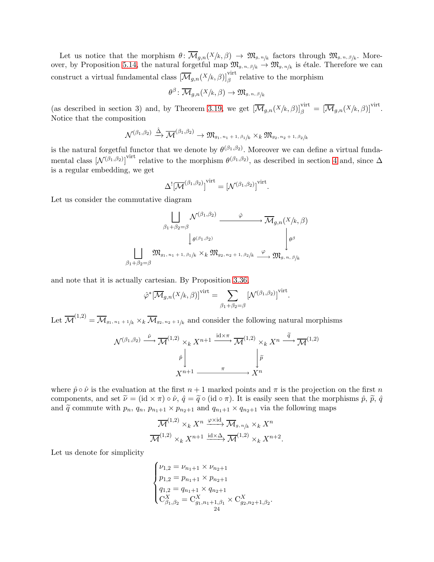Let us notice that the morphism  $\theta \colon \mathcal{M}_{g,n}(X/k,\beta) \to \mathfrak{M}_{g,n/k}$  factors through  $\mathfrak{M}_{g,n,\beta/k}$ . More-over, by Proposition [5.14,](#page-22-0) the natural forgetful map  $\mathfrak{M}_{g,n,\beta/k} \to \mathfrak{M}_{g,n/k}$  is étale. Therefore we can construct a virtual fundamental class  $\left[\overline{\mathcal{M}}_{g,n}(X/k,\beta)\right]_{\beta}^{\text{virt}}$  relative to the morphism

$$
\theta^{\beta} \colon \overline{\mathcal{M}}_{g,n}(X/k, \beta) \to \mathfrak{M}_{g,n,\beta/k}
$$

(as described in section 3) and, by Theorem [3.19,](#page-8-1) we get  $[\overline{\mathcal{M}}_{g,n}(X/k,\beta)]^{\text{virt}}_{\beta} = [\overline{\mathcal{M}}_{g,n}(X/k,\beta)]^{\text{virt}}$ . Notice that the composition

$$
\mathcal{N}^{(\beta_1,\beta_2)} \xrightarrow{\hat{\Delta}} \overline{\mathcal{M}}^{(\beta_1,\beta_2)} \to \mathfrak{M}_{g_1,\,n_1+1,\,\beta_1/k} \times_k \mathfrak{M}_{g_2,\,n_2+1,\,\beta_2/k}
$$

is the natural forgetful functor that we denote by  $\theta^{(\beta_1,\beta_2)}$ . Moreover we can define a virtual fundamental class  $[\mathcal{N}^{(\beta_1,\beta_2)}]$ <sup>virt</sup> relative to the morphism  $\theta^{(\beta_1,\beta_2)}$ , as described in section [4](#page-12-0) and, since  $\Delta$ is a regular embedding, we get

$$
\Delta^!\big[\overline{\mathcal{M}}^{(\beta_1,\beta_2)}\big]^{\text{virt}}=\left[\mathcal{N}^{(\beta_1,\beta_2)}\right]^{\text{virt}}
$$

.

Let us consider the commutative diagram

$$
\begin{array}{ccc}\n & \left| \bigcup_{\beta_1 + \beta_2 = \beta} \mathcal{N}^{(\beta_1, \beta_2)} \right| & \varphi & \mathcal{M}_{g,n}(X/k, \beta) \\
 & \downarrow_{\theta^{(\beta_1, \beta_2)}} & \downarrow_{\theta^{(\beta_1, \beta_2)}} & \downarrow_{\theta^{\beta}} \\
 & \left| \bigcup_{\beta_1 + \beta_2 = \beta} \mathfrak{M}_{g_1, n_1 + 1, \beta_1/k} \times_k \mathfrak{M}_{g_2, n_2 + 1, \beta_2/k} \xrightarrow{\varphi} \mathfrak{M}_{g, n, \beta/k}\n\end{array}
$$

and note that it is actually cartesian. By Proposition [3.36,](#page-11-0)

$$
\hat{\varphi}^* [\overline{\mathcal{M}}_{g,n}(X/k, \beta)]^{\text{virt}} = \sum_{\beta_1 + \beta_2 = \beta} [\mathcal{N}^{(\beta_1, \beta_2)}]^{\text{virt}}.
$$

Let  $\overline{\mathcal{M}}^{(1,2)} = \overline{\mathcal{M}}_{g_1, n_1 + 1/k} \times_k \overline{\mathcal{M}}_{g_2, n_2 + 1/k}$  and consider the following natural morphisms

$$
\mathcal{N}^{(\beta_1, \beta_2)} \xrightarrow{\hat{\nu}} \overline{\mathcal{M}}^{(1,2)} \times_k X^{n+1} \xrightarrow{\operatorname{id} \times \pi} \overline{\mathcal{M}}^{(1,2)} \times_k X^n \xrightarrow{\tilde{q}} \overline{\mathcal{M}}^{(1,2)}
$$
\n
$$
\downarrow \widetilde{p}
$$
\n
$$
X^{n+1} \xrightarrow{\pi} X^n
$$

where  $\hat{p} \circ \hat{\nu}$  is the evaluation at the first  $n+1$  marked points and  $\pi$  is the projection on the first n components, and set  $\tilde{\nu} = (\text{id} \times \pi) \circ \hat{\nu}$ ,  $\hat{q} = \tilde{q} \circ (\text{id} \circ \pi)$ . It is easily seen that the morphisms  $\hat{p}$ ,  $\tilde{p}$ ,  $\hat{q}$ and  $\tilde{q}$  commute with  $p_n$ ,  $q_n$ ,  $p_{n_1+1} \times p_{n_2+1}$  and  $q_{n_1+1} \times q_{n_2+1}$  via the following maps

$$
\overline{\mathcal{M}}^{(1,2)} \times_k X^n \xrightarrow{\varphi \times \mathrm{id}} \overline{\mathcal{M}}_{g,n/k} \times_k X^n
$$
  

$$
\overline{\mathcal{M}}^{(1,2)} \times_k X^{n+1} \xrightarrow{\mathrm{id} \times \Delta} \overline{\mathcal{M}}^{(1,2)} \times_k X^{n+2}.
$$

Let us denote for simplicity

$$
\begin{cases} \nu_{1,2} = \nu_{n_1+1} \times \nu_{n_2+1} \\ p_{1,2} = p_{n_1+1} \times p_{n_2+1} \\ q_{1,2} = q_{n_1+1} \times q_{n_2+1} \\ C_{\beta_1,\beta_2}^X = C_{g_1,n_1+1,\beta_1}^X \times C_{g_2,n_2+1,\beta_2}^X. \end{cases}
$$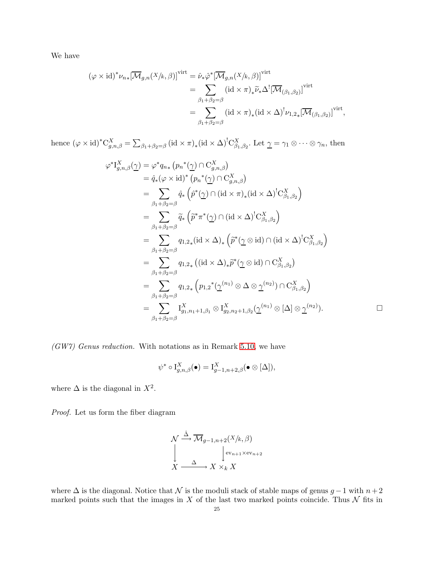We have

$$
(\varphi \times id)^* \nu_{n*} [\overline{\mathcal{M}}_{g,n}(X/k, \beta)]^{virt} = \hat{\nu}_* \hat{\varphi}^* [\overline{\mathcal{M}}_{g,n}(X/k, \beta)]^{virt}
$$
  
\n
$$
= \sum_{\substack{\beta_1 + \beta_2 = \beta \\ \beta_1 + \beta_2 = \beta}} (id \times \pi)_* \tilde{\nu}_* \Delta^! [\overline{\mathcal{M}}_{(\beta_1, \beta_2)}]^{virt}
$$
  
\n
$$
= \sum_{\substack{\beta_1 + \beta_2 = \beta}} (id \times \pi)_* (id \times \Delta)^! \nu_{1,2*} [\overline{\mathcal{M}}_{(\beta_1, \beta_2)}]^{virt},
$$

hence  $(\varphi \times id)^* C^X_{g,n,\beta} = \sum_{\beta_1 + \beta_2 = \beta} (id \times \pi)_* (id \times \Delta)^! C^X_{\beta_1,\beta_2}$ . Let  $\underline{\gamma} = \gamma_1 \otimes \cdots \otimes \gamma_n$ , then

$$
\varphi^* I^X_{g,n,\beta}(\underline{\gamma}) = \varphi^* q_{n*} (p_n^*(\underline{\gamma}) \cap C^X_{g,n,\beta})
$$
  
\n
$$
= \hat{q}_*(\varphi \times id)^* (p_n^*(\underline{\gamma}) \cap C^X_{g,n,\beta})
$$
  
\n
$$
= \sum_{\beta_1 + \beta_2 = \beta} \hat{q}_*\left(\hat{p}^*(\underline{\gamma}) \cap (id \times \pi)_*(id \times \Delta)^! C^X_{\beta_1, \beta_2}\right)
$$
  
\n
$$
= \sum_{\beta_1 + \beta_2 = \beta} \tilde{q}_*\left(\tilde{p}^* \pi^*(\underline{\gamma}) \cap (id \times \Delta)^! C^X_{\beta_1, \beta_2}\right)
$$
  
\n
$$
= \sum_{\beta_1 + \beta_2 = \beta} q_{1,2*} (id \times \Delta)_*\left(\tilde{p}^*(\underline{\gamma} \otimes id) \cap (id \times \Delta)^! C^X_{\beta_1, \beta_2}\right)
$$
  
\n
$$
= \sum_{\beta_1 + \beta_2 = \beta} q_{1,2*} ((id \times \Delta)_*\tilde{p}^*(\underline{\gamma} \otimes id) \cap C^X_{\beta_1, \beta_2})
$$
  
\n
$$
= \sum_{\beta_1 + \beta_2 = \beta} q_{1,2*} (p_{1,2}^*(\underline{\gamma}^{(n_1)} \otimes \Delta \otimes \underline{\gamma}^{(n_2)}) \cap C^X_{\beta_1, \beta_2})
$$
  
\n
$$
= \sum_{\beta_1 + \beta_2 = \beta} I^X_{g_1, n_1+1, \beta_1} \otimes I^X_{g_2, n_2+1, \beta_2}(\underline{\gamma}^{(n_1)} \otimes [\Delta] \otimes \underline{\gamma}^{(n_2)}).
$$

 $\Box$ 

(GW7) Genus reduction. With notations as in Remark [5.10,](#page-17-0) we have

$$
\psi^* \circ \mathrm{I}_{g,n,\beta}^X(\bullet) = \mathrm{I}_{g-1,n+2,\beta}^X(\bullet \otimes [\Delta]),
$$

where  $\Delta$  is the diagonal in  $X^2$ .

Proof. Let us form the fiber diagram

$$
\mathcal{N} \stackrel{\hat{\Delta}}{\longrightarrow} \overline{\mathcal{M}}_{g-1,n+2}(X/k,\beta)
$$
\n
$$
\downarrow \qquad \downarrow \text{ev}_{n+1} \times \text{ev}_{n+2}
$$
\n
$$
X \stackrel{\Delta}{\longrightarrow} X \times_k X
$$

where  $\Delta$  is the diagonal. Notice that  $\mathcal N$  is the moduli stack of stable maps of genus  $g-1$  with  $n+2$ marked points such that the images in  $X$  of the last two marked points coincide. Thus  $N$  fits in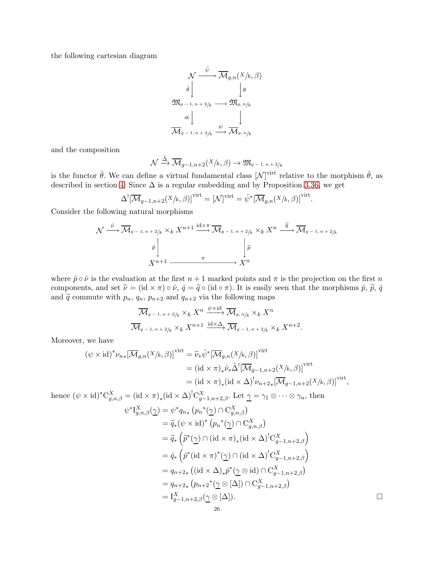the following cartesian diagram

$$
\mathcal{N} \xrightarrow{\hat{\psi}} \overline{\mathcal{M}}_{g,n}(X/k, \beta)
$$
\n
$$
\hat{\theta} \downarrow \qquad \qquad \downarrow \theta
$$
\n
$$
\mathfrak{M}_{g-1, n+2/k} \longrightarrow \mathfrak{M}_{g, n/k}
$$
\n
$$
\operatorname{st} \downarrow \qquad \qquad \downarrow
$$
\n
$$
\overline{\mathcal{M}}_{g-1, n+2/k} \xrightarrow{\psi} \overline{\mathcal{M}}_{g, n/k}
$$

and the composition

$$
\mathcal{N} \xrightarrow{\hat{\Delta}} \overline{\mathcal{M}}_{g-1,n+2}(X/k,\beta) \to \mathfrak{M}_{g-1,n+2/k}
$$

is the functor  $\hat{\theta}$ . We can define a virtual fundamental class  $[\mathcal{N}]^{\text{virt}}$  relative to the morphism  $\hat{\theta}$ , as described in section [4.](#page-12-0) Since  $\Delta$  is a regular embedding and by Proposition [3.36,](#page-11-0) we get

$$
\Delta^![\overline{\mathcal{M}}_{g-1,n+2}(X/k,\beta)]^{\text{virt}} = [\mathcal{N}]^{\text{virt}} = \hat{\psi}^*[\overline{\mathcal{M}}_{g,n}(X/k,\beta)]^{\text{virt}}
$$

.

Consider the following natural morphisms

$$
\mathcal{N} \xrightarrow{\hat{\nu}} \overline{\mathcal{M}}_{g-1,n+2/k} \times_k X^{n+1} \xrightarrow{\mathrm{id} \times \pi} \overline{\mathcal{M}}_{g-1,n+2/k} \times_k X^n \xrightarrow{\widetilde{q}} \overline{\mathcal{M}}_{g-1,n+2/k}
$$
\n
$$
\downarrow \widetilde{p} \downarrow \qquad \qquad \downarrow \widetilde{p}
$$
\n
$$
X^{n+1} \xrightarrow{\pi} X^n
$$

where  $\hat{p} \circ \hat{\nu}$  is the evaluation at the first  $n + 1$  marked points and  $\pi$  is the projection on the first n components, and set  $\tilde{\nu} = (\text{id} \times \pi) \circ \hat{\nu}$ ,  $\hat{q} = \tilde{q} \circ (\text{id} \circ \pi)$ . It is easily seen that the morphisms  $\hat{p}$ ,  $\tilde{p}$ ,  $\hat{q}$ and  $\tilde{q}$  commute with  $p_n$ ,  $q_n$ ,  $p_{n+2}$  and  $q_{n+2}$  via the following maps

$$
\overline{\mathcal{M}}_{g-1,n+2/k} \times_k X^n \xrightarrow{\psi \times \mathrm{id}} \overline{\mathcal{M}}_{g,n/k} \times_k X^n
$$
  

$$
\overline{\mathcal{M}}_{g-1,n+2/k} \times_k X^{n+1} \xrightarrow{\mathrm{id} \times \Delta} \overline{\mathcal{M}}_{g-1,n+2/k} \times_k X^{n+2}.
$$

Moreover, we have

$$
(\psi \times id)^* \nu_{n*} [\overline{\mathcal{M}}_{g,n}(X/k, \beta)]^{\text{virt}} = \widetilde{\nu}_* \hat{\psi}^* [\overline{\mathcal{M}}_{g,n}(X/k, \beta)]^{\text{virt}}
$$
  
=  $(id \times \pi)_* \hat{\nu}_* \hat{\Delta}^! [\overline{\mathcal{M}}_{g-1,n+2}(X/k, \beta)]^{\text{virt}}$   
=  $(id \times \pi)_* (id \times \Delta)^! \nu_{n+2*} [\overline{\mathcal{M}}_{g-1,n+2}(X/k, \beta)]^{\text{virt}},$ 

hence  $(\psi \times id)^* C^X_{g,n,\beta} = (\mathrm{id} \times \pi)_* (\mathrm{id} \times \Delta)^! C^X_{g-1,n+2,\beta}$ . Let  $\underline{\gamma} = \gamma_1 \otimes \cdots \otimes \gamma_n$ , then

$$
\psi^* I_{g,n,\beta}^X(\underline{\gamma}) = \psi^* q_{n*} (p_n^*(\underline{\gamma}) \cap C_{g,n,\beta}^X)
$$
  
\n
$$
= \widetilde{q}_*(\psi \times id)^* (p_n^*(\underline{\gamma}) \cap C_{g,n,\beta}^X)
$$
  
\n
$$
= \widetilde{q}_* \left( \widetilde{p}^*(\underline{\gamma}) \cap (id \times \pi)_*(id \times \Delta)^! C_{g-1,n+2,\beta}^X \right)
$$
  
\n
$$
= \widehat{q}_* \left( \widehat{p}^*(id \times \pi)^*(\underline{\gamma}) \cap (id \times \Delta)^! C_{g-1,n+2,\beta}^X \right)
$$
  
\n
$$
= q_{n+2*} ((id \times \Delta)_*\widehat{p}^*(\underline{\gamma} \otimes id) \cap C_{g-1,n+2,\beta}^X)
$$
  
\n
$$
= q_{n+2*} (p_{n+2}^*(\underline{\gamma} \otimes [\Delta]) \cap C_{g-1,n+2,\beta}^X)
$$
  
\n
$$
= I_{g-1,n+2,\beta}^X(\underline{\gamma} \otimes [\Delta]).
$$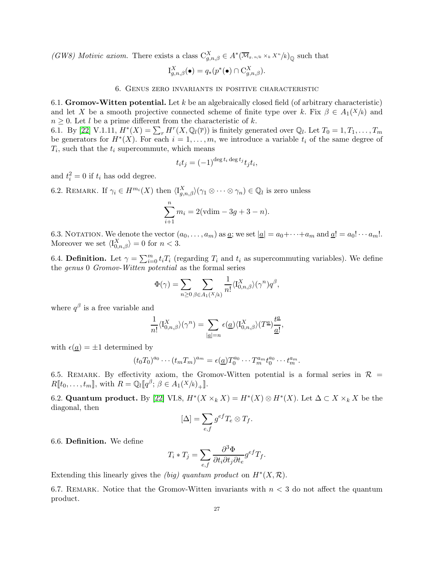(GW8) Motivic axiom. There exists a class  $C_{g,n,\beta}^X \in A^*(\overline{\mathcal{M}}_{g,n/k} \times_k X^n/k)_{\mathbb{Q}}$  such that

$$
\mathrm{I}_{g,n,\beta}^X(\bullet) = q_*(p^*(\bullet) \cap \mathrm{C}_{g,n,\beta}^X).
$$

#### 6. Genus zero invariants in positive characteristic

<span id="page-26-0"></span>6.1. **Gromov-Witten potential.** Let  $k$  be an algebraically closed field (of arbitrary characteristic) and let X be a smooth projective connected scheme of finite type over k. Fix  $\beta \in A_1(X/k)$  and  $n \geq 0$ . Let l be a prime different from the characteristic of k.

6.1. By [\[22\]](#page-44-20) V.1.11,  $H^*(X) = \sum_r H^r(X, \mathbb{Q}_l(\overline{r}))$  is finitely generated over  $\mathbb{Q}_l$ . Let  $T_0 = 1, T_1, \ldots, T_m$ be generators for  $H^*(X)$ . For each  $i = 1, \ldots, m$ , we introduce a variable  $t_i$  of the same degree of  $T_i$ , such that the  $t_i$  supercommute, which means

$$
t_i t_j = (-1)^{\deg t_i \deg t_j} t_j t_i,
$$

and  $t_i^2 = 0$  if  $t_i$  has odd degree.

6.2. REMARK. If  $\gamma_i \in H^{m_i}(X)$  then  $\langle I_{g,n,\beta}^X \rangle (\gamma_1 \otimes \cdots \otimes \gamma_n) \in \mathbb{Q}_l$  is zero unless

$$
\sum_{i+1}^{n} m_i = 2(\text{vdim} - 3g + 3 - n).
$$

6.3. NOTATION. We denote the vector  $(a_0, \ldots, a_m)$  as  $\underline{a}$ ; we set  $|\underline{a}| = a_0 + \cdots + a_m$  and  $\underline{a}! = a_0! \cdots a_m!$ . Moreover we set  $\langle I_{0,n,\beta}^X \rangle = 0$  for  $n < 3$ .

6.4. **Definition.** Let  $\gamma = \sum_{i=0}^{m} t_i T_i$  (regarding  $T_i$  and  $t_i$  as supercommuting variables). We define the genus 0 Gromov-Witten potential as the formal series

$$
\Phi(\gamma) = \sum_{n \ge 0} \sum_{\beta \in A_1(X/k)} \frac{1}{n!} \langle I_{0,n,\beta}^X \rangle(\gamma^n) q^{\beta},
$$

where  $q^{\beta}$  is a free variable and

$$
\frac{1}{n!}\langle \mathcal{I}^{X}_{0,n,\beta}\rangle(\gamma^n)=\sum_{|\underline{a}|=n}\epsilon(\underline{a})\langle \mathcal{I}^{X}_{0,n,\beta}\rangle(T^{\underline{a}})\frac{t^{\underline{a}}}{\underline{a}!},
$$

with  $\epsilon(\underline{a}) = \pm 1$  determined by

$$
(t_0T_0)^{a_0}\cdots (t_mT_m)^{a_m} = \epsilon(\underline{a})T_0^{a_0}\cdots T_m^{a_m}t_0^{a_0}\cdots t_m^{a_m}.
$$

6.5. REMARK. By effectivity axiom, the Gromov-Witten potential is a formal series in  $\mathcal{R}$  =  $R[\![t_0, \ldots, t_m]\!]$ , with  $R = \mathbb{Q}_l[\![q^\beta; \beta \in A_1(X/k)_{+}]\!]$ .

6.2. Quantum product. By [\[22\]](#page-44-20) VI.8,  $H^*(X \times_k X) = H^*(X) \otimes H^*(X)$ . Let  $\Delta \subset X \times_k X$  be the diagonal, then

$$
[\Delta] = \sum_{e,f} g^{ef} T_e \otimes T_f.
$$

6.6. Definition. We define

$$
T_i * T_j = \sum_{e,f} \frac{\partial^3 \Phi}{\partial t_i \partial t_j \partial t_e} g^{ef} T_f.
$$

Extending this linearly gives the (big) quantum product on  $H^*(X, \mathcal{R})$ .

6.7. REMARK. Notice that the Gromov-Witten invariants with  $n < 3$  do not affect the quantum product.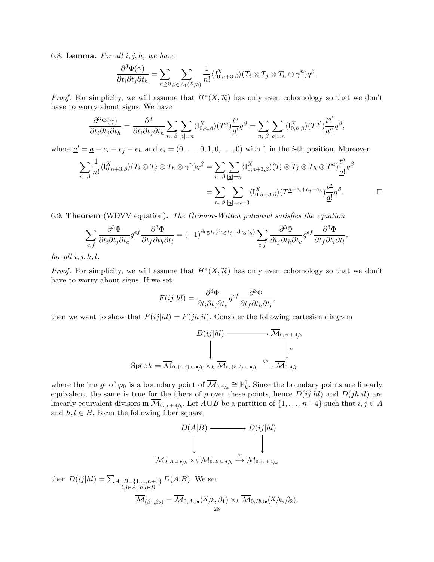<span id="page-27-0"></span>6.8. Lemma. For all  $i, j, h$ , we have

$$
\frac{\partial^3 \Phi(\gamma)}{\partial t_i \partial t_j \partial t_h} = \sum_{n \geq 0} \sum_{\beta \in A_1(X/k)} \frac{1}{n!} \langle I_{0,n+3,\beta}^X \rangle (T_i \otimes T_j \otimes T_h \otimes \gamma^n) q^{\beta}.
$$

*Proof.* For simplicity, we will assume that  $H^*(X,\mathcal{R})$  has only even cohomology so that we don't have to worry about signs. We have

$$
\frac{\partial^3 \Phi(\gamma)}{\partial t_i \partial t_j \partial t_h} = \frac{\partial^3}{\partial t_i \partial t_j \partial t_h} \sum_{n, \beta} \sum_{|\underline{a}|=n} \langle I_{0,n,\beta}^X \rangle (T^{\underline{a}}) \frac{t^{\underline{a}}}{\underline{a}!} q^{\beta} = \sum_{n, \beta} \sum_{|\underline{a}|=n} \langle I_{0,n,\beta}^X \rangle (T^{\underline{a}'}) \frac{t^{\underline{a}'}}{\underline{a}'} q^{\beta},
$$

where  $\underline{a}' = \underline{a} - e_i - e_j - e_h$  and  $e_i = (0, \ldots, 0, 1, 0, \ldots, 0)$  with 1 in the *i*-th position. Moreover

$$
\sum_{n, \beta} \frac{1}{n!} \langle I_{0,n+3,\beta}^X \rangle (T_i \otimes T_j \otimes T_h \otimes \gamma^n) q^{\beta} = \sum_{n, \beta} \sum_{|\underline{a}|=n} \langle I_{0,n+3,\beta}^X \rangle (T_i \otimes T_j \otimes T_h \otimes T^{\underline{a}}) \frac{t^{\underline{a}}}{\underline{a}!} q^{\beta}
$$
  

$$
= \sum_{n, \beta} \sum_{|\underline{a}|=n+3} \langle I_{0,n+3,\beta}^X \rangle (T^{\underline{a}+e_i+e_j+e_h}) \frac{t^{\underline{a}}}{\underline{a}!} q^{\beta}.
$$

<span id="page-27-1"></span>6.9. Theorem (WDVV equation). The Gromov-Witten potential satisfies the equation

$$
\sum_{e,f} \frac{\partial^3 \Phi}{\partial t_i \partial t_j \partial t_e} g^{ef} \frac{\partial^3 \Phi}{\partial t_f \partial t_h \partial t_l} = (-1)^{\deg t_i (\deg t_j + \deg t_h)} \sum_{e,f} \frac{\partial^3 \Phi}{\partial t_j \partial t_h \partial t_e} g^{ef} \frac{\partial^3 \Phi}{\partial t_f \partial t_i \partial t_l},
$$

for all  $i, j, h, l$ .

*Proof.* For simplicity, we will assume that  $H^*(X,\mathcal{R})$  has only even cohomology so that we don't have to worry about signs. If we set

$$
F(ij|hl) = \frac{\partial^3 \Phi}{\partial t_i \partial t_j \partial t_e} g^{ef} \frac{\partial^3 \Phi}{\partial t_f \partial t_h \partial t_l},
$$

then we want to show that  $F(ij|hl) = F(jh|il)$ . Consider the following cartesian diagram

$$
D(ij|hl) \longrightarrow \overline{\mathcal{M}}_{0,n+4/k}
$$
  
\n
$$
\downarrow \qquad \qquad \downarrow \qquad \qquad \downarrow \qquad \qquad \downarrow \qquad \downarrow \qquad \downarrow \qquad \downarrow \qquad \downarrow \qquad \downarrow \qquad \downarrow \qquad \downarrow \qquad \downarrow \qquad \downarrow \qquad \downarrow \qquad \downarrow \qquad \downarrow \qquad \downarrow \qquad \downarrow \qquad \downarrow \qquad \downarrow \qquad \downarrow \qquad \downarrow \qquad \downarrow \qquad \downarrow \qquad \downarrow \qquad \downarrow \qquad \downarrow \qquad \downarrow \qquad \downarrow \qquad \downarrow \qquad \downarrow \qquad \downarrow \qquad \downarrow \qquad \downarrow \qquad \downarrow \qquad \downarrow \qquad \downarrow \qquad \downarrow \qquad \downarrow \qquad \downarrow \qquad \downarrow \qquad \downarrow \qquad \downarrow \qquad \downarrow \qquad \downarrow \qquad \downarrow \qquad \downarrow \qquad \downarrow \qquad \downarrow \qquad \downarrow \qquad \downarrow \qquad \downarrow \qquad \downarrow \qquad \downarrow \qquad \downarrow \qquad \downarrow \qquad \downarrow \qquad \downarrow \qquad \downarrow \qquad \downarrow \qquad \downarrow \qquad \downarrow \qquad \downarrow \qquad \downarrow \qquad \downarrow \qquad \downarrow \qquad \downarrow \qquad \downarrow \qquad \downarrow \qquad \downarrow \qquad \downarrow \qquad \downarrow \qquad \downarrow \qquad \downarrow \qquad \downarrow \qquad \downarrow \qquad \downarrow \qquad \downarrow \qquad \downarrow \qquad \downarrow \qquad \downarrow \qquad \downarrow \qquad \downarrow \qquad \downarrow \qquad \downarrow \qquad \downarrow \qquad \downarrow \qquad \downarrow \qquad \downarrow \qquad \downarrow \qquad \downarrow \qquad \downarrow \qquad \downarrow \qquad \downarrow \qquad \downarrow \qquad \downarrow \qquad \downarrow \qquad \downarrow \qquad \downarrow \qquad \downarrow \qquad \downarrow \qquad \downarrow \qquad \downarrow \qquad \downarrow \qquad \downarrow \qquad \downarrow \qquad \downarrow \qquad \downarrow \qquad \downarrow \qquad \downarrow \qquad \downarrow \qquad \downarrow \qquad \downarrow \qquad \downarrow \qquad \downarrow \qquad \downarrow \qquad \downarrow \qquad \downarrow \qquad \downarrow \qquad \down
$$

where the image of  $\varphi_0$  is a boundary point of  $\overline{\mathcal{M}}_{0,4/k} \cong \mathbb{P}^1_k$ . Since the boundary points are linearly equivalent, the same is true for the fibers of  $\rho$  over these points, hence  $D(ij|hl)$  and  $D(jh|il)$  are linearly equivalent divisors in  $\mathcal{M}_{0,n+4/k}$ . Let  $A\cup B$  be a partition of  $\{1,\ldots,n+4\}$  such that  $i,j\in A$ and  $h, l \in B$ . Form the following fiber square

$$
D(A|B) \longrightarrow D(ij|hl)
$$
  
\n
$$
\downarrow \qquad \qquad \downarrow
$$
  
\n
$$
\overline{\mathcal{M}}_{0, A \cup \bullet/k} \times_{k} \overline{\mathcal{M}}_{0, B \cup \bullet/k} \xrightarrow{\varphi} \overline{\mathcal{M}}_{0, n+4/k}
$$

then  $D(ij|h l) = \sum_{A \cup B = \{1,...,n+4\}}$ i,j∈A, h,l∈B  $D(A|B)$ . We set  $\mathcal{M}_{(\beta_1,\beta_2)} = \mathcal{M}_{0,A\cup\bullet}(X/k,\beta_1)\times_k \mathcal{M}_{0,B\cup\bullet}(X/k,\beta_2).$ 28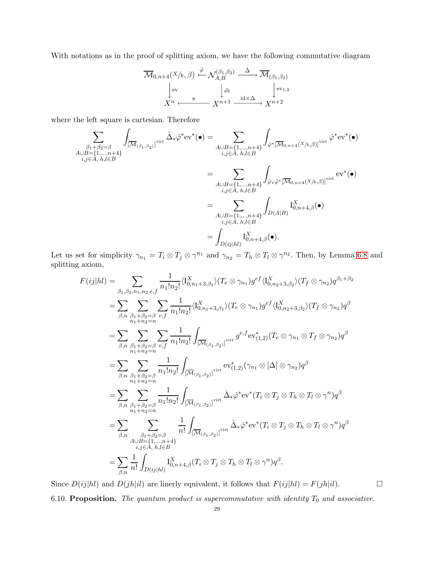With notations as in the proof of splitting axiom, we have the following commutative diagram

$$
\overline{\mathcal{M}}_{0,n+4}(X/k,\beta) \xleftarrow{\hat{\varphi}} \mathcal{N}_{A,B}^{(\beta_1,\beta_2)} \xrightarrow{\hat{\Delta}} \overline{\mathcal{M}}_{(\beta_1,\beta_2)}
$$
\n
$$
\downarrow^{\text{ev}} \qquad \qquad \downarrow^{\hat{\text{ev}}}
$$
\n
$$
X^{n} \xleftarrow{\pi} X^{n+1} \xrightarrow{\text{id} \times \Delta} X^{n+2}
$$

where the left square is cartesian. Therefore

$$
\sum_{\substack{\beta_1+\beta_2=\beta\\i,j\in A,\ h,l\in B}} \int_{\substack{[\overline{\mathcal{M}}_{(\beta_1,\beta_2)}]^{\text{virt}}}} \hat{\Delta}_*\hat{\varphi}^*\text{ev}^*(\bullet) = \sum_{\substack{A\cup B=\{1,\ldots,n+4\}\\i,j\in A,\ h,l\in B}} \int_{\hat{\varphi}^*[\overline{\mathcal{M}}_{0,n+4}(X/k,\beta)]^{\text{virt}}} \hat{\varphi}^*\text{ev}^*(\bullet)
$$
\n
$$
= \sum_{\substack{A\cup B=\{1,\ldots,n+4\}\\i,j\in A,\ h,l\in B}} \int_{\hat{\varphi}*\hat{\varphi}^*[\overline{\mathcal{M}}_{0,n+4}(X/k,\beta)]^{\text{virt}}} \text{ev}^*(\bullet)
$$
\n
$$
= \sum_{\substack{A\cup B=\{1,\ldots,n+4\}\\i,j\in A,\ h,l\in B}} \int_{D(A|B)} \text{I}_{0,n+4,\beta}^X(\bullet)
$$
\n
$$
= \int_{D(ij|hl)} \text{I}_{0,n+4,\beta}^X(\bullet).
$$

Let us set for simplicity  $\gamma_{n_1} = T_i \otimes T_j \otimes \gamma^{n_1}$  and  $\gamma_{n_2} = T_h \otimes T_l \otimes \gamma^{n_2}$ . Then, by Lemma [6.8](#page-27-0) and splitting axiom,

$$
F(ij|hl) = \sum_{\beta_1, \beta_2, n_1, n_2, e, f} \frac{1}{n_1! n_2!} \langle I_{0, n_1+3, \beta_1}^X \rangle (T_e \otimes \gamma_{n_1}) g^{ef} \langle I_{0, n_2+3, \beta_2}^X \rangle (T_f \otimes \gamma_{n_2}) q^{\beta_1 + \beta_2}
$$
  
\n
$$
= \sum_{\beta, n} \sum_{\beta_1 + \beta_2 = \beta \atop n_1 + n_2 = n} \sum_{e, f} \frac{1}{n_1! n_2!} \langle I_{0, n_1+3, \beta_1}^X \rangle (T_e \otimes \gamma_{n_1}) g^{ef} \langle I_{0, n_2+3, \beta_2}^X \rangle (T_f \otimes \gamma_{n_2}) q^{\beta}
$$
  
\n
$$
= \sum_{\beta, n} \sum_{\beta_1 + \beta_2 = \beta \atop n_1 + n_2 = n} \sum_{e, f} \frac{1}{n_1! n_2!} \int_{\overline{[M_{(\beta_1, \beta_2)}]}^{virat}} g^{ef} \cdot \text{ev}_{(1,2)}^*(T_e \otimes \gamma_{n_1} \otimes T_f \otimes \gamma_{n_2}) q^{\beta}
$$
  
\n
$$
= \sum_{\beta, n} \sum_{\beta_1 + \beta_2 = \beta \atop n_1 + n_2 = n} \frac{1}{n_1! n_2!} \int_{\overline{[M_{(\beta_1, \beta_2)}]}^{virat}} \text{ev}_{(1,2)}^*(\gamma_{n_1} \otimes [\Delta] \otimes \gamma_{n_2}) q^{\beta}
$$
  
\n
$$
= \sum_{\beta, n} \sum_{\beta_1 + \beta_2 = \beta \atop n_1 + n_2 = n} \frac{1}{n_1! n_2!} \int_{\overline{[M_{(\beta_1, \beta_2)}]}^{virat}} \hat{\Delta}_* \hat{\varphi}^* \text{ev}^*(T_i \otimes T_j \otimes T_h \otimes T_l \otimes \gamma^n) q^{\beta}
$$
  
\n
$$
= \sum_{\beta, n} \sum_{\beta_1 + \beta_2 = \beta \atop n_2 + n_2 = n} \frac{1}{n_1!} \int_{\overline{[M_{(\beta_1, \beta
$$

<span id="page-28-0"></span>Since  $D(ij|hl)$  and  $D(jh|il)$  are linerly equivalent, it follows that  $F(ij|hl) = F(jh|il)$ . 6.10. Proposition. The quantum product is supercommutative with identity  $T_0$  and associative.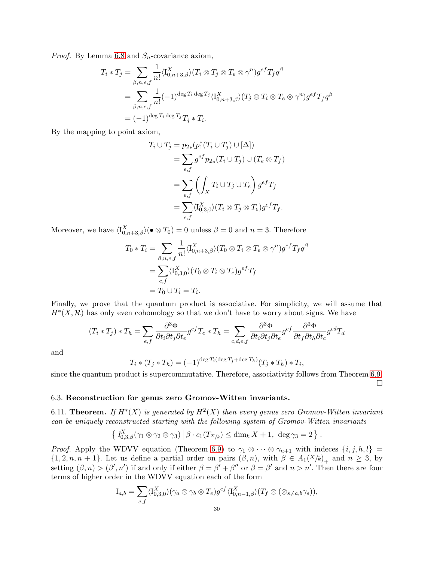*Proof.* By Lemma [6.8](#page-27-0) and  $S_n$ -covariance axiom,

$$
T_i * T_j = \sum_{\beta, n, e, f} \frac{1}{n!} \langle I_{0, n+3, \beta}^X \rangle (T_i \otimes T_j \otimes T_e \otimes \gamma^n) g^{ef} T_f q^{\beta}
$$
  
= 
$$
\sum_{\beta, n, e, f} \frac{1}{n!} (-1)^{\deg T_i \deg T_j} \langle I_{0, n+3, \beta}^X \rangle (T_j \otimes T_i \otimes T_e \otimes \gamma^n) g^{ef} T_f q^{\beta}
$$
  
= 
$$
(-1)^{\deg T_i \deg T_j} T_j * T_i.
$$

By the mapping to point axiom,

$$
T_i \cup T_j = p_{2*}(p_1^*(T_i \cup T_j) \cup [\Delta])
$$
  
= 
$$
\sum_{e,f} g^{ef} p_{2*}(T_i \cup T_j) \cup (T_e \otimes T_f)
$$
  
= 
$$
\sum_{e,f} \left( \int_X T_i \cup T_j \cup T_e \right) g^{ef} T_f
$$
  
= 
$$
\sum_{e,f} \langle I_{0,3,0}^X \rangle (T_i \otimes T_j \otimes T_e) g^{ef} T_f.
$$

Moreover, we have  $\langle I_{0,n+3,\beta}^X \rangle (\bullet \otimes T_0) = 0$  unless  $\beta = 0$  and  $n = 3$ . Therefore

$$
T_0 * T_i = \sum_{\beta, n, e, f} \frac{1}{n!} \langle I_{0, n+3, \beta}^X \rangle (T_0 \otimes T_i \otimes T_e \otimes \gamma^n) g^{ef} T_f q^{\beta}
$$
  
= 
$$
\sum_{e, f} \langle I_{0, 3, 0}^X \rangle (T_0 \otimes T_i \otimes T_e) g^{ef} T_f
$$
  
= 
$$
T_0 \cup T_i = T_i.
$$

Finally, we prove that the quantum product is associative. For simplicity, we will assume that  $H^*(X,\mathcal{R})$  has only even cohomology so that we don't have to worry about signs. We have

$$
(T_i * T_j) * T_h = \sum_{e,f} \frac{\partial^3 \Phi}{\partial t_i \partial t_j \partial t_e} g^{ef} T_e * T_h = \sum_{c,d,e,f} \frac{\partial^3 \Phi}{\partial t_i \partial t_j \partial t_e} g^{ef} \frac{\partial^3 \Phi}{\partial t_f \partial t_h \partial t_e} g^{cd} T_d
$$

and

$$
T_i * (T_j * T_h) = (-1)^{\deg T_i(\deg T_j + \deg T_h)} (T_j * T_h) * T_i,
$$

since the quantum product is supercommutative. Therefore, associativity follows from Theorem [6.9.](#page-27-1)  $\Box$ 

# 6.3. Reconstruction for genus zero Gromov-Witten invariants.

6.11. Theorem. If  $H^*(X)$  is generated by  $H^2(X)$  then every genus zero Gromov-Witten invariant can be uniquely reconstructed starting with the following system of Gromov-Witten invariants

$$
\left\{ \left. I_{0,3,\beta}^X(\gamma_1 \otimes \gamma_2 \otimes \gamma_3) \right| \beta \cdot c_1(T_{X/k}) \leq \dim_k X + 1, \text{ deg } \gamma_3 = 2 \right\}.
$$

*Proof.* Apply the WDVV equation (Theorem [6.9\)](#page-27-1) to  $\gamma_1 \otimes \cdots \otimes \gamma_{n+1}$  with indeces  $\{i, j, h, l\}$  =  $\{1, 2, n, n + 1\}$ . Let us define a partial order on pairs  $(\beta, n)$ , with  $\beta \in A_1(X/k)_+$  and  $n \geq 3$ , by setting  $(\beta, n) > (\beta', n')$  if and only if either  $\beta = \beta' + \beta''$  or  $\beta = \beta'$  and  $n > n'$ . Then there are four terms of higher order in the WDVV equation each of the form

$$
I_{a,b} = \sum_{e,f} \langle I_{0,3,0}^X \rangle (\gamma_a \otimes \gamma_b \otimes T_e) g^{ef} \langle I_{0,n-1,\beta}^X \rangle (T_f \otimes (\otimes_{s \neq a,b} \gamma_s)),
$$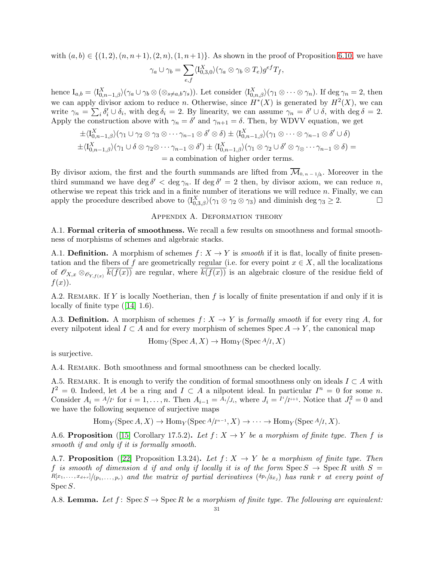with  $(a, b) \in \{(1, 2), (n, n+1), (2, n), (1, n+1)\}.$  As shown in the proof of Proposition [6.10,](#page-28-0) we have

$$
\gamma_a \cup \gamma_b = \sum_{e,f} \langle I_{0,3,0}^X \rangle (\gamma_a \otimes \gamma_b \otimes T_e) g^{ef} T_f,
$$

hence  $I_{a,b} = \langle I_{0,n-1,\beta}^X \rangle (\gamma_a \cup \gamma_b \otimes (\otimes_{s \neq a,b} \gamma_s)).$  Let consider  $\langle I_{0,n,\beta}^X \rangle (\gamma_1 \otimes \cdots \otimes \gamma_n)$ . If  $\deg \gamma_n = 2$ , then we can apply divisor axiom to reduce n. Otherwise, since  $H^*(X)$  is generated by  $H^2(X)$ , we can write  $\gamma_n = \sum_i \delta'_i \cup \delta_i$ , with deg  $\delta_i = 2$ . By linearity, we can assume  $\gamma_n = \delta' \cup \delta$ , with deg  $\delta = 2$ . Apply the construction above with  $\gamma_n = \delta'$  and  $\gamma_{n+1} = \delta$ . Then, by WDVV equation, we get

$$
\pm \langle I_{0,n-1,\beta}^X \rangle (\gamma_1 \cup \gamma_2 \otimes \gamma_3 \otimes \cdots \gamma_{n-1} \otimes \delta' \otimes \delta) \pm \langle I_{0,n-1,\beta}^X \rangle (\gamma_1 \otimes \cdots \otimes \gamma_{n-1} \otimes \delta' \cup \delta)
$$
  

$$
\pm \langle I_{0,n-1,\beta}^X \rangle (\gamma_1 \cup \delta \otimes \gamma_2 \otimes \cdots \gamma_{n-1} \otimes \delta') \pm \langle I_{0,n-1,\beta}^X \rangle (\gamma_1 \otimes \gamma_2 \cup \delta' \otimes \gamma_3 \cdots \gamma_{n-1} \otimes \delta) =
$$
  
= a combination of higher order terms.

By divisor axiom, the first and the fourth summands are lifted from  $\mathcal{M}_{0,n-1/k}$ . Moreover in the third summand we have deg  $\delta' < \deg \gamma_n$ . If  $\deg \delta' = 2$  then, by divisor axiom, we can reduce n, otherwise we repeat this trick and in a finite number of iterations we will reduce  $n$ . Finally, we can apply the procedure described above to  $\langle I_{0,3,\beta}^X \rangle(\gamma_1 \otimes \gamma_2 \otimes \gamma_3)$  and diminish deg  $\gamma_3 \geq 2$ .

# Appendix A. Deformation theory

<span id="page-30-0"></span>A.1. Formal criteria of smoothness. We recall a few results on smoothness and formal smoothness of morphisms of schemes and algebraic stacks.

A.1. Definition. A morphism of schemes  $f: X \to Y$  is *smooth* if it is flat, locally of finite presentation and the fibers of f are geometrically regular (i.e. for every point  $x \in X$ , all the localizations of  $\mathscr{O}_{X,x} \otimes_{\mathscr{O}_{Y,f(x)}} \overline{k(f(x))}$  are regular, where  $\overline{k(f(x))}$  is an algebraic closure of the residue field of  $f(x)$ .

A.2. REMARK. If Y is locally Noetherian, then f is locally of finite presentation if and only if it is locally of finite type([\[14\]](#page-44-21) 1.6).

A.3. Definition. A morphism of schemes  $f: X \to Y$  is *formally smooth* if for every ring A, for every nilpotent ideal  $I \subset A$  and for every morphism of schemes Spec  $A \to Y$ , the canonical map

$$
Hom_Y(Spec A, X) \to Hom_Y(Spec A/I, X)
$$

is surjective.

A.4. Remark. Both smoothness and formal smoothness can be checked locally.

A.5. REMARK. It is enough to verify the condition of formal smoothness only on ideals  $I \subset A$  with  $I^2 = 0$ . Indeed, let A be a ring and  $I \subset A$  a nilpotent ideal. In particular  $I^n = 0$  for some n. Consider  $A_i = A/I^i$  for  $i = 1, ..., n$ . Then  $A_{i-1} = A_i/I_i$ , where  $J_i = I^i/I^{i+1}$ . Notice that  $J_i^2 = 0$  and we have the following sequence of surjective maps

 $\text{Hom}_Y(\text{Spec }A, X) \to \text{Hom}_Y(\text{Spec }A/I^{n-1}, X) \to \cdots \to \text{Hom}_Y(\text{Spec }A/I, X).$ 

A.6. Proposition ([\[15\]](#page-44-22) Corollary 17.5.2). Let  $f: X \to Y$  be a morphism of finite type. Then f is smooth if and only if it is formally smooth.

<span id="page-30-1"></span>A.7. Proposition ([\[22\]](#page-44-20) Proposition I.3.24). Let  $f: X \to Y$  be a morphism of finite type. Then f is smooth of dimension d if and only if locally it is of the form  $\text{Spec } S \to \text{Spec } R$  with  $S =$  $R[x_1, \ldots, x_{d+r}]/(p_1, \ldots, p_r)$  and the matrix of partial derivatives  $(\delta p_i/\delta x_j)$  has rank r at every point of Spec S.

<span id="page-30-2"></span>A.8. Lemma. Let f: Spec  $S \to \text{Spec } R$  be a morphism of finite type. The following are equivalent: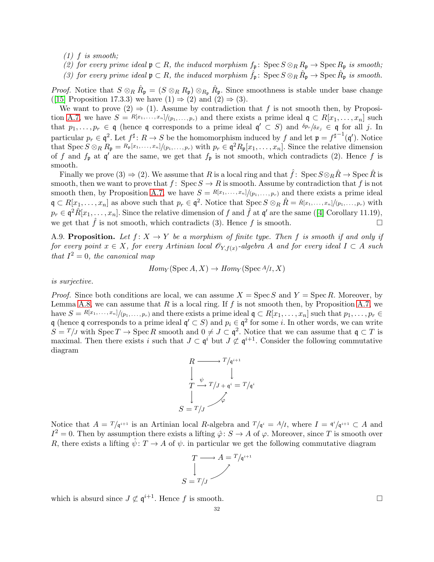$(1)$  f is smooth:

(2) for every prime ideal  $\mathfrak{p} \subset R$ , the induced morphism  $f_{\mathfrak{p}} \colon \operatorname{Spec} S \otimes_R R_{\mathfrak{p}} \to \operatorname{Spec} R_{\mathfrak{p}}$  is smooth; (3) for every prime ideal  $\mathfrak{p} \subset R$ , the induced morphism  $\hat{f}_{\mathfrak{p}}$ : Spec  $S \otimes_R \hat{R}_{\mathfrak{p}} \to \text{Spec } \hat{R}_{\mathfrak{p}}$  is smooth.

*Proof.* Notice that  $S \otimes_R \hat{R}_{\mathfrak{p}} = (S \otimes_R R_{\mathfrak{p}}) \otimes_{R_{\mathfrak{p}}} \hat{R}_{\mathfrak{p}}$ . Since smoothness is stable under base change ([\[15\]](#page-44-22) Proposition 17.3.3) we have  $(1) \Rightarrow (2)$  and  $(2) \Rightarrow (3)$ .

We want to prove  $(2) \Rightarrow (1)$ . Assume by contradiction that f is not smooth then, by Proposi-tion [A.7,](#page-30-1) we have  $S = \frac{R[x_1, \ldots, x_n]}{(p_1, \ldots, p_r)}$  and there exists a prime ideal  $\mathfrak{q} \subset R[x_1, \ldots, x_n]$  such that  $p_1,\ldots,p_r \in \mathfrak{q}$  (hence  $\mathfrak{q}$  corresponds to a prime ideal  $\mathfrak{q}' \subset S$ ) and  $\delta p_r/\delta x_j \in \mathfrak{q}$  for all j. In particular  $p_r \in \mathfrak{q}^2$ . Let  $f^{\sharp}$ :  $R \to S$  be the homomorphism induced by f and let  $\mathfrak{p} = f^{\sharp^{-1}}(\mathfrak{q}')$ . Notice that  $\operatorname{Spec} S \otimes_R R_{\mathfrak{p}} = R_{\mathfrak{p}}[x_1, \ldots, x_n]/(p_1, \ldots, p_r)$  with  $p_r \in \mathfrak{q}^2 R_{\mathfrak{p}}[x_1, \ldots, x_n]$ . Since the relative dimension of f and  $f_{\mathfrak{p}}$  at  $\mathfrak{q}'$  are the same, we get that  $f_{\mathfrak{p}}$  is not smooth, which contradicts (2). Hence f is smooth.

Finally we prove (3)  $\Rightarrow$  (2). We assume that R is a local ring and that  $\hat{f}$ : Spec  $S \otimes_R \hat{R} \to \text{Spec } \hat{R}$  is smooth, then we want to prove that  $f: \text{Spec } S \to R$  is smooth. Assume by contradiction that f is not smooth then, by Proposition [A.7,](#page-30-1) we have  $S = \frac{R[x_1, \ldots, x_n]}{(p_1, \ldots, p_r)}$  and there exists a prime ideal  $\mathfrak{q} \subset R[x_1,\ldots,x_n]$  as above such that  $p_r \in \mathfrak{q}^2$ . Notice that  $\text{Spec } S \otimes_R \hat{R} = \hat{R}[x_1,\ldots,x_n]/(p_1,\ldots,p_r)$  with  $p_r \in \mathfrak{q}^2 \hat{R}[x_1,\ldots,x_n]$  $p_r \in \mathfrak{q}^2 \hat{R}[x_1,\ldots,x_n]$  $p_r \in \mathfrak{q}^2 \hat{R}[x_1,\ldots,x_n]$ . Since the relative dimension of  $f$  and  $\hat{f}$  at  $\mathfrak{q}'$  are the same ([\[4\]](#page-44-23) Corollary 11.19), we get that f is not smooth, which contradicts (3). Hence f is smooth.

<span id="page-31-0"></span>A.9. Proposition. Let  $f: X \to Y$  be a morphism of finite type. Then f is smooth if and only if for every point  $x \in X$ , for every Artinian local  $\mathscr{O}_{Y,f(x)}$ -algebra A and for every ideal  $I \subset A$  such that  $I^2 = 0$ , the canonical map

$$
Hom_Y(\operatorname{Spec} A, X) \to Hom_Y(\operatorname{Spec} A/I, X)
$$

is surjective.

*Proof.* Since both conditions are local, we can assume  $X = \text{Spec } S$  and  $Y = \text{Spec } R$ . Moreover, by Lemma [A.8,](#page-30-2) we can assume that R is a local ring. If f is not smooth then, by Proposition [A.7,](#page-30-1) we have  $S = R[x_1, \ldots, x_n]/(p_1, \ldots, p_r)$  and there exists a prime ideal  $\mathfrak{q} \subset R[x_1, \ldots, x_n]$  such that  $p_1, \ldots, p_r \in$ q (hence q corresponds to a prime ideal  $\mathfrak{q}' \subset S$ ) and  $p_i \in \mathfrak{q}^2$  for some *i*. In other words, we can write  $S = T/J$  with  $\text{Spec } T \to \text{Spec } R$  smooth and  $0 \neq J \subset \mathfrak{q}^2$ . Notice that we can assume that  $\mathfrak{q} \subset T$  is maximal. Then there exists i such that  $J \subset \mathfrak{q}^i$  but  $J \not\subset \mathfrak{q}^{i+1}$ . Consider the following commutative diagram



Notice that  $A = T/q^{i+1}$  is an Artinian local R-algebra and  $T/q^i = A/I$ , where  $I = \frac{q^i}{q^{i+1}} \subset A$  and  $I^2 = 0$ . Then by assumption there exists a lifting  $\hat{\varphi} \colon S \to A$  of  $\varphi$ . Moreover, since T is smooth over R, there exists a lifting  $\hat{\psi}$ :  $T \to A$  of  $\psi$ . in particular we get the following commutative diagram

$$
T \longrightarrow A = T/q^{i+1}
$$

$$
\downarrow
$$

$$
S = T/J
$$

which is absurd since  $J \not\subset \mathfrak{q}^{i+1}$ . Hence f is smooth.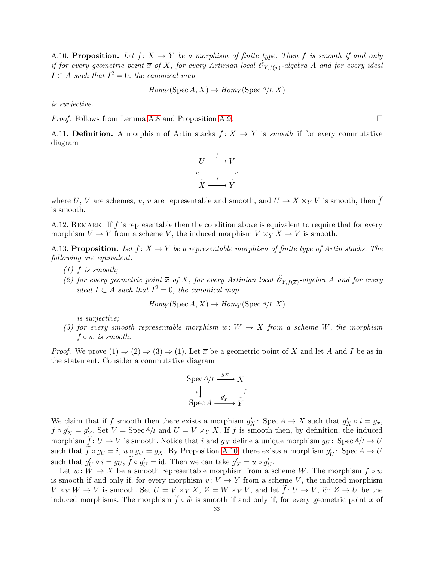<span id="page-32-0"></span>A.10. Proposition. Let  $f: X \to Y$  be a morphism of finite type. Then f is smooth if and only if for every geometric point  $\overline{x}$  of X, for every Artinian local  $\hat{\mathscr{O}}_{Y,f(\overline{x})}$ -algebra A and for every ideal  $I \subset A$  such that  $I^2 = 0$ , the canonical map

$$
Hom_Y(\operatorname{Spec} A, X) \to Hom_Y(\operatorname{Spec} A/I, X)
$$

is surjective.

*Proof.* Follows from Lemma [A.8](#page-30-2) and Proposition [A.9.](#page-31-0)

A.11. Definition. A morphism of Artin stacks  $f: X \to Y$  is *smooth* if for every commutative diagram



where U, V are schemes, u, v are representable and smooth, and  $U \to X \times_Y V$  is smooth, then  $\tilde{f}$ is smooth.

A.12. REMARK. If f is representable then the condition above is equivalent to require that for every morphism  $V \to Y$  from a scheme V, the induced morphism  $V \times_Y X \to V$  is smooth.

<span id="page-32-1"></span>A.13. Proposition. Let  $f: X \to Y$  be a representable morphism of finite type of Artin stacks. The following are equivalent:

- $(1)$  f is smooth;
- (2) for every geometric point  $\bar{x}$  of X, for every Artinian local  $\hat{\mathcal{O}}_{Y,f(\bar{x})}$ -algebra A and for every ideal  $I \subset A$  such that  $I^2 = 0$ , the canonical map

 $Hom_Y(\text{Spec }A, X) \to Hom_Y(\text{Spec }A/I, X)$ 

is surjective;

(3) for every smooth representable morphism  $w: W \to X$  from a scheme W, the morphism  $f \circ w$  is smooth.

*Proof.* We prove  $(1) \Rightarrow (2) \Rightarrow (3) \Rightarrow (1)$ . Let  $\overline{x}$  be a geometric point of X and let A and I be as in the statement. Consider a commutative diagram

$$
\operatorname{Spec} A/I \xrightarrow{gx} X
$$

$$
i \downarrow \qquad \qquad \downarrow f
$$

$$
\operatorname{Spec} A \xrightarrow{g'_Y} Y
$$

We claim that if f smooth then there exists a morphism  $g'_X$ : Spec  $A \to X$  such that  $g'_X \circ i = g_x$ ,  $f \circ g'_{X} = g'_{Y}$ . Set  $V = \text{Spec} A/I$  and  $U = V \times_Y X$ . If f is smooth then, by definition, the induced morphism  $\hat{f}: U \to V$  is smooth. Notice that i and  $g_X$  define a unique morphism  $g_U: Spec A/I \to U$ such that  $\hat{f} \circ g_U = i$ ,  $u \circ g_U = g_X$ . By Proposition [A.10,](#page-32-0) there exists a morphism  $g'_U$ : Spec  $A \to U$ such that  $g'_U \circ i = g_U, \tilde{f} \circ g'_U = id$ . Then we can take  $g'_X = u \circ g'_U$ .

Let  $w: W \to X$  be a smooth representable morphism from a scheme W. The morphism  $f \circ w$ is smooth if and only if, for every morphism  $v: V \to Y$  from a scheme V, the induced morphism  $V \times_Y W \to V$  is smooth. Set  $U = V \times_Y X$ ,  $Z = W \times_Y V$ , and let  $f: U \to V$ ,  $\tilde{w}: Z \to U$  be the induced morphisms. The morphism  $\hat{f} \circ \tilde{w}$  is smooth if and only if, for every geometric point  $\bar{x}$  of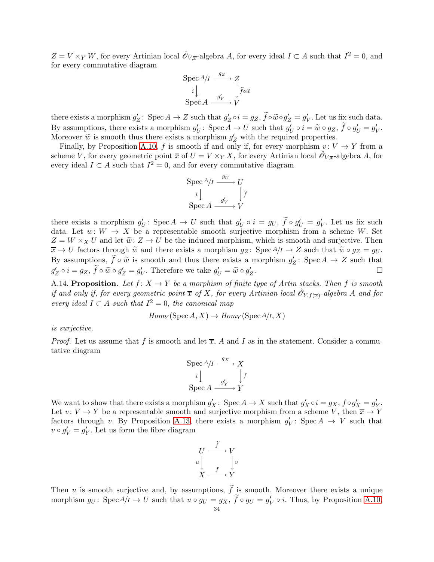$Z = V \times_Y W$ , for every Artinian local  $\hat{\mathcal{O}}_{V,\overline{x}}$ -algebra A, for every ideal  $I \subset A$  such that  $I^2 = 0$ , and for every commutative diagram

$$
\operatorname{Spec} A/I \xrightarrow{gz} Z
$$

$$
i \downarrow \qquad \qquad \downarrow \widetilde{f} \circ \widetilde{w}
$$

$$
\operatorname{Spec} A \xrightarrow{g'_V} V
$$

there exists a morphism  $g'_Z$ : Spec  $A \to Z$  such that  $g'_Z \circ i = g_Z$ ,  $\tilde{f} \circ \tilde{w} \circ g'_Z = g'_V$ . Let us fix such data. By assumptions, there exists a morphism  $g'_U$ : Spec  $A \to U$  such that  $g'_U \circ i = \tilde{w} \circ g_Z$ ,  $\tilde{f} \circ g'_U = g'_V$ . Moreover  $\tilde{w}$  is smooth thus there exists a morphism  $g'_Z$  with the required properties.

Finally, by Proposition [A.10,](#page-32-0) f is smooth if and only if, for every morphism  $v: V \to Y$  from a scheme V, for every geometric point  $\overline{x}$  of  $U = V \times_Y X$ , for every Artinian local  $\hat{\mathscr{O}}_{V,\overline{x}}$ -algebra A, for every ideal  $I \subset A$  such that  $I^2 = 0$ , and for every commutative diagram

$$
\operatorname{Spec} A/I \xrightarrow{g_U} U
$$
\n
$$
i \downarrow \qquad \qquad \downarrow \tilde{f}
$$
\n
$$
\operatorname{Spec} A \xrightarrow{g'_V} V
$$

there exists a morphism  $g'_U$ : Spec  $A \to U$  such that  $g'_U \circ i = g_U, \tilde{f} \circ g'_U = g'_V$ . Let us fix such data. Let  $w: W \to X$  be a representable smooth surjective morphism from a scheme W. Set  $Z = W \times_X U$  and let  $\tilde{w}: Z \to U$  be the induced morphism, which is smooth and surjective. Then  $\overline{x} \to U$  factors through  $\widetilde{w}$  and there exists a morphism  $g_Z$ : Spec  $A/I \to Z$  such that  $\widetilde{w} \circ g_Z = g_U$ . By assumptions,  $\tilde{f} \circ \tilde{w}$  is smooth and thus there exists a morphism  $g'_Z$ : Spec  $A \to Z$  such that  $g'_Z \circ i = g_Z, \ \tilde{f} \circ \tilde{w} \circ g'_Z = g'_V.$  Therefore we take  $g'_U = \tilde{w} \circ g'_Z$ . В последните поставите на примерение в поставите на примерение в поставите на примерение в собствение и при<br>В поставите на примерение в поставите на примерение в поставите на примерение в поставите на примерение в пост

<span id="page-33-0"></span>A.14. Proposition. Let  $f: X \to Y$  be a morphism of finite type of Artin stacks. Then f is smooth if and only if, for every geometric point  $\overline{x}$  of X, for every Artinian local  $\hat{\mathscr{O}}_{Y,f(\overline{x})}$ -algebra A and for every ideal  $I \subset A$  such that  $I^2 = 0$ , the canonical map

$$
Hom_Y(\operatorname{Spec} A, X) \to Hom_Y(\operatorname{Spec} A/I, X)
$$

is surjective.

*Proof.* Let us assume that f is smooth and let  $\overline{x}$ , A and I as in the statement. Consider a commutative diagram

$$
\operatorname{Spec} A/I \xrightarrow{gx} X
$$

$$
i \downarrow \qquad \qquad f
$$

$$
\operatorname{Spec} A \xrightarrow{g'_Y} Y
$$

We want to show that there exists a morphism  $g'_X$ : Spec  $A \to X$  such that  $g'_X \circ i = g_X$ ,  $f \circ g'_X = g'_Y$ . Let  $v: V \to Y$  be a representable smooth and surjective morphism from a scheme V, then  $\overline{x} \to Y$ factors through v. By Proposition [A.13,](#page-32-1) there exists a morphism  $g'_V$ : Spec  $A \to V$  such that  $v \circ g'_V = g'_Y$ . Let us form the fibre diagram

$$
U \xrightarrow{f} V
$$
  
\n
$$
u \downarrow \qquad f \downarrow v
$$
  
\n
$$
X \xrightarrow{f} Y
$$

Then u is smooth surjective and, by assumptions,  $\tilde{f}$  is smooth. Moreover there exists a unique morphism  $g_U$ : Spec  $A/I \to U$  such that  $u \circ g_U = g_X$ ,  $\tilde{f} \circ g_U = g'_V \circ i$ . Thus, by Proposition [A.10,](#page-32-0)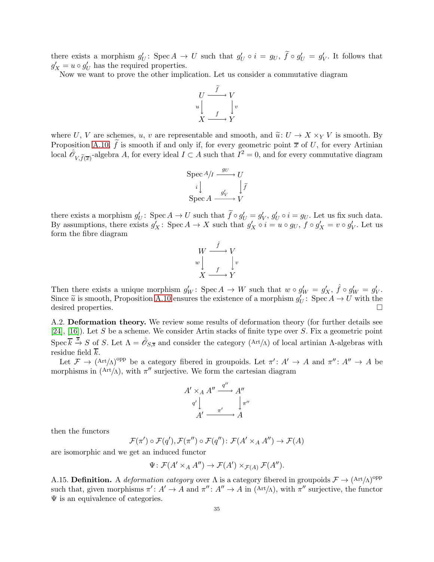there exists a morphism  $g'_U$ : Spec  $A \to U$  such that  $g'_U \circ i = g_U, \ \tilde{f} \circ g'_U = g'_V$ . It follows that  $g'_X = u \circ g'_U$  has the required properties.

Now we want to prove the other implication. Let us consider a commutative diagram



where U, V are schemes, u, v are representable and smooth, and  $\tilde{u}: U \to X \times_Y V$  is smooth. By Proposition [A.10,](#page-32-0)  $\hat{f}$  is smooth if and only if, for every geometric point  $\bar{x}$  of U, for every Artinian local  $\hat{\mathcal{O}}_{V, \tilde{f}(\overline{x})}$ -algebra A, for every ideal  $I \subset A$  such that  $I^2 = 0$ , and for every commutative diagram

$$
\operatorname{Spec} A/I \xrightarrow{gv} U
$$

$$
i \downarrow \qquad \qquad \downarrow \tilde{f}
$$

$$
\operatorname{Spec} A \xrightarrow{g'_V} V
$$

there exists a morphism  $g'_U$ : Spec  $A \to U$  such that  $\tilde{f} \circ g'_U = g'_V$ ,  $g'_U \circ i = g_U$ . Let us fix such data. By assumptions, there exists  $g'_X$ : Spec  $A \to X$  such that  $g'_X \circ i = u \circ g_U$ ,  $f \circ g'_X = v \circ g'_V$ . Let us form the fibre diagram



Then there exists a unique morphism  $g'_W$ : Spec  $A \to W$  such that  $w \circ g'_W = g'_X$ ,  $\hat{f} \circ g'_W = g'_V$ . Since  $\tilde{u}$  is smooth, Proposition [A.10](#page-32-0) ensures the existence of a morphism  $g'_U$ : Spec  $A \to U$  with the desired properties.

A.2. Deformation theory. We review some results of deformation theory (for further details see [\[24\]](#page-44-24), [\[16\]](#page-44-25)). Let S be a scheme. We consider Artin stacks of finite type over S. Fix a geometric point Spec  $\overline{k} \stackrel{\overline{s}}{\rightarrow} S$  of S. Let  $\Lambda = \hat{\mathscr{O}}_{S,\overline{s}}$  and consider the category (Art/ $\Lambda$ ) of local artinian  $\Lambda$ -algebras with residue field  $\overline{k}$ .

Let  $\mathcal{F} \to (\text{Art}/\Lambda)^{\text{opp}}$  be a category fibered in groupoids. Let  $\pi' : A' \to A$  and  $\pi'' : A'' \to A$  be morphisms in  $(Art/\Lambda)$ , with  $\pi''$  surjective. We form the cartesian diagram

$$
A' \times_A A'' \xrightarrow{q''} A''
$$
  
\n
$$
q' \downarrow \qquad \qquad \downarrow \pi''
$$
  
\n
$$
A' \xrightarrow{\pi'} A
$$

then the functors

$$
\mathcal{F}(\pi') \circ \mathcal{F}(q'), \mathcal{F}(\pi'') \circ \mathcal{F}(q'') \colon \mathcal{F}(A' \times_A A'') \to \mathcal{F}(A)
$$

are isomorphic and we get an induced functor

$$
\Psi \colon \mathcal{F}(A' \times_A A'') \to \mathcal{F}(A') \times_{\mathcal{F}(A)} \mathcal{F}(A'').
$$

A.15. Definition. A *deformation category* over  $\Lambda$  is a category fibered in groupoids  $\mathcal{F} \to (\text{Art}/\Lambda)^{\text{opp}}$ such that, given morphisms  $\pi' : A' \to A$  and  $\pi'' : A'' \to A$  in  $(Art/\Lambda)$ , with  $\pi''$  surjective, the functor  $\Psi$  is an equivalence of categories.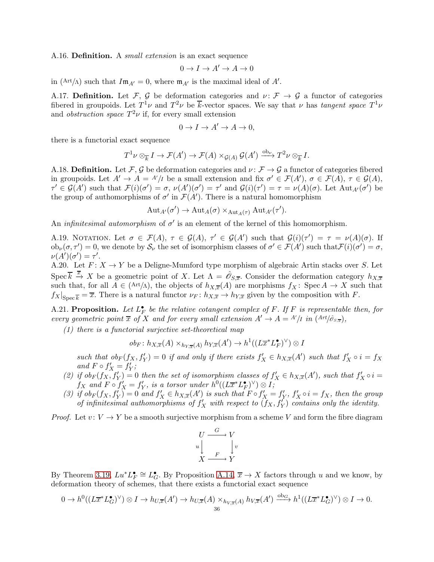A.16. **Definition.** A *small extension* is an exact sequence

$$
0 \to I \to A' \to A \to 0
$$

in (Art/ $\Lambda$ ) such that  $Im_{A'} = 0$ , where  $m_{A'}$  is the maximal ideal of A'.

A.17. Definition. Let F, G be deformation categories and  $\nu: \mathcal{F} \to \mathcal{G}$  a functor of categories fibered in groupoids. Let  $T^1\nu$  and  $T^2\nu$  be k-vector spaces. We say that  $\nu$  has tangent space  $T^1\nu$ and *obstruction space*  $T^2\nu$  if, for every small extension

$$
0 \to I \to A' \to A \to 0,
$$

there is a functorial exact sequence

$$
T^1 \nu \otimes_{\overline{k}} I \to \mathcal{F}(A') \to \mathcal{F}(A) \times_{\mathcal{G}(A)} \mathcal{G}(A') \xrightarrow{\mathrm{ob}_{\nu}} T^2 \nu \otimes_{\overline{k}} I.
$$

A.18. Definition. Let  $\mathcal{F}, \mathcal{G}$  be deformation categories and  $\nu : \mathcal{F} \to \mathcal{G}$  a functor of categories fibered in groupoids. Let  $A' \to A = A'/I$  be a small extension and fix  $\sigma' \in \mathcal{F}(A')$ ,  $\sigma \in \mathcal{F}(A)$ ,  $\tau \in \mathcal{G}(A)$ ,  $\tau' \in \mathcal{G}(A')$  such that  $\mathcal{F}(i)(\sigma') = \sigma$ ,  $\nu(A')(\sigma') = \tau'$  and  $\mathcal{G}(i)(\tau') = \tau = \nu(A)(\sigma)$ . Let  $\text{Aut}_{A'}(\sigma')$  be the group of authomorphisms of  $\sigma'$  in  $\mathcal{F}(A')$ . There is a natural homomorphism

$$
\operatorname{Aut}_{A'}(\sigma') \to \operatorname{Aut}_A(\sigma) \times_{\operatorname{Aut}_A(\tau)} \operatorname{Aut}_{A'}(\tau').
$$

An *infinitesimal automorphism* of  $\sigma'$  is an element of the kernel of this homomorphism.

A.19. NOTATION. Let  $\sigma \in \mathcal{F}(A)$ ,  $\tau \in \mathcal{G}(A)$ ,  $\tau' \in \mathcal{G}(A')$  such that  $\mathcal{G}(i)(\tau') = \tau = \nu(A)(\sigma)$ . If  $ob_{\nu}(\sigma, \tau') = 0$ , we denote by  $\mathcal{S}_{\nu}$  the set of isomorphism classes of  $\sigma' \in \mathcal{F}(A')$  such that  $\mathcal{F}(i)(\sigma') = \sigma$ ,  $\nu(A')(\sigma') = \tau'.$ 

A.20. Let  $F: X \to Y$  be a Deligne-Mumford type morphism of algebraic Artin stacks over S. Let Spec  $\overline{k} \stackrel{\overline{x}}{\rightarrow} X$  be a geometric point of X. Let  $\Lambda = \hat{\mathscr{O}}_{S,\overline{x}}$ . Consider the deformation category  $h_{X,\overline{x}}$ such that, for all  $A \in (Art/\Lambda)$ , the objects of  $h_{X,\overline{x}}(A)$  are morphisms  $f_X: Spec A \to X$  such that  $f_X|_{\text{Spec } \overline{k}} = \overline{x}$ . There is a natural functor  $\nu_F \colon h_{X,\overline{x}} \to h_{Y,\overline{x}}$  given by the composition with F.

<span id="page-35-0"></span>A.21. Proposition. Let  $L_F^{\bullet}$  be the relative cotangent complex of F. If F is representable then, for every geometric point  $\overline{x}$  of X and for every small extension  $A' \to A = A'/I$  in  $(Art/\hat{\sigma}_{S,\overline{x}})$ ,

(1) there is a functorial surjective set-theoretical map

$$
ob_F: h_{X,\overline{x}}(A) \times_{h_{Y,\overline{x}}(A)} h_{Y,\overline{x}}(A') \to h^1((L\overline{x}^* L_F^{\bullet})^{\vee}) \otimes I
$$

such that  $ob_F(f_X, f'_Y) = 0$  if and only if there exists  $f'_X \in h_{X,\overline{x}}(A')$  such that  $f'_X \circ i = f_X$ and  $F \circ f'_X = f'_Y;$ 

- (2) if  $ob_F(f_X, f'_Y) = 0$  then the set of isomorphism classes of  $f'_X \in h_{X,\overline{x}}(A')$ , such that  $f'_X \circ i =$  $f_X$  and  $F \circ f'_X = f'_Y$ , is a torsor under  $h^0((L\overline{x}^*L^{\bullet}_F)^{\vee}) \otimes I$ ;
- (3) if  $ob_F(f_X, f_Y') = 0$  and  $f'_X \in h_{X,\overline{x}}(A')$  is such that  $F \circ f'_X = f'_Y$ ,  $f'_X \circ i = f_X$ , then the group of infinitesimal authomorphisms of  $f'_X$  with respect to  $(f_X, f'_Y)$  contains only the identity.

*Proof.* Let  $v: V \to Y$  be a smooth surjective morphism from a scheme V and form the fibre diagram

$$
U \xrightarrow{G} V
$$
  
\n
$$
u \downarrow \qquad \qquad V
$$
  
\n
$$
X \xrightarrow{F} Y
$$

By Theorem [3.19,](#page-8-1)  $Lu^*L_F^{\bullet} \cong L_G^{\bullet}$ . By Proposition [A.14,](#page-33-0)  $\overline{x} \to X$  factors through u and we know, by deformation theory of schemes, that there exists a functorial exact sequence

$$
0 \to h^0((L\overline{x}^*L_G^{\bullet})^{\vee}) \otimes I \to h_{U,\overline{x}}(A') \to h_{U,\overline{x}}(A) \times_{h_{V,\overline{x}}(A)} h_{V,\overline{x}}(A') \xrightarrow{\text{ob}_G} h^1((L\overline{x}^*L_G^{\bullet})^{\vee}) \otimes I \to 0.
$$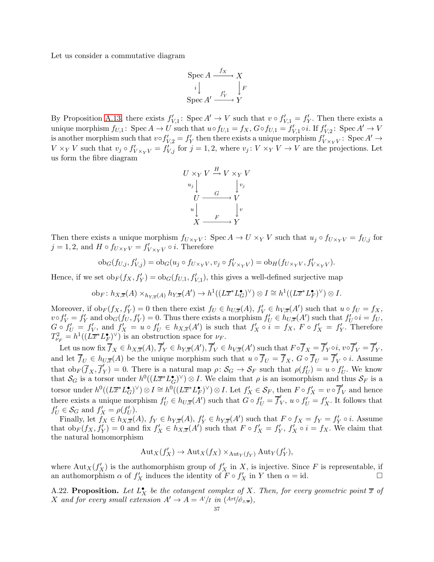Let us consider a commutative diagram

$$
\operatorname{Spec} A \xrightarrow{f_X} X
$$

$$
i \downarrow \qquad \qquad \downarrow F
$$

$$
\operatorname{Spec} A' \xrightarrow{f'_Y} Y
$$

By Proposition [A.13,](#page-32-1) there exists  $f'_{V,1}$ : Spec  $A' \to V$  such that  $v \circ f'_{V,1} = f'_{Y}$ . Then there exists a unique morphism  $f_{U,1}$ : Spec  $A \to U$  such that  $u \circ f_{U,1} = f_X$ ,  $G \circ f_{U,1} = f'_{V,1} \circ i$ . If  $f'_{V,2}$ : Spec  $A' \to V$ is another morphism such that  $v \circ f'_{V,2} = f'_{Y}$  then there exists a unique morphism  $f'_{V \times_{Y} V}$ : Spec  $A' \to$  $V \times_Y V$  such that  $v_j \circ f'_{V \times_Y V} = f'_{V,j}$  for  $j = 1, 2$ , where  $v_j : V \times_Y V \to V$  are the projections. Let us form the fibre diagram



Then there exists a unique morphism  $f_{U\times_Y V}$ : Spec  $A \to U \times_Y V$  such that  $u_j \circ f_{U \times_Y V} = f_{U,j}$  for  $j = 1, 2$ , and  $H \circ f_{U \times_Y V} = f'_{V \times_Y V} \circ i$ . Therefore

$$
\mathrm{ob}_{G}(f_{U,j},f'_{V,j}) = \mathrm{ob}_{G}(u_j \circ f_{U \times_Y V}, v_j \circ f'_{V \times_Y V}) = \mathrm{ob}_{H}(f_{U \times_Y V}, f'_{V \times_Y V}).
$$

Hence, if we set  $ob_F(f_X, f'_Y) = ob_G(f_{U,1}, f'_{V,1})$ , this gives a well-defined surjective map

$$
\mathrm{ob}_F\colon h_{X,\overline{x}}(A)\times_{h_{Y,\overline{x}}(A)} h_{Y,\overline{x}}(A')\to h^1((L\overline{x}^*L_G^{\bullet})^{\vee})\otimes I\cong h^1((L\overline{x}^*L_F^{\bullet})^{\vee})\otimes I.
$$

Moreover, if  $ob_F(f_X, f'_Y) = 0$  then there exist  $f_U \in h_{U,\overline{x}}(A)$ ,  $f'_V \in h_{V,\overline{x}}(A')$  such that  $u \circ f_U = f_X$ ,  $v \circ f'_V = f'_Y$  and  $ob_G(f_U, f'_V) = 0$ . Thus there exists a morphism  $f'_U \in h_{U,\overline{x}}(A')$  such that  $f'_U \circ i = f_U$ ,  $G \circ f'_U = f'_V$ , and  $f'_X = u \circ f'_U \in h_{X,\overline{x}}(A')$  is such that  $f'_X \circ i = f_X$ ,  $F \circ f'_X = f'_Y$ . Therefore  $T_{\nu_F}^2 = h^1((L\overline{x}^*L_F^{\bullet})^{\vee})$  is an obstruction space for  $\nu_F$ .

Let us now fix  $\overline{f}_X \in h_{X,\overline{x}}(A), \overline{f}_Y' \in h_{Y,\overline{x}}(A'), \overline{f}_V' \in h_{V,\overline{x}}(A')$  such that  $F \circ \overline{f}_X = \overline{f}_Y' \circ i, v \circ \overline{f}_V' = \overline{f}_Y'$ ,<br>y, and let  $\overline{f}_U \in h_{U,\overline{x}}(A)$  be the unique morphism such that  $u \circ \overline{f}_U = \overline{f}_X$ ,  $G \circ \overline{f}_U = \overline{f}'_W$  $_{V}^{\prime} \circ i$ . Assume that  $\mathrm{ob}_F(\overline{f}_X, \overline{f}_1')$  $(Y(Y)) = 0$ . There is a natural map  $\rho: S_G \to S_F$  such that  $\rho(f'_U) = u \circ f'_U$ . We know that  $S_G$  is a torsor under  $h^0((L\overline{x}^*L_G^{\bullet})^{\vee})\otimes I$ . We claim that  $\rho$  is an isomorphism and thus  $S_F$  is a torsor under  $h^0((L\overline{x}^*L_G^{\bullet})^{\vee})\otimes I \cong h^0((L\overline{x}^*L_F^{\bullet})^{\vee})\otimes I$ . Let  $f'_X \in \mathcal{S}_F$ , then  $F \circ f'_X = v \circ \overline{f}'_V$  and hence there exists a unique morphism  $f'_U \in h_{U,\overline{x}}(A')$  such that  $G \circ f'_U = \overline{f}'_V$  $V_V, u \circ f'_U = f'_X.$  It follows that  $f'_U \in \mathcal{S}_G$  and  $f'_X = \rho(f'_U)$ .

Finally, let  $f_X \in h_{X,\overline{x}}(A)$ ,  $f_Y \in h_{Y,\overline{x}}(A)$ ,  $f'_Y \in h_{Y,\overline{x}}(A')$  such that  $F \circ f_X = f_Y = f'_Y \circ i$ . Assume that  $ob_F(f_X, f'_Y) = 0$  and fix  $f'_X \in h_{X,\overline{x}}(A')$  such that  $F \circ f'_X = f'_Y$ ,  $f'_X \circ i = f_X$ . We claim that the natural homomorphism

$$
Aut_X(f'_X) \to Aut_X(f_X) \times_{Aut_Y(f_Y)} Aut_Y(f'_Y),
$$

where  $\text{Aut}_X(f'_X)$  is the authomorphism group of  $f'_X$  in X, is injective. Since F is representable, if an authomorphism  $\alpha$  of  $f'_X$  induces the identity of  $\overline{F} \circ f'_X$  in Y then  $\alpha = id$ .

<span id="page-36-0"></span>A.22. Proposition. Let  $L_X^{\bullet}$  be the cotangent complex of X. Then, for every geometric point  $\overline{x}$  of X and for every small extension  $A' \to A = A'/I$  in  $(Art/\hat{\sigma}_{s,\overline{x}})$ ,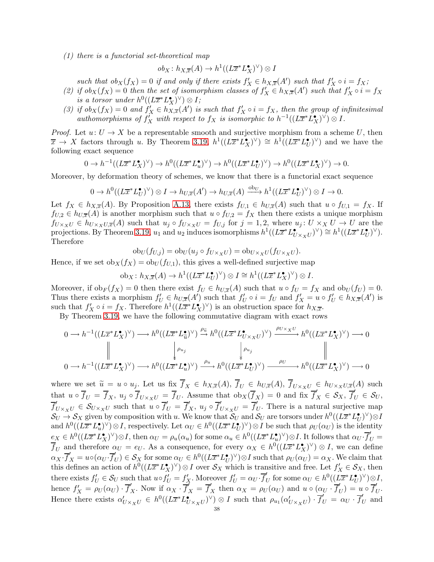(1) there is a functorial set-theoretical map

$$
ob_X \colon h_{X,\overline{x}}(A) \to h^1((L\overline{x}^* L_X^{\bullet})^{\vee}) \otimes I
$$

such that  $ob_X(f_X) = 0$  if and only if there exists  $f'_X \in h_{X,\overline{x}}(A')$  such that  $f'_X \circ i = f_X;$ 

- (2) if  $ob_X(f_X) = 0$  then the set of isomorphism classes of  $f'_X \in h_{X,\overline{x}}(A')$  such that  $f'_X \circ i = f_X$ is a torsor under  $h^0((L\overline{x}^*L_X^{\bullet})^{\vee})\otimes I;$
- (3) if  $ob_X(f_X) = 0$  and  $f'_X \in h_{X,\overline{x}}(A')$  is such that  $f'_X \circ i = f_X$ , then the group of infinitesimal authomorphisms of  $f'_X$  with respect to  $f_X$  is isomorphic to  $h^{-1}((L\overline{x}^*L_X^{\bullet})^{\vee})\otimes I$ .

*Proof.* Let  $u: U \to X$  be a representable smooth and surjective morphism from a scheme U, then  $\overline{x} \to X$  factors through u. By Theorem [3.19,](#page-8-1)  $h^1((L\overline{x}^*L_X^{\bullet})^{\vee}) \cong h^1((L\overline{x}^*L_U^{\bullet})^{\vee})$  and we have the following exact sequence

$$
0 \to h^{-1}((L\overline{x}^*L_X^{\bullet})^{\vee}) \to h^0((L\overline{x}^*L_u^{\bullet})^{\vee}) \to h^0((L\overline{x}^*L_U^{\bullet})^{\vee}) \to h^0((L\overline{x}^*L_X^{\bullet})^{\vee}) \to 0.
$$

Moreover, by deformation theory of schemes, we know that there is a functorial exact sequence

$$
0 \to h^0((L\overline{x}^*L_U^{\bullet})^{\vee}) \otimes I \to h_{U,\overline{x}}(A') \to h_{U,\overline{x}}(A) \xrightarrow{\mathrm{ob}_U} h^1((L\overline{x}^*L_U^{\bullet})^{\vee}) \otimes I \to 0.
$$

Let  $f_X \in h_{X,\overline{x}}(A)$ . By Proposition [A.13,](#page-32-1) there exists  $f_{U,1} \in h_{U,\overline{x}}(A)$  such that  $u \circ f_{U,1} = f_X$ . If  $f_{U,2} \in h_{U,\overline{x}}(A)$  is another morphism such that  $u \circ f_{U,2} = f_X$  then there exists a unique morphism  $f_{U\times_XU}\in h_{U\times_XU,\overline{x}}(A)$  such that  $u_j\circ f_{U\times_XU}=f_{U,j}$  for  $j=1,2$ , where  $u_j\colon U\times_XU\to U$  are the projections. By Theorem [3.19,](#page-8-1)  $u_1$  and  $u_2$  induces isomorphisms  $h^1((L\overline{x}^*L_{U\times_XU}^{\bullet})^{\vee}) \cong h^1((L\overline{x}^*L_U^{\bullet})^{\vee}).$ Therefore

$$
ob_U(f_{U,j}) = ob_U(u_j \circ f_{U \times_X U}) = ob_{U \times_X U}(f_{U \times_X U}).
$$

Hence, if we set  $ob_X(f_X) = ob_U(f_{U,1})$ , this gives a well-defined surjective map

$$
\mathrm{ob}_X\colon h_{X,\overline{x}}(A)\to h^1((L\overline{x}^*L_U^{\bullet})^{\vee})\otimes I\cong h^1((L\overline{x}^*L_X^{\bullet})^{\vee})\otimes I.
$$

Moreover, if  $ob_F(f_X) = 0$  then there exist  $f_U \in h_{U,\overline{x}}(A)$  such that  $u \circ f_U = f_X$  and  $ob_U(f_U) = 0$ . Thus there exists a morphism  $f'_U \in h_{U,\overline{x}}(A')$  such that  $f'_U \circ i = f_U$  and  $f'_X = u \circ f'_U \in h_{X,\overline{x}}(A')$  is such that  $f'_X \circ i = f_X$ . Therefore  $h^1((L\overline{x}^*L_X^{\bullet})^{\vee})$  is an obstruction space for  $h_{X,\overline{x}}$ .

By Theorem [3.19,](#page-8-1) we have the following commutative diagram with exact rows

$$
\begin{CD} 0\longrightarrow h^{-1}((L\overline{x}^*L_X^{\bullet})^{\vee})\longrightarrow h^0((L\overline{x}^*L_{\overline{u}}^{\bullet})^{\vee})\stackrel{\rho_{\overline{u}}}{\longrightarrow}h^0((L\overline{x}^*L_{U\times_XU}^{\bullet})^{\vee})\stackrel{\rho_{U\times_XU}}{\longrightarrow}h^0((L\overline{x}^*L_X^{\bullet})^{\vee})\longrightarrow 0\\ \big\downarrow^{\rho_{u_j}}\qquad \qquad \big\downarrow^{\rho_{u_j}}\qquad \qquad \big\downarrow^{\rho_{u_j}}\qquad \qquad \big\downarrow^{\rho_{u_j}}\\ 0\longrightarrow h^{-1}((L\overline{x}^*L_X^{\bullet})^{\vee})\longrightarrow h^0((L\overline{x}^*L_u^{\bullet})^{\vee})\stackrel{\rho_{u}}{\longrightarrow}h^0((L\overline{x}^*L_U^{\bullet})^{\vee})\stackrel{\rho_{U}}{\longrightarrow}h^0((L\overline{x}^*L_X^{\bullet})^{\vee})\longrightarrow 0 \end{CD}
$$

where we set  $\tilde{u} = u \circ u_j$ . Let us fix  $\overline{f}_X \in h_{X,\overline{x}}(A), \overline{f}_U \in h_{U,\overline{x}}(A), \overline{f}_{U\times_X U} \in h_{U\times_X U,\overline{x}}(A)$  such that  $u \circ \overline{f}_U = \overline{f}_X$ ,  $u_j \circ \overline{f}_{U \times_X U} = \overline{f}_U$ . Assume that  $ob_X(\overline{f}_X) = 0$  and fix  $\overline{f}'_X \in \mathcal{S}_X$ ,  $\overline{f}'_U \in \mathcal{S}_U$ ,  $\overline{f}_{U\times_XU}' \in \mathcal{S}_{U\times_XU}$  such that  $\overline{u} \circ \overline{f}_U' = \overline{f}_X'$ ,  $u_j \circ \overline{f}_{U\times_XU}' = \overline{f}_U'$ . There is a natural surjective map  $\mathcal{S}_U \to \mathcal{S}_X$  given by composition with u. We know that  $\mathcal{S}_U$  and  $\mathcal{S}_U$  are torsors under  $h^0((L\overline{x}^*L_U^{\bullet})^{\vee})\otimes I$ and  $h^0((L\overline{x}^*L_u^{\bullet})^{\vee})\otimes I$ , respectively. Let  $\alpha_U \in h^0((L\overline{x}^*L_U^{\bullet})^{\vee})\otimes I$  be such that  $\rho_U(\alpha_U)$  is the identity  $e_X \in h^0((L\overline{x}^*L_X^{\bullet})^{\vee})\otimes I$ , then  $\alpha_U = \rho_u(\alpha_u)$  for some  $\alpha_u \in h^0((L\overline{x}^*L_u^{\bullet})^{\vee})\otimes I$ . It follows that  $\alpha_U \cdot \overline{f}'_U =$  $\overline{f}_U$  and therefore  $\alpha_U = e_U$ . As a consequence, for every  $\alpha_X \in h^0((L\overline{x}^*L_X^{\bullet})^{\vee}) \otimes I$ , we can define  $\alpha_X \cdot \overline{f}_X' = u \circ (\alpha_U \cdot \overline{f}_U') \in \mathcal{S}_X$  for some  $\alpha_U \in h^0((L\overline{x}^*L_U^{\bullet})^{\vee}) \otimes I$  such that  $\rho_U(\alpha_U) = \alpha_X$ . We claim that this defines an action of  $h^0((L\overline{x}^*L_X^{\bullet})^{\vee})\otimes I$  over  $\mathcal{S}_X$  which is transitive and free. Let  $f'_X \in \mathcal{S}_X$ , then there exists  $f'_U \in \mathcal{S}_U$  such that  $u \circ f'_U = f'_X$ . Moreover  $f'_U = \alpha_U \cdot \overline{f}'_U$  for some  $\alpha_U \in h^0((\overline{L}\overline{x}^*L_U^{\bullet})^{\vee}) \otimes I$ , hence  $f'_X = \rho_U(\alpha_U) \cdot \overline{f}'_X$ . Now if  $\alpha_X \cdot \overline{f}'_X = \overline{f}'_X$  then  $\alpha_X = \rho_U(\alpha_U)$  and  $u \circ (\alpha_U \cdot \overline{f}'_U) = u \circ \overline{f}'_U$ . Hence there exists  $\alpha'_{U\times_{X}U} \in h^0((L\overline{x}^*L_{U\times_{X}U}^{\bullet})^{\vee}) \otimes I$  such that  $\rho_{u_1}(\alpha'_{U\times_{X}U}) \cdot \overline{f}'_{U} = \alpha_{U} \cdot \overline{f}'_{U}$  and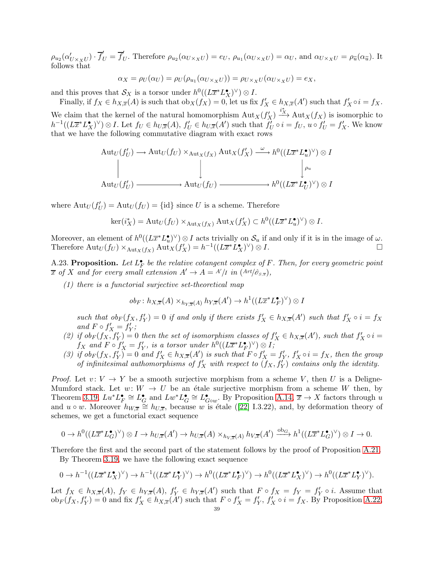$\rho_{u_2}(\alpha'_{U\times_X U})\cdot \overline{f}'_U = \overline{f}'_U$ . Therefore  $\rho_{u_2}(\alpha_{U\times_X U}) = e_U$ ,  $\rho_{u_1}(\alpha_{U\times_X U}) = \alpha_U$ , and  $\alpha_{U\times_X U} = \rho_{\tilde{u}}(\alpha_{\tilde{u}})$ . It follows that

$$
\alpha_X = \rho_U(\alpha_U) = \rho_U(\rho_{u_1}(\alpha_{U \times_X U})) = \rho_{U \times_X U}(\alpha_{U \times_X U}) = e_X,
$$

and this proves that  $S_X$  is a torsor under  $h^0((L\overline{x}^*L_X^{\bullet})^{\vee})\otimes I$ .

Finally, if  $f_X \in h_{X,\overline{x}}(A)$  is such that  $\mathrm{ob}_X(f_X) = 0$ , let us fix  $f'_X \in h_{X,\overline{x}}(A')$  such that  $f'_X \circ i = f_X$ . We claim that the kernel of the natural homomorphism  $\text{Aut}_X(f'_X) \xrightarrow{i^*_{X}} \text{Aut}_X(f_X)$  is isomorphic to

 $h^{-1}((L\overline{x}^*L_X^{\bullet})^{\vee})\otimes I$ . Let  $f_U \in h_{U,\overline{x}}(A)$ ,  $f'_U \in h_{U,\overline{x}}(A')$  such that  $\overline{f'_U} \circ i = f_U$ ,  $u \circ f'_U = f'_X$ . We know that we have the following commutative diagram with exact rows

$$
\begin{aligned}\n\text{Aut}_U(f'_U) &\longrightarrow \text{Aut}_U(f_U) \times_{\text{Aut}_X(f_X)} \text{Aut}_X(f'_X) \xrightarrow{\omega} h^0((L\overline{x}^*L_u^{\bullet})^{\vee}) \otimes I \\
&\downarrow \qquad \qquad \downarrow \qquad \qquad \downarrow \qquad \qquad \downarrow \qquad \qquad \downarrow \qquad \qquad \downarrow \qquad \text{Aut}_U(f'_U) \xrightarrow{\text{Aut}_U(f_U)} \text{Aut}_U(f_U) \xrightarrow{\text{Aut}_U(f_U)} \text{Aut}_U(f'_U) \otimes I\n\end{aligned}
$$

where  $\text{Aut}_U(f'_U) = \text{Aut}_U(f_U) = \{\text{id}\}\$  since U is a scheme. Therefore

$$
\ker(i_X^*) = \mathrm{Aut}_U(f_U) \times_{\mathrm{Aut}_X(f_X)} \mathrm{Aut}_X(f'_X) \subset h^0((L\overline{x}^*L_u^{\bullet})^{\vee}) \otimes I.
$$

Moreover, an element of  $h^0((L\overline{x}^*L_u^{\bullet})^{\vee})\otimes I$  acts trivially on  $\mathcal{S}_u$  if and only if it is in the image of  $\omega$ . whoreover, an element of  $u$  ( $(Lx L_u)$ )  $\otimes I$  acts triviany on  $S_u$  if and only if it is in the image of  $\omega$ .<br>Therefore  ${\rm Aut}_U(f_U) \times_{{\rm Aut}_X(f_X)} {\rm Aut}_X(f'_X) = h^{-1}((L\overline{x}^*L_X^{\bullet})^{\vee}) \otimes I.$ 

<span id="page-38-0"></span>A.23. Proposition. Let  $L_F^{\bullet}$  be the relative cotangent complex of F. Then, for every geometric point  $\overline{x}$  of X and for every small extension  $A' \rightarrow A = A'/I$  in  $(Art/\hat{\sigma}_{s,\overline{x}})$ ,

(1) there is a functorial surjective set-theoretical map

$$
ob_F: h_{X,\overline{x}}(A) \times_{h_Y,\overline{x}(A)} h_{Y,\overline{x}}(A') \to h^1((L\overline{x}^*L_F^{\bullet})^{\vee}) \otimes I
$$

such that  $ob_F(f_X, f'_Y) = 0$  if and only if there exists  $f'_X \in h_{X,\overline{x}}(A')$  such that  $f'_X \circ i = f_X$ and  $F \circ f'_X = f'_Y;$ 

- (2) if  $ob_F(f_X, f'_Y) = 0$  then the set of isomorphism classes of  $f'_X \in h_{X,\overline{x}}(A')$ , such that  $f'_X \circ i =$  $f_X$  and  $F \circ f'_X = f'_Y$ , is a torsor under  $h^0((L\overline{x}^*L^{\bullet}_F)^{\vee}) \otimes I$ ;
- (3) if  $ob_F(f_X, f'_Y) = 0$  and  $f'_X \in h_{X,\overline{x}}(A')$  is such that  $F \circ f'_X = f'_Y$ ,  $f'_X \circ i = f_X$ , then the group of infinitesimal authomorphisms of  $f'_X$  with respect to  $(f_X, f'_Y)$  contains only the identity.

*Proof.* Let  $v: V \to Y$  be a smooth surjective morphism from a scheme V, then U is a Deligne-Mumford stack. Let  $w: W \to U$  be an étale surjective morphism from a scheme W then, by Theorem [3.19,](#page-8-1)  $Lu^*L_F^{\bullet} \cong L_G^{\bullet}$  and  $Lw^*L_G^{\bullet} \cong L_{G\circ w}^{\bullet}$ . By Proposition [A.14,](#page-33-0)  $\overline{x} \to X$  factors through u and $u \circ w$ . Moreover  $h_{W,\overline{x}} \cong h_{U,\overline{x}}$ , because w is étale ([\[22\]](#page-44-20) I.3.22), and, by deformation theory of schemes, we get a functorial exact sequence

$$
0 \to h^0((L\overline{x}^*L_G^{\bullet})^{\vee}) \otimes I \to h_{U,\overline{x}}(A') \to h_{U,\overline{x}}(A) \times_{h_{V,\overline{x}}(A)} h_{V,\overline{x}}(A') \xrightarrow{\text{ob}_G} h^1((L\overline{x}^*L_G^{\bullet})^{\vee}) \otimes I \to 0.
$$

Therefore the first and the second part of the statement follows by the proof of Proposition [A.21.](#page-35-0)

By Theorem [3.19,](#page-8-1) we have the following exact sequence

$$
0 \to h^{-1}((L\overline{x}^*L_X^{\bullet})^{\vee}) \to h^{-1}((L\overline{x}^*L_Y^{\bullet})^{\vee}) \to h^0((L\overline{x}^*L_F^{\bullet})^{\vee}) \to h^0((L\overline{x}^*L_X^{\bullet})^{\vee}) \to h^0((L\overline{x}^*L_Y^{\bullet})^{\vee}).
$$

Let  $f_X \in h_{X,\overline{x}}(A)$ ,  $f_Y \in h_{Y,\overline{x}}(A)$ ,  $f'_Y \in h_{Y,\overline{x}}(A')$  such that  $F \circ f_X = f'_Y \circ i$ . Assume that  $ob_F(f_X, f'_Y) = 0$  and fix  $f'_X \in h_{X,\overline{x}}(A')$  such that  $F \circ f'_X = f'_Y, f'_X \circ i = f_X$ . By Proposition [A.22,](#page-36-0)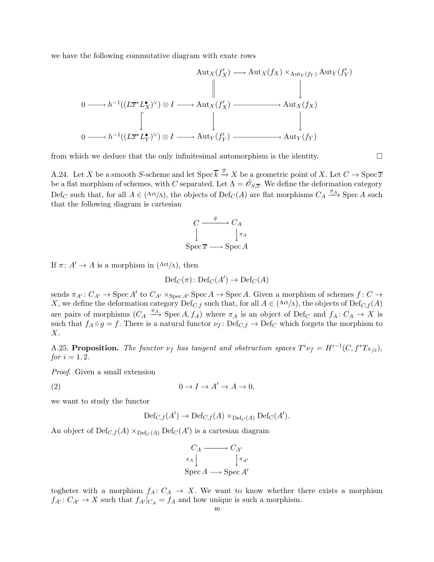we have the following commutative diagram with exatc rows

$$
\operatorname{Aut}_X(f'_X) \longrightarrow \operatorname{Aut}_X(f_X) \times_{\operatorname{Aut}_Y(f_Y)} \operatorname{Aut}_Y(f'_Y)
$$
\n
$$
0 \longrightarrow h^{-1}((L\overline{x}^*L_X^{\bullet})^{\vee}) \otimes I \longrightarrow \operatorname{Aut}_X(f'_X) \longrightarrow \operatorname{Aut}_X(f_X)
$$
\n
$$
0 \longrightarrow h^{-1}((L\overline{x}^*L_Y^{\bullet})^{\vee}) \otimes I \longrightarrow \operatorname{Aut}_Y(f'_Y) \longrightarrow \operatorname{Aut}_Y(f_Y)
$$

from which we deduce that the only infinitesimal automorphism is the identity.

A.24. Let X be a smooth S-scheme and let Spec  $\overline{k} \stackrel{\overline{x}}{\rightarrow} X$  be a geometric point of X. Let  $C \rightarrow \text{Spec } \overline{x}$ be a flat morphism of schemes, with C separated. Let  $\Lambda = \hat{\mathscr{O}}_{S,\overline{x}}$ . We define the deformation category  $\text{Def}_C$  such that, for all  $A \in (\text{Art}/\Lambda)$ , the objects of  $\text{Def}_C(A)$  are flat morphisms  $C_A \stackrel{\pi_A}{\longrightarrow} \text{Spec } A$  such that the following diagram is cartesian

$$
C \xrightarrow{g} C_A
$$
  
\n
$$
\downarrow^{\pi_A}
$$
  
\nSpec  $\overline{x} \longrightarrow$  Spec A

If  $\pi: A' \to A$  is a morphism in  $(\text{Art}/\Lambda)$ , then

$$
\mathrm{Def}_{C}(\pi)\colon \mathrm{Def}_{C}(A')\to \mathrm{Def}_{C}(A)
$$

sends  $\pi_{A'}: C_{A'} \to \text{Spec } A'$  to  $C_{A'} \times_{\text{Spec } A'} \text{Spec } A \to \text{Spec } A$ . Given a morphism of schemes  $f: C \to$ X, we define the deformation category  $\text{Def}_{C,f}$  such that, for all  $A \in (\text{Art}/\Lambda)$ , the objects of  $\text{Def}_{C,f}(A)$ are pairs of morphisms  $(C_A \stackrel{\pi_A}{\longrightarrow} \text{Spec } A, f_A)$  where  $\pi_A$  is an object of Def<sub>C</sub> and  $f_A: C_A \to X$  is such that  $f_A \circ g = f$ . There is a natural functor  $\nu_f : \text{Def}_{C,f} \to \text{Def}_C$  which forgets the morphism to X.

<span id="page-39-0"></span>A.25. Proposition. The functor  $\nu_f$  has tangent and obstruction spaces  $T^i \nu_f = H^{i-1}(C, f^*T_{X/S})$ , *for*  $i = 1, 2$ .

Proof. Given a small extension

(2)  $0 \to I \to A' \to A \to 0,$ 

we want to study the functor

<span id="page-39-1"></span> $\mathrm{Def}_{C,f}(A') \to \mathrm{Def}_{C,f}(A) \times_{\mathrm{Def}_{C}(A)} \mathrm{Def}_{C}(A').$ 

An object of  $\mathrm{Def}_{C,f}(A)\times_{\mathrm{Def}_{C}(A)}\mathrm{Def}_{C}(A')$  is a cartesian diagram

$$
C_A \longrightarrow C_{A'}
$$
  
\n
$$
\pi_A \downarrow \qquad \qquad \downarrow \pi_{A'}
$$
  
\n
$$
\text{Spec } A \longrightarrow \text{Spec } A'
$$

togheter with a morphism  $f_A: C_A \to X$ . We want to know whether there exists a morphism  $f_{A'}: C_{A'} \to X$  such that  $f_{A'}|_{C_A} = f_A$  and how unique is such a morphism.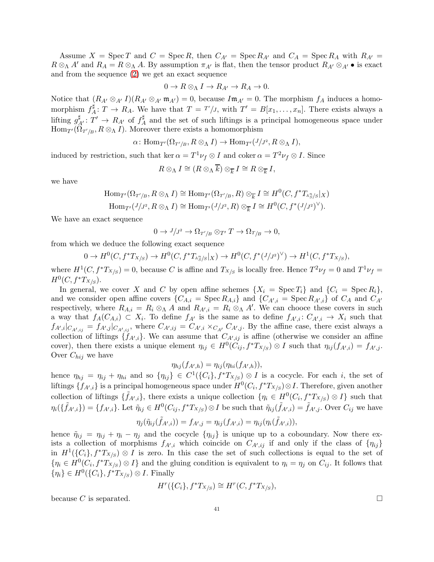Assume  $X = \text{Spec } T$  and  $C = \text{Spec } R$ , then  $C_{A'} = \text{Spec } R_{A'}$  and  $C_A = \text{Spec } R_A$  with  $R_{A'} =$  $R \otimes_{\Lambda} A'$  and  $R_A = R \otimes_{\Lambda} A$ . By assumption  $\pi_{A'}$  is flat, then the tensor product  $R_{A'} \otimes_{A'} \bullet$  is exact and from the sequence [\(2\)](#page-39-1) we get an exact sequence

$$
0 \to R \otimes_{\Lambda} I \to R_{A'} \to R_A \to 0.
$$

Notice that  $(R_{A'} \otimes_{A'} I)(R_{A'} \otimes_{A'} m_{A'}) = 0$ , because  $I m_{A'} = 0$ . The morphism  $f_A$  induces a homomorphism  $f^{\sharp}_{A}$  $A^{\sharp}: T \to R_A$ . We have that  $T = T'/J$ , with  $T' = B[x_1, \ldots, x_n]$ . There exists always a lifting  $g_{A'}^{\sharp} : T' \to R_{A'}$  of  $f_A^{\sharp}$  $A \nightharpoonup A$  and the set of such liftings is a principal homogeneous space under  $\text{Hom}_{T'}(\Omega_{T'/B}, R \otimes_{\Lambda} I)$ . Moreover there exists a homomorphism

$$
\alpha\colon \mathrm{Hom}_{T'}(\Omega_{T'/B}, R\otimes_{\Lambda}I)\to \mathrm{Hom}_{T'}(J/J^2, R\otimes_{\Lambda}I),
$$

induced by restriction, such that ker  $\alpha = T^1 \nu_f \otimes I$  and coker  $\alpha = T^2 \nu_f \otimes I$ . Since

$$
R\otimes_{\Lambda}I\cong (R\otimes_{\Lambda}\overline{k})\otimes_{\overline{k}}I\cong R\otimes_{\overline{k}}I,
$$

we have

$$
\text{Hom}_{T'}(\Omega_{T'/B}, R \otimes_{\Lambda} I) \cong \text{Hom}_{T'}(\Omega_{T'/B}, R) \otimes_{\overline{k}} I \cong H^0(C, f^*T_{\mathbb{A}^n_S/S}|_X)
$$

$$
\text{Hom}_{T'}(J/J^2, R \otimes_{\Lambda} I) \cong \text{Hom}_{T'}(J/J^2, R) \otimes_{\overline{k}} I \cong H^0(C, f^*(J/J^2)^{\vee}).
$$

We have an exact sequence

$$
0 \to J/J^2 \to \Omega_{T'/B} \otimes_{T'} T \to \Omega_{T/B} \to 0,
$$

from which we deduce the following exact sequence

$$
0 \to H^0(C, f^*T_{X/S}) \to H^0(C, f^*T_{\mathbb{A}^n_S/S}|_X) \to H^0(C, f^*(J/J^2)^\vee) \to H^1(C, f^*T_{X/S}),
$$

where  $H^1(C, f^*T_{X/S}) = 0$ , because C is affine and  $T_{X/S}$  is locally free. Hence  $T^2 \nu_f = 0$  and  $T^1 \nu_f =$  $H^0(C, f^*T_{X/S}).$ 

In general, we cover X and C by open affine schemes  $\{X_i = \text{Spec } T_i\}$  and  $\{C_i = \text{Spec } R_i\}$ , and we consider open affine covers  $\{C_{A,i} = \text{Spec } R_{A,i}\}\$  and  $\{C_{A',i} = \text{Spec } R_{A',i}\}\$  of  $C_A$  and  $C_{A'}$ respectively, where  $R_{A,i} = R_i \otimes_A A$  and  $R_{A',i} = R_i \otimes_A A'$ . We can chooce these covers in such a way that  $f_A(C_{A,i}) \subset X_i$ . To define  $f_{A'}$  is the same as to define  $f_{A',i} \colon C_{A',i} \to X_i$  such that  $f_{A',i}|_{C_{A',ij}} = f_{A',j}|_{C_{A',ij}}$ , where  $C_{A',ij} = C_{A',i} \times_{C_{A'}} C_{A',j}$ . By the affine case, there exist always a collection of liftings  $\{f_{A',i}\}.$  We can assume that  $C_{A',ij}$  is affine (otherwise we consider an affine cover), then there exists a unique element  $\eta_{ij} \in H^0(C_{ij}, f^*T_{X/S}) \otimes I$  such that  $\eta_{ij}(f_{A',i}) = f_{A',j}$ . Over  $C_{hij}$  we have

$$
\eta_{hj}(f_{A',h})=\eta_{ij}(\eta_{hi}(f_{A',h})),
$$

hence  $\eta_{hj} = \eta_{ij} + \eta_{hi}$  and so  $\{\eta_{ij}\}\in C^1(\{C_i\}, f^*T_{X/S})\otimes I$  is a cocycle. For each i, the set of liftings  $\{f_{A',i}\}\$ is a principal homogeneous space under  $H^0(C_i, f^*T_{X/S})\otimes I$ . Therefore, given another collection of liftings  $\{\tilde{f}_{A',i}\}\$ , there exists a unique collection  $\{\eta_i \in H^0(C_i, f^*T_{X/S}) \otimes I\}$  such that  $\eta_i(\{\tilde{f}_{A',i}\}) = \{f_{A',i}\}\.$  Let  $\tilde{\eta}_{ij} \in H^0(C_{ij}, f^*T_{X/S}) \otimes I$  be such that  $\tilde{\eta}_{ij}(\tilde{f}_{A',i}) = \tilde{f}_{A',j}$ . Over  $C_{ij}$  we have

$$
\eta_j(\tilde{\eta}_{ij}(\tilde{f}_{A',i}))=f_{A',j}=\eta_{ij}(f_{A',i})=\eta_{ij}(\eta_i(\tilde{f}_{A',i})),
$$

hence  $\tilde{\eta}_{ij} = \eta_{ij} + \eta_i - \eta_j$  and the cocycle  $\{\eta_{ij}\}\$ is unique up to a coboundary. Now there exists a collection of morphisms  $f_{A',i}$  which coincide on  $C_{A',ij}$  if and only if the class of  $\{\eta_{ij}\}\$ in  $H^1(\{C_i\}, f^*T_{X/S}) \otimes I$  is zero. In this case the set of such collections is equal to the set of  $\{\eta_i \in H^0(C_i, f^*T_{X/S}) \otimes I\}$  and the gluing condition is equivalent to  $\eta_i = \eta_j$  on  $C_{ij}$ . It follows that  $\{\eta_i\} \in H^0(\{C_i\}, f^*T_{X/S}) \otimes I$ . Finally

$$
H^r(\{C_i\}, f^*T_{X/S}) \cong H^r(C, f^*T_{X/S}),
$$

because C is separated.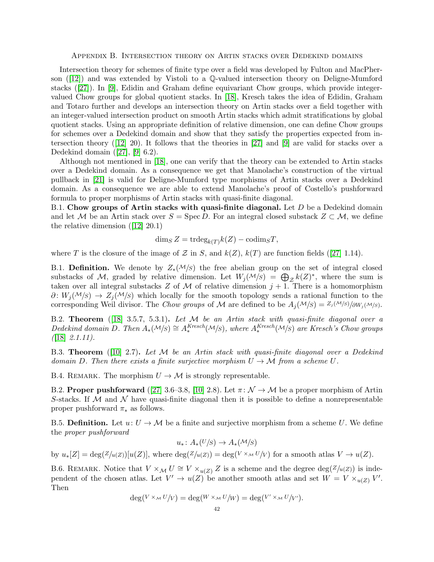<span id="page-41-0"></span>Appendix B. Intersection theory on Artin stacks over Dedekind domains

Intersection theory for schemes of finite type over a field was developed by Fulton and MacPher-son $([12])$  $([12])$  $([12])$  and was extended by Vistoli to a Q-valued intersection theory on Deligne-Mumford stacks $([27])$  $([27])$  $([27])$ . In [\[9\]](#page-44-26), Edidin and Graham define equivariant Chow groups, which provide integervalued Chow groups for global quotient stacks. In [\[18\]](#page-44-7), Kresch takes the idea of Edidin, Graham and Totaro further and develops an intersection theory on Artin stacks over a field together with an integer-valued intersection product on smooth Artin stacks which admit stratifications by global quotient stacks. Using an appropriate definition of relative dimension, one can define Chow groups for schemes over a Dedekind domain and show that they satisfy the properties expected from intersection theory([\[12\]](#page-44-13) 20). It follows that the theories in [\[27\]](#page-44-16) and [\[9\]](#page-44-26) are valid for stacks over a Dedekind domain([\[27\]](#page-44-16), [\[9\]](#page-44-26) 6.2).

Although not mentioned in [\[18\]](#page-44-7), one can verify that the theory can be extended to Artin stacks over a Dedekind domain. As a consequence we get that Manolache's construction of the virtual pullback in [\[21\]](#page-44-8) is valid for Deligne-Mumford type morphisms of Artin stacks over a Dedekind domain. As a consequence we are able to extend Manolache's proof of Costello's pushforward formula to proper morphisms of Artin stacks with quasi-finite diagonal.

B.1. Chow groups of Artin stacks with quasi-finite diagonal. Let  $D$  be a Dedekind domain and let M be an Artin stack over  $S = \text{Spec } D$ . For an integral closed substack  $Z \subset M$ , we define the relative dimension([\[12\]](#page-44-13) 20.1)

$$
\dim_S Z = \operatorname{trdeg}_{k(T)} k(Z) - \operatorname{codim}_S T,
$$

whereT is the closure of the image of Z in S, and  $k(Z)$ ,  $k(T)$  are function fields ([\[27\]](#page-44-16) 1.14).

B.1. **Definition.** We denote by  $Z_*(\mathcal{M}/S)$  the free abelian group on the set of integral closed substacks of M, graded by relative dimension. Let  $W_j(\mathcal{M}/s) = \bigoplus_{\mathcal{Z}} k(Z)^*$ , where the sum is taken over all integral substacks Z of M of relative dimension  $j + 1$ . There is a homomorphism  $\partial\colon W_i(\mathcal{M}/S) \to Z_i(\mathcal{M}/S)$  which locally for the smooth topology sends a rational function to the corresponding Weil divisor. The Chow groups of M are defined to be  $A_i(\mathcal{M}/S) = Z_i(\mathcal{M}/S)/\partial W_i(\mathcal{M}/S)$ .

<span id="page-41-1"></span>B.2. **Theorem** ([\[18\]](#page-44-7) 3.5.7, 5.3.1). Let  $M$  be an Artin stack with quasi-finite diagonal over a Dedekind domain D. Then  $A_*(M|S) \cong A_*^{Kresch}(M|S)$ , where  $A_*^{Kresch}(M|S)$  are Kresch's Chow groups  $(18)$  2.1.11).

B.3. **Theorem** ([\[10\]](#page-44-9) 2.7). Let M be an Artin stack with quasi-finite diagonal over a Dedekind domain D. Then there exists a finite surjective morphism  $U \to \mathcal{M}$  from a scheme U.

B.4. REMARK. The morphism  $U \to \mathcal{M}$  is strongly representable.

B.2. Proper pushforward ([\[27\]](#page-44-16) 3.6–3.8, [\[10\]](#page-44-9) 2.8). Let  $\pi: \mathcal{N} \to \mathcal{M}$  be a proper morphism of Artin S-stacks. If  $M$  and  $N$  have quasi-finite diagonal then it is possible to define a nonrepresentable proper pushforward  $\pi_*$  as follows.

B.5. Definition. Let  $u: U \to M$  be a finite and surjective morphism from a scheme U. We define the proper pushforward

$$
u_*\colon A_*(U/S)\to A_*(\mathcal{M}/S)
$$

by  $u_*[Z] = \deg(Z/u(Z))[u(Z)],$  where  $\deg(Z/u(Z)) = \deg(V \times_M U/V)$  for a smooth atlas  $V \to u(Z)$ .

B.6. REMARK. Notice that  $V \times_M U \cong V \times_{u(Z)} Z$  is a scheme and the degree  $\deg(Z/u(Z))$  is independent of the chosen atlas. Let  $V' \to u(Z)$  be another smooth atlas and set  $W = V \times_{u(Z)} V'$ . Then

$$
\deg(V \times_M U/V) = \deg(W \times_M U/W) = \deg(V' \times_M U/V').
$$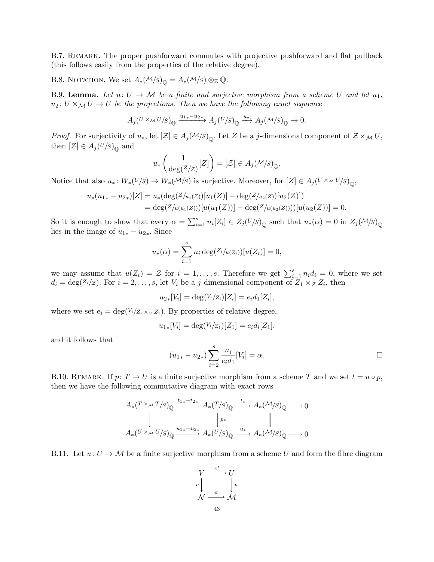B.7. REMARK. The proper pushforward commutes with projective pushforward and flat pullback (this follows easily from the properties of the relative degree).

B.8. NOTATION. We set  $A_*(\mathcal{M}/S)_{\mathbb{Q}} = A_*(\mathcal{M}/S) \otimes_{\mathbb{Z}} \mathbb{Q}$ .

<span id="page-42-0"></span>B.9. Lemma. Let  $u: U \to M$  be a finite and surjective morphism from a scheme U and let  $u_1$ ,  $u_2: U \times_M U \to U$  be the projections. Then we have the following exact sequence

$$
A_j(U\times_\mathcal{M} U/s)_{\mathbb{Q}}\xrightarrow{u_{1*}-u_{2*}} A_j(U/s)_{\mathbb{Q}}\xrightarrow{u_*} A_j(\mathcal{M}/s)_{\mathbb{Q}}\to 0.
$$

*Proof.* For surjectivity of  $u_*$ , let  $[\mathcal{Z}] \in A_j(\mathcal{M}/s)_{\mathbb{Q}}$ . Let Z be a j-dimensional component of  $\mathcal{Z} \times_{\mathcal{M}} U$ , then  $[Z] \in A_j(U/S)_{\mathbb{Q}}$  and

$$
u_*\left(\frac{1}{\deg(\mathbb{Z}/\mathbb{Z})}[Z]\right) = [\mathcal{Z}] \in A_j(\mathcal{M}/\mathcal{S})_{\mathbb{Q}}
$$

Notice that also  $u_*\colon W_*(U/S) \to W_*(\mathcal{M}/S)$  is surjective. Moreover, for  $[Z] \in A_j(U \times_{\mathcal{M}} U/S)_{\mathbb{Q}},$ 

$$
u_*(u_{1*} - u_{2*})[Z] = u_*(\deg(Z/u_1(Z))[u_1(Z))] - \deg(Z/u_2(Z))[u_2(Z)])
$$
  
= 
$$
\deg(Z/u(u_1(Z))[u(u_1(Z))] - \deg(Z/u(u_2(Z))))[u(u_2(Z))] = 0.
$$

So it is enough to show that every  $\alpha = \sum_{i=1}^s n_i [Z_i] \in Z_j(U/S)_{\mathbb{Q}}$  such that  $u_*(\alpha) = 0$  in  $Z_j(\mathcal{M}/S)_{\mathbb{Q}}$ lies in the image of  $u_{1*} - u_{2*}$ . Since

$$
u_*(\alpha) = \sum_{i=1}^s n_i \deg(Z_i/\mu(Z_i))[u(Z_i)] = 0,
$$

we may assume that  $u(Z_i) = \mathcal{Z}$  for  $i = 1, \ldots, s$ . Therefore we get  $\sum_{i=1}^{s} n_i d_i = 0$ , where we set  $d_i = \deg(Z_i/Z)$ . For  $i = 2, \ldots, s$ , let  $V_i$  be a j-dimensional component of  $Z_1 \times_{\mathcal{Z}} Z_i$ , then

$$
u_{2*}[V_i] = \deg(V_i/Z_i)[Z_i] = e_i d_1[Z_i],
$$

where we set  $e_i = \deg(V_i|Z_i \times_Z Z_1)$ . By properties of relative degree,

$$
u_{1*}[V_i] = \deg(V_i/Z_1)[Z_1] = e_i d_i[Z_1],
$$

and it follows that

$$
(u_{1*} - u_{2*}) \sum_{i=2}^{s} \frac{n_i}{e_i d_1} [V_i] = \alpha.
$$

.

B.10. REMARK. If  $p: T \to U$  is a finite surjective morphism from a scheme T and we set  $t = u \circ p$ , then we have the following commutative diagram with exact rows

$$
A_*(T \times M) \to (T/S)_\mathbb{Q} \xrightarrow{t_1_*-t_2_*} A_*(T/S)_\mathbb{Q} \xrightarrow{t_*} A_*(M/S)_\mathbb{Q} \longrightarrow 0
$$
  
\n
$$
\downarrow \qquad \qquad \downarrow P_*
$$
\n
$$
A_*(U \times M) \to (T/S)_\mathbb{Q} \xrightarrow{u_1_*-u_2_*} A_*(U/S)_\mathbb{Q} \xrightarrow{u_*} A_*(M/S)_\mathbb{Q} \longrightarrow 0
$$

B.11. Let  $u: U \to M$  be a finite surjective morphism from a scheme U and form the fibre diagram

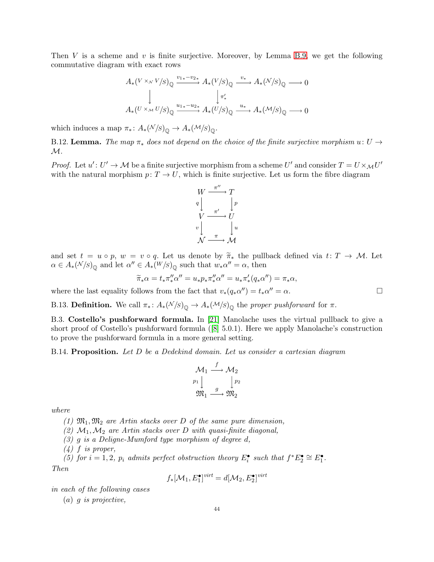Then V is a scheme and v is finite surjective. Moreover, by Lemma [B.9,](#page-42-0) we get the following commutative diagram with exact rows

$$
A_*(V \times_V V/S)_{\mathbb{Q}} \xrightarrow{v_{1*} - v_{2*}} A_*(V/S)_{\mathbb{Q}} \xrightarrow{v_*} A_*(N/S)_{\mathbb{Q}} \longrightarrow 0
$$
  
\n
$$
\downarrow \qquad \qquad \downarrow \pi'_*
$$
  
\n
$$
A_*(U \times_M U/S)_{\mathbb{Q}} \xrightarrow{u_{1*} - u_{2*}} A_*(U/S)_{\mathbb{Q}} \xrightarrow{u_*} A_*(M/S)_{\mathbb{Q}} \longrightarrow 0
$$

which induces a map  $\pi_* \colon A_*(N/S)_{\mathbb{Q}} \to A_*(M/S)_{\mathbb{Q}}.$ 

B.12. Lemma. The map  $\pi_*$  does not depend on the choice of the finite surjective morphism  $u: U \rightarrow$  $\mathcal{M}.$ 

*Proof.* Let  $u' : U' \to M$  be a finite surjective morphism from a scheme U' and consider  $T = U \times_M U'$ with the natural morphism  $p: T \to U$ , which is finite surjective. Let us form the fibre diagram



and set  $t = u \circ p$ ,  $w = v \circ q$ . Let us denote by  $\widetilde{\pi}_{*}$  the pullback defined via  $t: T \to M$ . Let  $\alpha \in A_*(N/S)_{\mathbb{Q}}$  and let  $\alpha'' \in A_*(W/S)_{\mathbb{Q}}$  such that  $w_*\alpha'' = \alpha$ , then

$$
\widetilde{\pi}_*\alpha = t_*\pi''_*\alpha'' = u_*p_*\pi''_*\alpha'' = u_*\pi'_*(q_*\alpha'') = \pi_*\alpha,
$$

where the last equality follows from the fact that  $v_*(q_*\alpha'') = t_*\alpha'' = \alpha$ .

B.13. **Definition.** We call  $\pi_*$ :  $A_*(N/S)_{\mathbb{Q}} \to A_*(M/S)_{\mathbb{Q}}$  the proper pushforward for  $\pi$ .

B.3. Costello's pushforward formula. In [\[21\]](#page-44-8) Manolache uses the virtual pullback to give a short proof of Costello's pushforward formula([\[8\]](#page-44-27) 5.0.1). Here we apply Manolache's construction to prove the pushforward formula in a more general setting.

<span id="page-43-0"></span>B.14. Proposition. Let D be a Dedekind domain. Let us consider a cartesian diagram

$$
\mathcal{M}_1 \xrightarrow{f} \mathcal{M}_2
$$
\n
$$
\begin{array}{c} p_1 \downarrow & \downarrow p_2 \\ \mathfrak{M}_1 \xrightarrow{g} & \mathfrak{M}_2 \end{array}
$$

where

(1)  $\mathfrak{M}_1, \mathfrak{M}_2$  are Artin stacks over D of the same pure dimension,

(2)  $M_1, M_2$  are Artin stacks over D with quasi-finite diagonal,

 $(3)$  g is a Deligne-Mumford type morphism of degree d,

 $(4)$  f is proper,

(5) for  $i = 1, 2, p_i$  admits perfect obstruction theory  $E_i^{\bullet}$  such that  $f^*E_2^{\bullet} \cong E_1^{\bullet}$ . Then

$$
f_*[\mathcal{M}_1, E_1^{\bullet}]^{virt} = d[\mathcal{M}_2, E_2^{\bullet}]^{virt}
$$

in each of the following cases

 $(a)$  *q is projective*,